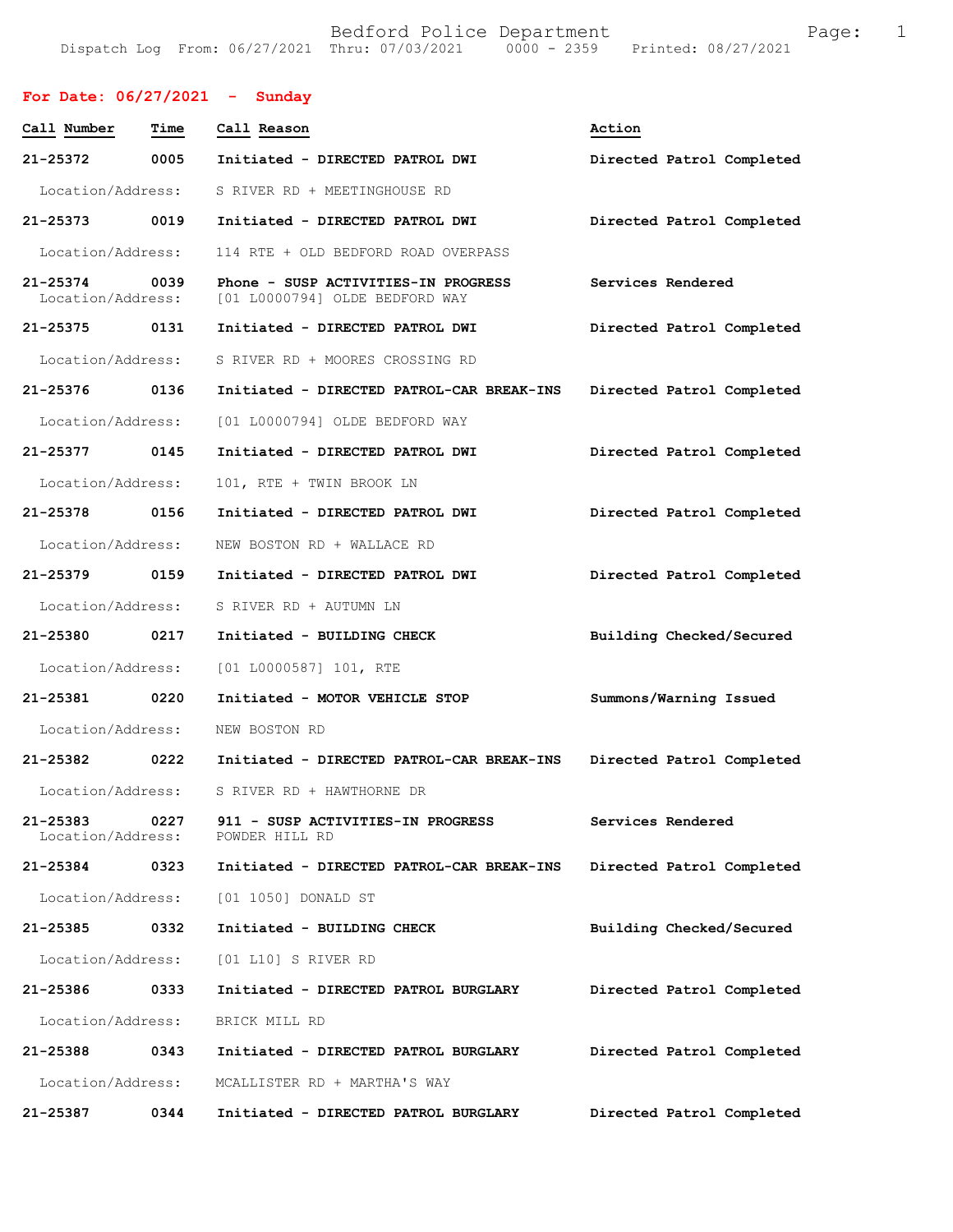## **For Date: 06/27/2021 - Sunday**

| Call Number                       | Time | Call Reason                                                           | Action                    |
|-----------------------------------|------|-----------------------------------------------------------------------|---------------------------|
| 21-25372                          | 0005 | Initiated - DIRECTED PATROL DWI                                       | Directed Patrol Completed |
| Location/Address:                 |      | S RIVER RD + MEETINGHOUSE RD                                          |                           |
| 21-25373 0019                     |      | Initiated - DIRECTED PATROL DWI                                       | Directed Patrol Completed |
| Location/Address:                 |      | 114 RTE + OLD BEDFORD ROAD OVERPASS                                   |                           |
| $21 - 25374$<br>Location/Address: | 0039 | Phone - SUSP ACTIVITIES-IN PROGRESS<br>[01 L0000794] OLDE BEDFORD WAY | Services Rendered         |
| 21-25375 0131                     |      | Initiated - DIRECTED PATROL DWI                                       | Directed Patrol Completed |
| Location/Address:                 |      | S RIVER RD + MOORES CROSSING RD                                       |                           |
| 21-25376 0136                     |      | Initiated - DIRECTED PATROL-CAR BREAK-INS                             | Directed Patrol Completed |
| Location/Address:                 |      | [01 L0000794] OLDE BEDFORD WAY                                        |                           |
| 21-25377                          | 0145 | Initiated - DIRECTED PATROL DWI                                       | Directed Patrol Completed |
| Location/Address:                 |      | 101, RTE + TWIN BROOK LN                                              |                           |
| 21-25378                          | 0156 | Initiated - DIRECTED PATROL DWI                                       | Directed Patrol Completed |
| Location/Address:                 |      | NEW BOSTON RD + WALLACE RD                                            |                           |
| 21-25379 0159                     |      | Initiated - DIRECTED PATROL DWI                                       | Directed Patrol Completed |
| Location/Address:                 |      | S RIVER RD + AUTUMN LN                                                |                           |
| 21-25380                          | 0217 | Initiated - BUILDING CHECK                                            | Building Checked/Secured  |
| Location/Address:                 |      | $[01 L0000587] 101$ , RTE                                             |                           |
| 21-25381                          | 0220 | Initiated - MOTOR VEHICLE STOP                                        | Summons/Warning Issued    |
| Location/Address:                 |      | NEW BOSTON RD                                                         |                           |
| 21-25382 0222                     |      | Initiated - DIRECTED PATROL-CAR BREAK-INS                             | Directed Patrol Completed |
| Location/Address:                 |      | S RIVER RD + HAWTHORNE DR                                             |                           |
| 21-25383<br>Location/Address:     | 0227 | 911 - SUSP ACTIVITIES-IN PROGRESS<br>POWDER HILL RD                   | Services Rendered         |
| 21-25384 0323                     |      | Initiated - DIRECTED PATROL-CAR BREAK-INS                             | Directed Patrol Completed |
| Location/Address:                 |      | [01 1050] DONALD ST                                                   |                           |
| 21-25385                          | 0332 | Initiated - BUILDING CHECK                                            | Building Checked/Secured  |
| Location/Address:                 |      | [01 L10] S RIVER RD                                                   |                           |
| 21-25386                          | 0333 | Initiated - DIRECTED PATROL BURGLARY                                  | Directed Patrol Completed |
| Location/Address:                 |      | BRICK MILL RD                                                         |                           |
| 21-25388                          | 0343 | Initiated - DIRECTED PATROL BURGLARY                                  | Directed Patrol Completed |
| Location/Address:                 |      | MCALLISTER RD + MARTHA'S WAY                                          |                           |
| 21-25387                          | 0344 | Initiated - DIRECTED PATROL BURGLARY                                  | Directed Patrol Completed |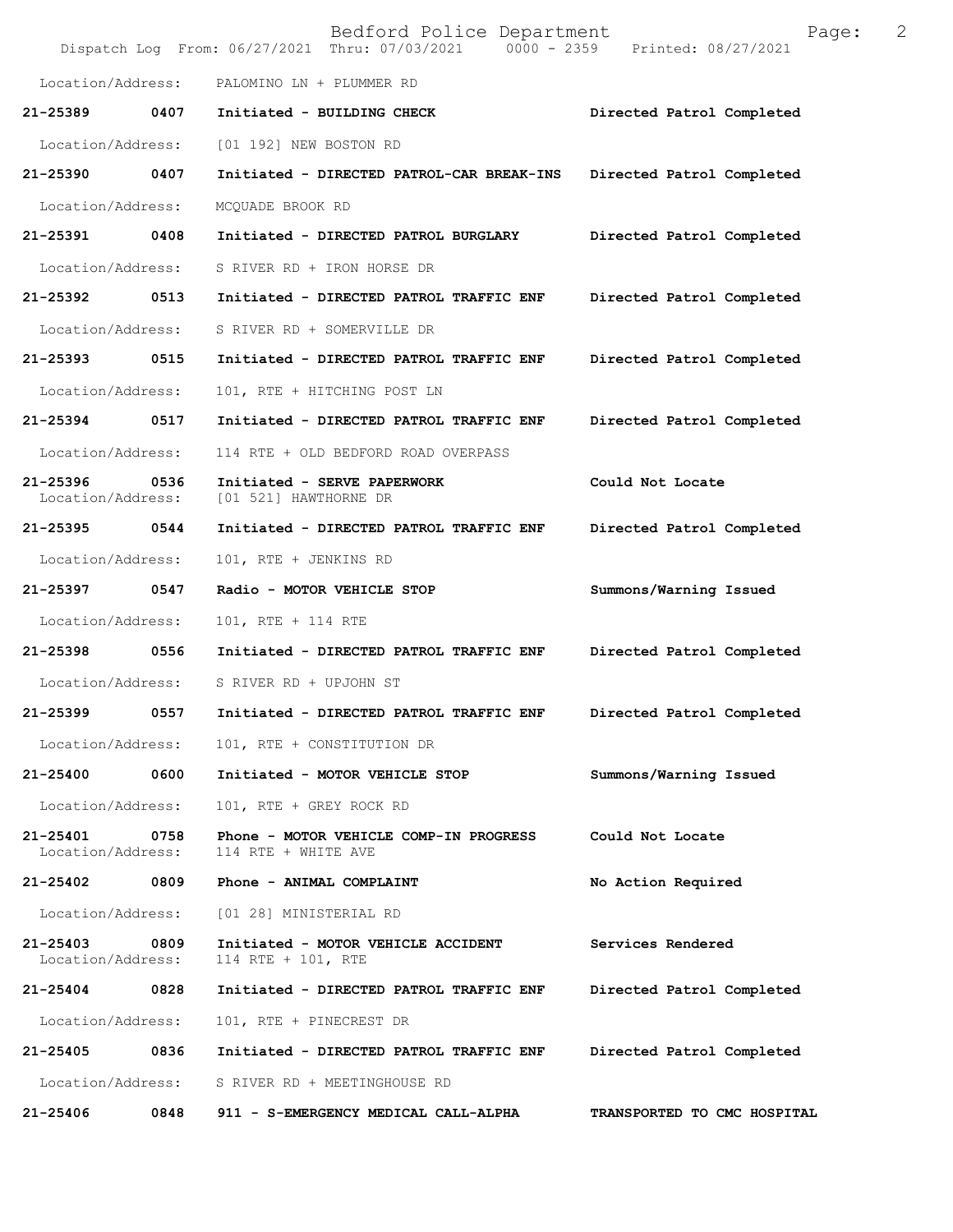|                                    |      | Bedford Police Department<br>Dispatch Log From: 06/27/2021 Thru: 07/03/2021 0000 - 2359 Printed: 08/27/2021 | 2<br>Page:                  |
|------------------------------------|------|-------------------------------------------------------------------------------------------------------------|-----------------------------|
| Location/Address:                  |      | PALOMINO LN + PLUMMER RD                                                                                    |                             |
| 21-25389                           | 0407 | Initiated - BUILDING CHECK                                                                                  | Directed Patrol Completed   |
| Location/Address:                  |      | [01 192] NEW BOSTON RD                                                                                      |                             |
| 21-25390 0407                      |      | Initiated - DIRECTED PATROL-CAR BREAK-INS                                                                   | Directed Patrol Completed   |
| Location/Address:                  |      | MCQUADE BROOK RD                                                                                            |                             |
| 21-25391 0408                      |      | Initiated - DIRECTED PATROL BURGLARY                                                                        | Directed Patrol Completed   |
| Location/Address:                  |      | S RIVER RD + IRON HORSE DR                                                                                  |                             |
| 21-25392 0513                      |      | Initiated - DIRECTED PATROL TRAFFIC ENF                                                                     | Directed Patrol Completed   |
| Location/Address:                  |      | S RIVER RD + SOMERVILLE DR                                                                                  |                             |
| 21-25393 0515                      |      | Initiated - DIRECTED PATROL TRAFFIC ENF                                                                     | Directed Patrol Completed   |
| Location/Address:                  |      | 101, RTE + HITCHING POST LN                                                                                 |                             |
| 21-25394 0517                      |      | Initiated - DIRECTED PATROL TRAFFIC ENF                                                                     | Directed Patrol Completed   |
| Location/Address:                  |      | 114 RTE + OLD BEDFORD ROAD OVERPASS                                                                         |                             |
| 21-25396<br>Location/Address:      | 0536 | Initiated - SERVE PAPERWORK<br>[01 521] HAWTHORNE DR                                                        | Could Not Locate            |
| 21-25395 0544                      |      | Initiated - DIRECTED PATROL TRAFFIC ENF                                                                     | Directed Patrol Completed   |
| Location/Address:                  |      | 101, RTE + JENKINS RD                                                                                       |                             |
| 21-25397 0547                      |      | Radio - MOTOR VEHICLE STOP                                                                                  | Summons/Warning Issued      |
| Location/Address:                  |      | 101, RTE + 114 RTE                                                                                          |                             |
| 21-25398                           | 0556 | Initiated - DIRECTED PATROL TRAFFIC ENF                                                                     | Directed Patrol Completed   |
|                                    |      | Location/Address: S RIVER RD + UPJOHN ST                                                                    |                             |
|                                    |      | 21-25399     0557   Initiated - DIRECTED PATROL TRAFFIC ENF    Directed Patrol Completed                    |                             |
|                                    |      | Location/Address: 101, RTE + CONSTITUTION DR                                                                |                             |
|                                    |      | 21-25400 0600 Initiated - MOTOR VEHICLE STOP                                                                | Summons/Warning Issued      |
| Location/Address:                  |      | 101, RTE + GREY ROCK RD                                                                                     |                             |
| 21-25401 0758<br>Location/Address: |      | Phone - MOTOR VEHICLE COMP-IN PROGRESS<br>114 RTE + WHITE AVE                                               | Could Not Locate            |
|                                    |      | 21-25402 0809 Phone - ANIMAL COMPLAINT                                                                      | No Action Required          |
|                                    |      | Location/Address: [01 28] MINISTERIAL RD                                                                    |                             |
| 21-25403 0809<br>Location/Address: |      | Initiated - MOTOR VEHICLE ACCIDENT<br>114 RTE + 101, RTE                                                    | Services Rendered           |
| 21-25404 0828                      |      | Initiated - DIRECTED PATROL TRAFFIC ENF                                                                     | Directed Patrol Completed   |
| Location/Address:                  |      | 101, RTE + PINECREST DR                                                                                     |                             |
|                                    |      |                                                                                                             | Directed Patrol Completed   |
|                                    |      | Location/Address: S RIVER RD + MEETINGHOUSE RD                                                              |                             |
| 21-25406                           |      | 0848 911 - S-EMERGENCY MEDICAL CALL-ALPHA                                                                   | TRANSPORTED TO CMC HOSPITAL |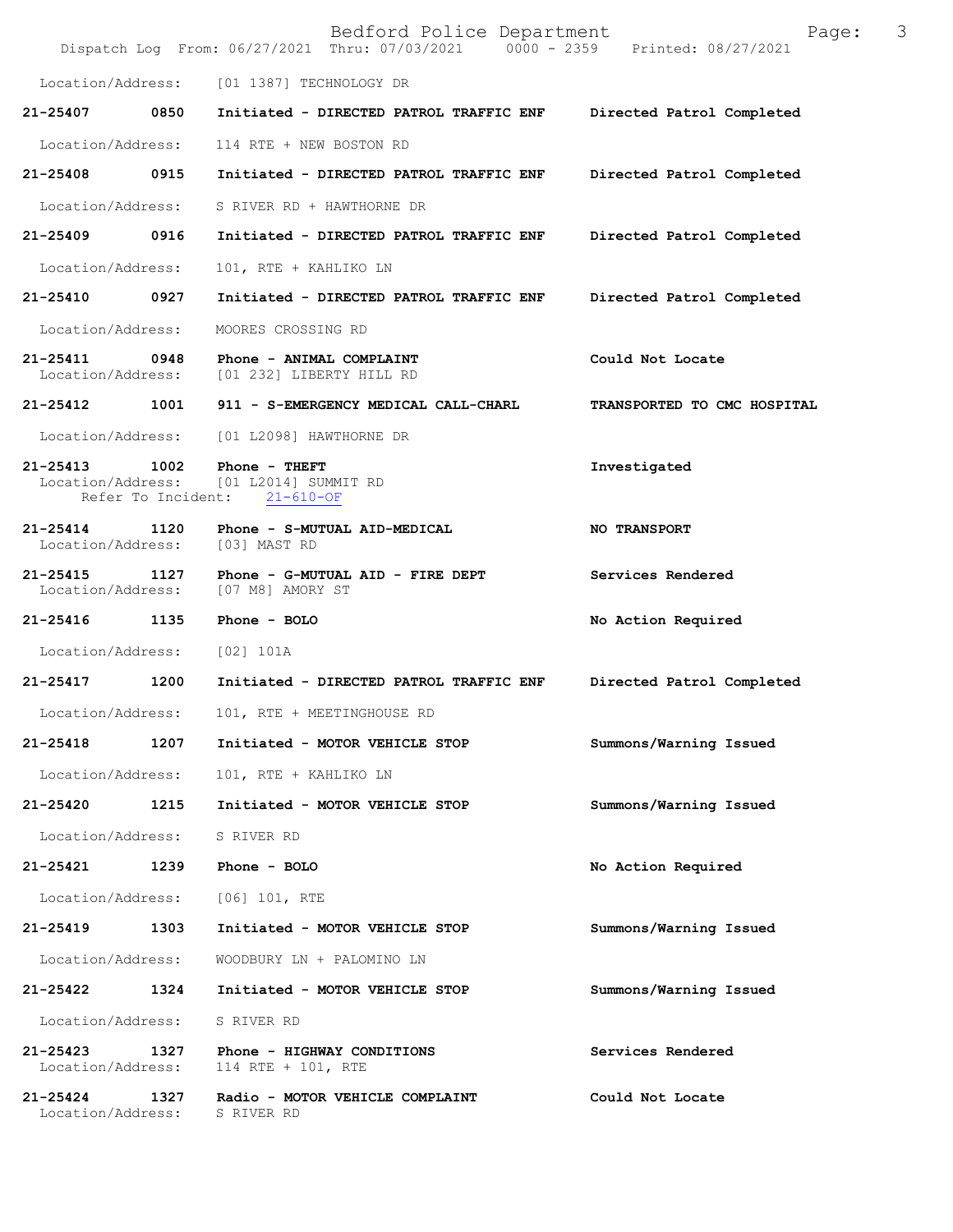|                                                         |      | Bedford Police Department<br>Dispatch Log From: 06/27/2021 Thru: 07/03/2021 0000 - 2359 Printed: 08/27/2021 | 3<br>Page:                  |
|---------------------------------------------------------|------|-------------------------------------------------------------------------------------------------------------|-----------------------------|
| Location/Address:                                       |      | [01 1387] TECHNOLOGY DR                                                                                     |                             |
| 21-25407                                                | 0850 | Initiated - DIRECTED PATROL TRAFFIC ENF                                                                     | Directed Patrol Completed   |
| Location/Address:                                       |      | 114 RTE + NEW BOSTON RD                                                                                     |                             |
| 21-25408                                                | 0915 | Initiated - DIRECTED PATROL TRAFFIC ENF                                                                     | Directed Patrol Completed   |
| Location/Address:                                       |      | S RIVER RD + HAWTHORNE DR                                                                                   |                             |
| 21-25409 0916                                           |      | Initiated - DIRECTED PATROL TRAFFIC ENF                                                                     | Directed Patrol Completed   |
| Location/Address:                                       |      | 101, RTE + KAHLIKO LN                                                                                       |                             |
| 21-25410                                                | 0927 | Initiated - DIRECTED PATROL TRAFFIC ENF                                                                     | Directed Patrol Completed   |
| Location/Address:                                       |      | MOORES CROSSING RD                                                                                          |                             |
| 21-25411 0948<br>Location/Address:                      |      | Phone - ANIMAL COMPLAINT<br>[01 232] LIBERTY HILL RD                                                        | Could Not Locate            |
| 21-25412 1001                                           |      | 911 - S-EMERGENCY MEDICAL CALL-CHARL                                                                        | TRANSPORTED TO CMC HOSPITAL |
| Location/Address:                                       |      | [01 L2098] HAWTHORNE DR                                                                                     |                             |
| $21 - 25413$<br>Location/Address:<br>Refer To Incident: | 1002 | Phone - THEFT<br>[01 L2014] SUMMIT RD<br>$21 - 610 - OF$                                                    | Investigated                |
| 21-25414<br>Location/Address:                           | 1120 | Phone - S-MUTUAL AID-MEDICAL<br>[03] MAST RD                                                                | <b>NO TRANSPORT</b>         |
| $21 - 25415$<br>Location/Address:                       | 1127 | Phone - G-MUTUAL AID - FIRE DEPT<br>[07 M8] AMORY ST                                                        | Services Rendered           |
| 21-25416                                                | 1135 | Phone - BOLO                                                                                                | No Action Required          |
| Location/Address:                                       |      | [02] 101A                                                                                                   |                             |
| 21-25417                                                | 1200 | Initiated - DIRECTED PATROL TRAFFIC ENF                                                                     | Directed Patrol Completed   |
| Location/Address:                                       |      | 101, RTE + MEETINGHOUSE RD                                                                                  |                             |
| 21-25418                                                | 1207 | Initiated - MOTOR VEHICLE STOP                                                                              | Summons/Warning Issued      |
| Location/Address:                                       |      | 101, RTE + KAHLIKO LN                                                                                       |                             |
| 21-25420                                                | 1215 | Initiated - MOTOR VEHICLE STOP                                                                              | Summons/Warning Issued      |
| Location/Address:                                       |      | S RIVER RD                                                                                                  |                             |
| 21-25421                                                | 1239 | Phone - BOLO                                                                                                | No Action Required          |
| Location/Address:                                       |      | $[06]$ 101, RTE                                                                                             |                             |
| 21-25419                                                | 1303 | Initiated - MOTOR VEHICLE STOP                                                                              | Summons/Warning Issued      |
| Location/Address:                                       |      | WOODBURY LN + PALOMINO LN                                                                                   |                             |
| 21-25422                                                | 1324 | Initiated - MOTOR VEHICLE STOP                                                                              | Summons/Warning Issued      |
| Location/Address:                                       |      | S RIVER RD                                                                                                  |                             |
| 21-25423<br>Location/Address:                           | 1327 | Phone - HIGHWAY CONDITIONS<br>114 RTE + 101, RTE                                                            | Services Rendered           |
| $21 - 25424$<br>Location/Address:                       | 1327 | Radio - MOTOR VEHICLE COMPLAINT<br>S RIVER RD                                                               | Could Not Locate            |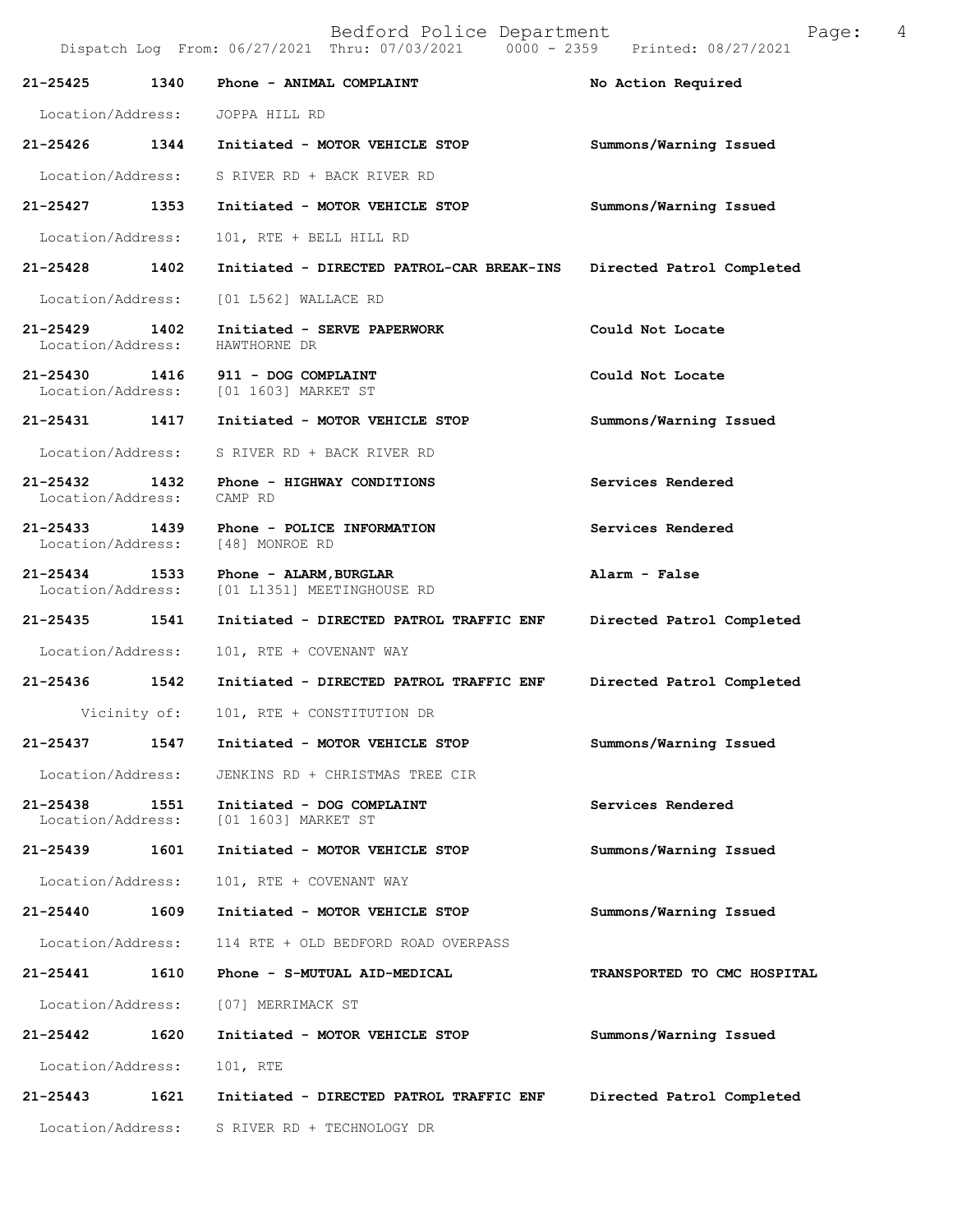|                                    |              | Dispatch Log From: 06/27/2021 Thru: 07/03/2021 0000 - 2359 Printed: 08/27/2021 |                             |
|------------------------------------|--------------|--------------------------------------------------------------------------------|-----------------------------|
| 21-25425                           | 1340         | Phone - ANIMAL COMPLAINT                                                       | No Action Required          |
|                                    |              | Location/Address: JOPPA HILL RD                                                |                             |
|                                    |              | 21-25426 1344 Initiated - MOTOR VEHICLE STOP                                   | Summons/Warning Issued      |
| Location/Address:                  |              | S RIVER RD + BACK RIVER RD                                                     |                             |
| 21-25427 1353                      |              | Initiated - MOTOR VEHICLE STOP                                                 | Summons/Warning Issued      |
| Location/Address:                  |              | 101, RTE + BELL HILL RD                                                        |                             |
| 21-25428 1402                      |              | Initiated - DIRECTED PATROL-CAR BREAK-INS Directed Patrol Completed            |                             |
| Location/Address:                  |              | [01 L562] WALLACE RD                                                           |                             |
| 21-25429 1402<br>Location/Address: |              | Initiated - SERVE PAPERWORK<br>HAWTHORNE DR                                    | Could Not Locate            |
| 21-25430                           | 1416         | 911 - DOG COMPLAINT<br>Location/Address: [01 1603] MARKET ST                   | Could Not Locate            |
| 21-25431 1417                      |              | Initiated - MOTOR VEHICLE STOP                                                 | Summons/Warning Issued      |
| Location/Address:                  |              | S RIVER RD + BACK RIVER RD                                                     |                             |
| 21-25432 1432<br>Location/Address: |              | Phone - HIGHWAY CONDITIONS<br>CAMP RD                                          | Services Rendered           |
| 21-25433 1439<br>Location/Address: |              | Phone - POLICE INFORMATION<br>[48] MONROE RD                                   | Services Rendered           |
| 21-25434 1533<br>Location/Address: |              | Phone - ALARM, BURGLAR<br>[01 L1351] MEETINGHOUSE RD                           | Alarm - False               |
| 21-25435 1541                      |              | Initiated - DIRECTED PATROL TRAFFIC ENF Directed Patrol Completed              |                             |
| Location/Address:                  |              | 101, RTE + COVENANT WAY                                                        |                             |
| 21-25436 1542                      |              | Initiated - DIRECTED PATROL TRAFFIC ENF                                        | Directed Patrol Completed   |
|                                    | Vicinity of: | 101, RTE + CONSTITUTION DR                                                     |                             |
|                                    |              | 21-25437 1547 Initiated - MOTOR VEHICLE STOP                                   | Summons/Warning Issued      |
| Location/Address:                  |              | JENKINS RD + CHRISTMAS TREE CIR                                                |                             |
| 21-25438<br>Location/Address:      | 1551         | Initiated - DOG COMPLAINT<br>[01 1603] MARKET ST                               | Services Rendered           |
| 21-25439                           | 1601         | Initiated - MOTOR VEHICLE STOP                                                 | Summons/Warning Issued      |
| Location/Address:                  |              | 101, RTE + COVENANT WAY                                                        |                             |
| 21-25440                           | 1609         | Initiated - MOTOR VEHICLE STOP                                                 | Summons/Warning Issued      |
| Location/Address:                  |              | 114 RTE + OLD BEDFORD ROAD OVERPASS                                            |                             |
| 21-25441                           | 1610         | Phone - S-MUTUAL AID-MEDICAL                                                   | TRANSPORTED TO CMC HOSPITAL |
| Location/Address:                  |              | [07] MERRIMACK ST                                                              |                             |
| 21-25442 1620                      |              | Initiated - MOTOR VEHICLE STOP                                                 | Summons/Warning Issued      |
| Location/Address:                  |              | 101, RTE                                                                       |                             |
| 21-25443                           | 1621         | Initiated - DIRECTED PATROL TRAFFIC ENF                                        | Directed Patrol Completed   |
| Location/Address:                  |              | S RIVER RD + TECHNOLOGY DR                                                     |                             |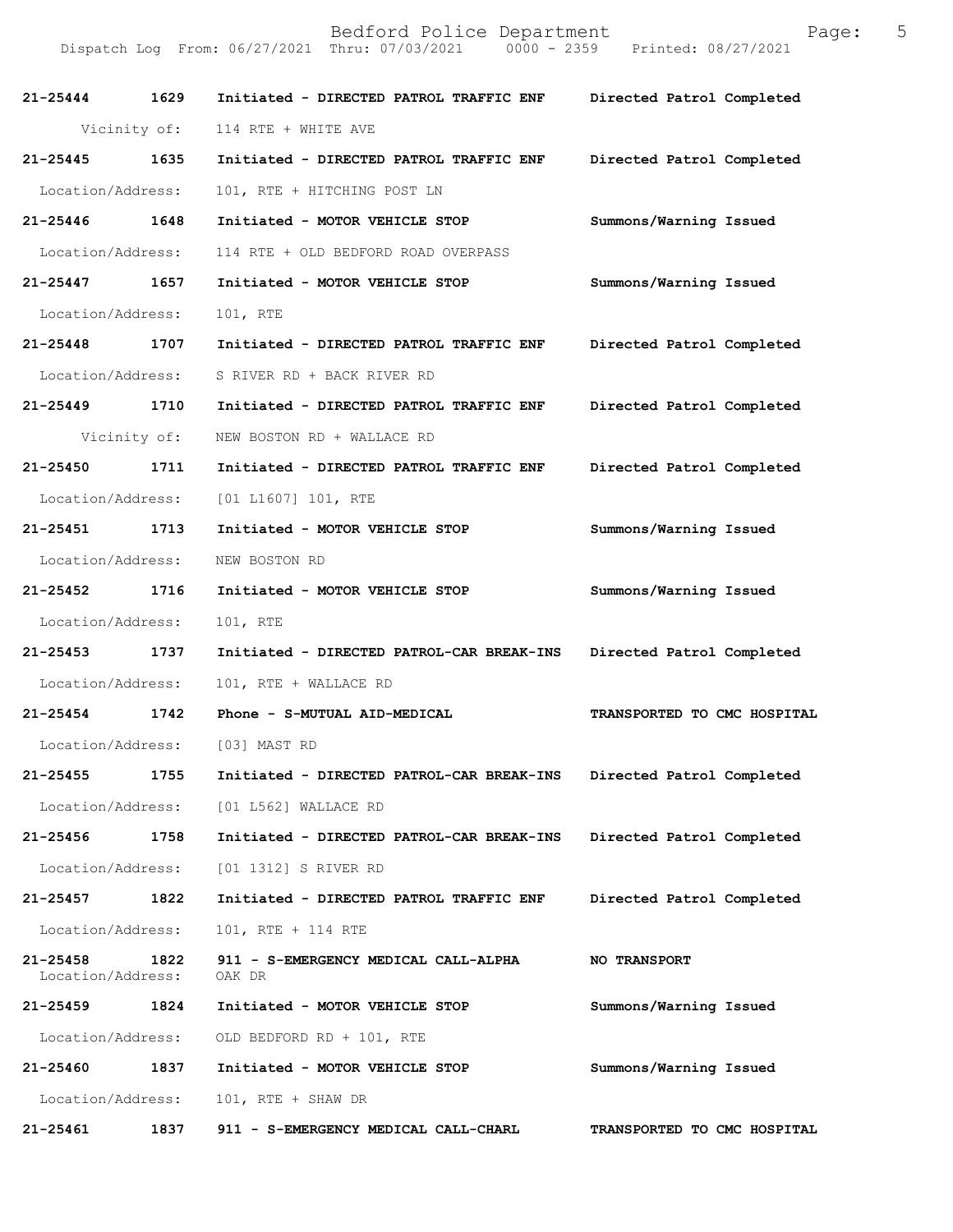| $21 - 25444$                  | 1629         | Initiated - DIRECTED PATROL TRAFFIC ENF        | Directed Patrol Completed   |
|-------------------------------|--------------|------------------------------------------------|-----------------------------|
|                               | Vicinity of: | 114 RTE + WHITE AVE                            |                             |
| $21 - 25445$                  | 1635         | Initiated - DIRECTED PATROL TRAFFIC ENF        | Directed Patrol Completed   |
| Location/Address:             |              | 101, RTE + HITCHING POST LN                    |                             |
| 21-25446                      | 1648         | Initiated - MOTOR VEHICLE STOP                 | Summons/Warning Issued      |
| Location/Address:             |              | 114 RTE + OLD BEDFORD ROAD OVERPASS            |                             |
| 21-25447 1657                 |              | Initiated - MOTOR VEHICLE STOP                 | Summons/Warning Issued      |
| Location/Address:             |              | 101, RTE                                       |                             |
| 21-25448 1707                 |              | Initiated - DIRECTED PATROL TRAFFIC ENF        | Directed Patrol Completed   |
| Location/Address:             |              | S RIVER RD + BACK RIVER RD                     |                             |
| 21-25449 1710                 |              | Initiated - DIRECTED PATROL TRAFFIC ENF        | Directed Patrol Completed   |
|                               | Vicinity of: | NEW BOSTON RD + WALLACE RD                     |                             |
| 21-25450                      | 1711         | Initiated - DIRECTED PATROL TRAFFIC ENF        | Directed Patrol Completed   |
| Location/Address:             |              | [01 L1607] 101, RTE                            |                             |
| 21-25451                      | 1713         | Initiated - MOTOR VEHICLE STOP                 | Summons/Warning Issued      |
| Location/Address:             |              | NEW BOSTON RD                                  |                             |
| 21-25452 1716                 |              | Initiated - MOTOR VEHICLE STOP                 | Summons/Warning Issued      |
| Location/Address:             |              | 101, RTE                                       |                             |
| 21-25453                      | 1737         | Initiated - DIRECTED PATROL-CAR BREAK-INS      | Directed Patrol Completed   |
| Location/Address:             |              | 101, RTE + WALLACE RD                          |                             |
| $21 - 25454$                  | 1742         | Phone - S-MUTUAL AID-MEDICAL                   | TRANSPORTED TO CMC HOSPITAL |
| Location/Address:             |              | [03] MAST RD                                   |                             |
| 21-25455                      | 1755         | Initiated - DIRECTED PATROL-CAR BREAK-INS      | Directed Patrol Completed   |
| Location/Address:             |              | [01 L562] WALLACE RD                           |                             |
| 21-25456                      | 1758         | Initiated - DIRECTED PATROL-CAR BREAK-INS      | Directed Patrol Completed   |
| Location/Address:             |              | [01 1312] S RIVER RD                           |                             |
| 21-25457                      | 1822         | Initiated - DIRECTED PATROL TRAFFIC ENF        | Directed Patrol Completed   |
| Location/Address:             |              | 101, RTE + 114 RTE                             |                             |
| 21-25458<br>Location/Address: | 1822         | 911 - S-EMERGENCY MEDICAL CALL-ALPHA<br>OAK DR | <b>NO TRANSPORT</b>         |
| 21-25459                      | 1824         | Initiated - MOTOR VEHICLE STOP                 | Summons/Warning Issued      |
| Location/Address:             |              | OLD BEDFORD RD + 101, RTE                      |                             |
| 21-25460                      | 1837         | Initiated - MOTOR VEHICLE STOP                 | Summons/Warning Issued      |
| Location/Address:             |              | 101, RTE + SHAW DR                             |                             |
| 21-25461                      | 1837         | 911 - S-EMERGENCY MEDICAL CALL-CHARL           | TRANSPORTED TO CMC HOSPITAL |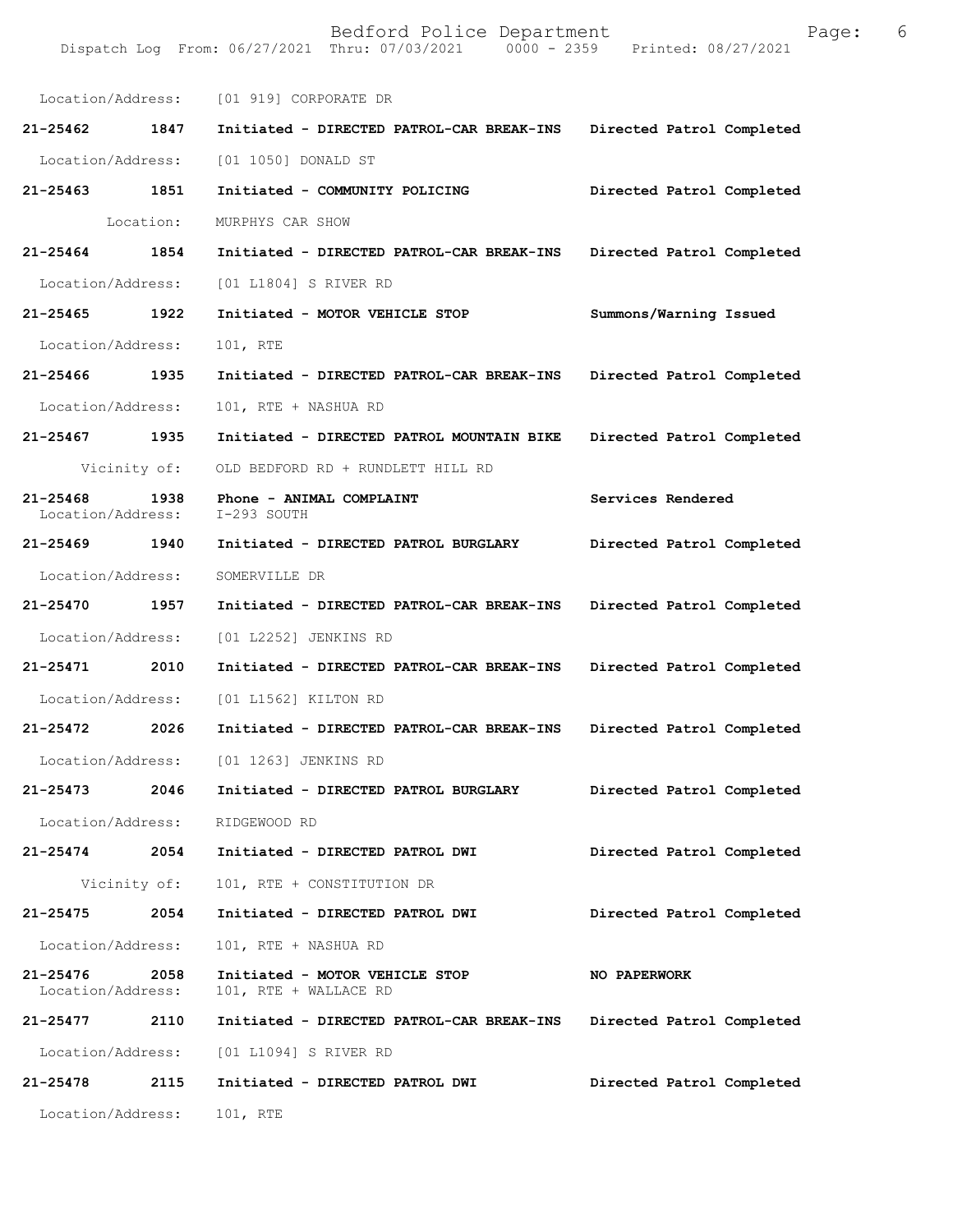|                                   |              | Location/Address: [01 919] CORPORATE DR                 |                           |
|-----------------------------------|--------------|---------------------------------------------------------|---------------------------|
| 21-25462 1847                     |              | Initiated - DIRECTED PATROL-CAR BREAK-INS               | Directed Patrol Completed |
| Location/Address:                 |              | [01 1050] DONALD ST                                     |                           |
| 21-25463 1851                     |              | Initiated - COMMUNITY POLICING                          | Directed Patrol Completed |
|                                   | Location:    | MURPHYS CAR SHOW                                        |                           |
| 21-25464 1854                     |              | Initiated - DIRECTED PATROL-CAR BREAK-INS               | Directed Patrol Completed |
| Location/Address:                 |              | [01 L1804] S RIVER RD                                   |                           |
| 21-25465 1922                     |              | Initiated - MOTOR VEHICLE STOP                          | Summons/Warning Issued    |
| Location/Address:                 |              | 101, RTE                                                |                           |
| 21-25466 1935                     |              | Initiated - DIRECTED PATROL-CAR BREAK-INS               | Directed Patrol Completed |
| Location/Address:                 |              | 101, RTE + NASHUA RD                                    |                           |
| 21-25467 1935                     |              | Initiated - DIRECTED PATROL MOUNTAIN BIKE               | Directed Patrol Completed |
|                                   | Vicinity of: | OLD BEDFORD RD + RUNDLETT HILL RD                       |                           |
| $21 - 25468$<br>Location/Address: | 1938         | Phone - ANIMAL COMPLAINT<br>I-293 SOUTH                 | Services Rendered         |
| 21-25469 1940                     |              | Initiated - DIRECTED PATROL BURGLARY                    | Directed Patrol Completed |
| Location/Address:                 |              | SOMERVILLE DR                                           |                           |
| 21-25470 1957                     |              | Initiated - DIRECTED PATROL-CAR BREAK-INS               | Directed Patrol Completed |
| Location/Address:                 |              | [01 L2252] JENKINS RD                                   |                           |
| 21-25471 2010                     |              | Initiated - DIRECTED PATROL-CAR BREAK-INS               | Directed Patrol Completed |
| Location/Address:                 |              | [01 L1562] KILTON RD                                    |                           |
| 21-25472 2026                     |              | Initiated - DIRECTED PATROL-CAR BREAK-INS               | Directed Patrol Completed |
| Location/Address:                 |              | [01 1263] JENKINS RD                                    |                           |
| 21-25473                          | 2046         | Initiated - DIRECTED PATROL BURGLARY                    | Directed Patrol Completed |
| Location/Address:                 |              | RIDGEWOOD RD                                            |                           |
| 21-25474 2054                     |              | Initiated - DIRECTED PATROL DWI                         | Directed Patrol Completed |
|                                   | Vicinity of: | 101, RTE + CONSTITUTION DR                              |                           |
| 21-25475                          | 2054         | Initiated - DIRECTED PATROL DWI                         | Directed Patrol Completed |
| Location/Address:                 |              | 101, RTE + NASHUA RD                                    |                           |
| 21-25476<br>Location/Address:     | 2058         | Initiated - MOTOR VEHICLE STOP<br>101, RTE + WALLACE RD | <b>NO PAPERWORK</b>       |
| 21-25477                          | 2110         | Initiated - DIRECTED PATROL-CAR BREAK-INS               | Directed Patrol Completed |
|                                   |              | Location/Address: [01 L1094] S RIVER RD                 |                           |
| 21-25478                          | 2115         | Initiated - DIRECTED PATROL DWI                         | Directed Patrol Completed |
| Location/Address:                 |              | 101, RTE                                                |                           |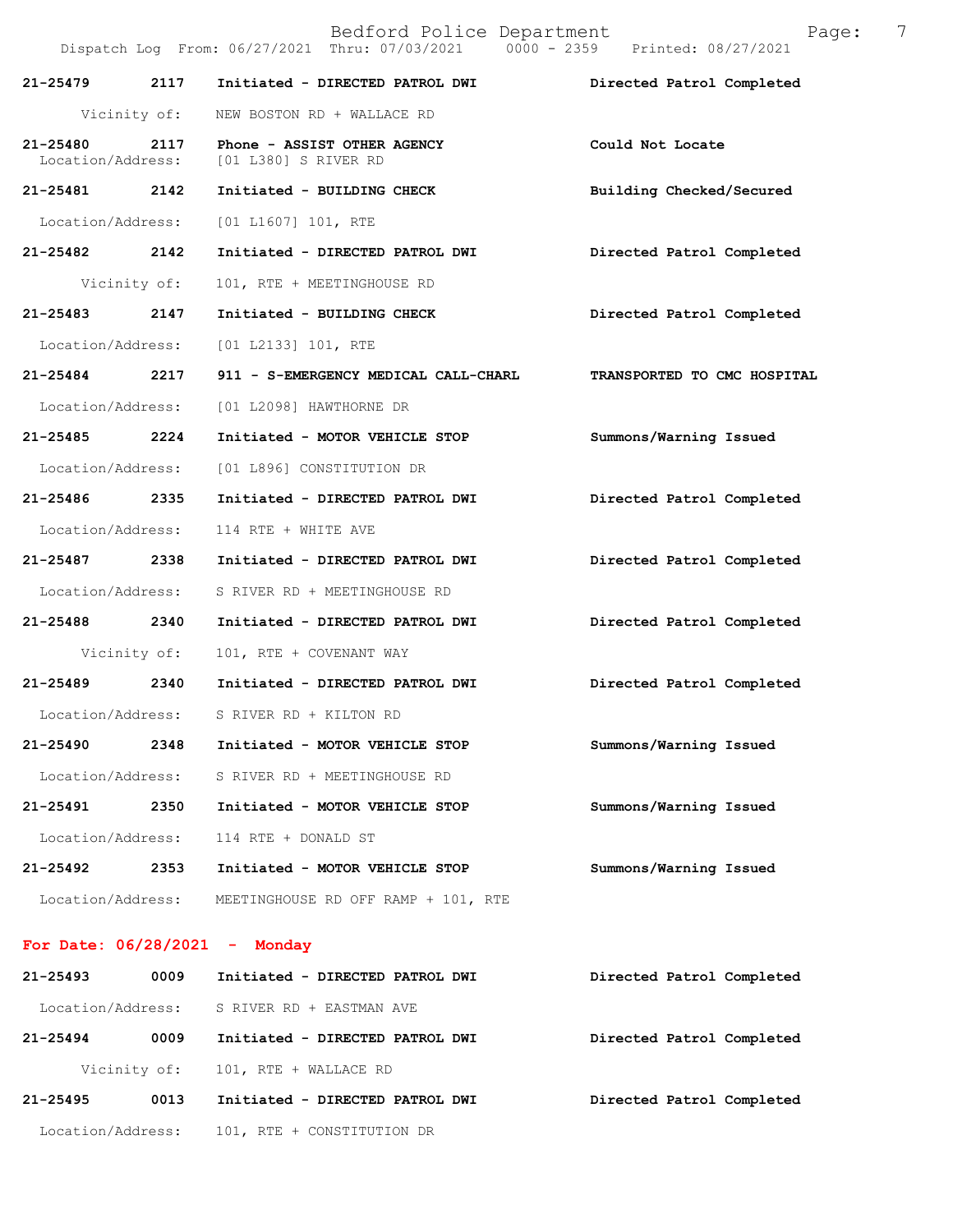|                               |              | Bedford Police Department<br>Dispatch Log From: 06/27/2021 Thru: 07/03/2021 0000 - 2359 Printed: 08/27/2021 | 7<br>Page:                  |
|-------------------------------|--------------|-------------------------------------------------------------------------------------------------------------|-----------------------------|
| 21-25479                      | 2117         | Initiated - DIRECTED PATROL DWI                                                                             | Directed Patrol Completed   |
|                               | Vicinity of: | NEW BOSTON RD + WALLACE RD                                                                                  |                             |
| 21-25480<br>Location/Address: | 2117         | Phone - ASSIST OTHER AGENCY<br>[01 L380] S RIVER RD                                                         | Could Not Locate            |
| 21-25481 2142                 |              | Initiated - BUILDING CHECK                                                                                  | Building Checked/Secured    |
| Location/Address:             |              | [01 L1607] 101, RTE                                                                                         |                             |
| 21-25482 2142                 |              | Initiated - DIRECTED PATROL DWI                                                                             | Directed Patrol Completed   |
|                               | Vicinity of: | 101, RTE + MEETINGHOUSE RD                                                                                  |                             |
| 21-25483                      | 2147         | Initiated - BUILDING CHECK                                                                                  | Directed Patrol Completed   |
| Location/Address:             |              | [01 L2133] 101, RTE                                                                                         |                             |
| 21-25484 2217                 |              | 911 - S-EMERGENCY MEDICAL CALL-CHARL                                                                        | TRANSPORTED TO CMC HOSPITAL |
| Location/Address:             |              | [01 L2098] HAWTHORNE DR                                                                                     |                             |
| 21-25485 2224                 |              | Initiated - MOTOR VEHICLE STOP                                                                              | Summons/Warning Issued      |
| Location/Address:             |              | [01 L896] CONSTITUTION DR                                                                                   |                             |
| 21-25486                      | 2335         | Initiated - DIRECTED PATROL DWI                                                                             | Directed Patrol Completed   |
| Location/Address:             |              | 114 RTE + WHITE AVE                                                                                         |                             |
| 21-25487                      | 2338         | Initiated - DIRECTED PATROL DWI                                                                             | Directed Patrol Completed   |
| Location/Address:             |              | S RIVER RD + MEETINGHOUSE RD                                                                                |                             |
| 21-25488 2340                 |              | Initiated - DIRECTED PATROL DWI                                                                             | Directed Patrol Completed   |
|                               | Vicinity of: | 101, RTE + COVENANT WAY                                                                                     |                             |
| 21-25489 2340                 |              | Initiated - DIRECTED PATROL DWI                                                                             | Directed Patrol Completed   |
|                               |              | Location/Address: S RIVER RD + KILTON RD                                                                    |                             |
| 21-25490                      | 2348         | Initiated - MOTOR VEHICLE STOP                                                                              | Summons/Warning Issued      |
| Location/Address:             |              | S RIVER RD + MEETINGHOUSE RD                                                                                |                             |
| 21-25491                      | 2350         | Initiated - MOTOR VEHICLE STOP                                                                              | Summons/Warning Issued      |
| Location/Address:             |              | 114 RTE + DONALD ST                                                                                         |                             |
| 21-25492                      | 2353         | Initiated - MOTOR VEHICLE STOP                                                                              | Summons/Warning Issued      |
| Location/Address:             |              | MEETINGHOUSE RD OFF RAMP + 101, RTE                                                                         |                             |

# **For Date: 06/28/2021 - Monday**

| $21 - 25493$      | 0009         | Initiated - DIRECTED PATROL DWI | Directed Patrol Completed |
|-------------------|--------------|---------------------------------|---------------------------|
| Location/Address: |              | S RIVER RD + EASTMAN AVE        |                           |
| $21 - 25494$      | 0009         | Initiated - DIRECTED PATROL DWI | Directed Patrol Completed |
|                   | Vicinity of: | 101, RTE + WALLACE RD           |                           |
| $21 - 25495$      | 0013         | Initiated - DIRECTED PATROL DWI | Directed Patrol Completed |
| Location/Address: |              | 101, RTE + CONSTITUTION DR      |                           |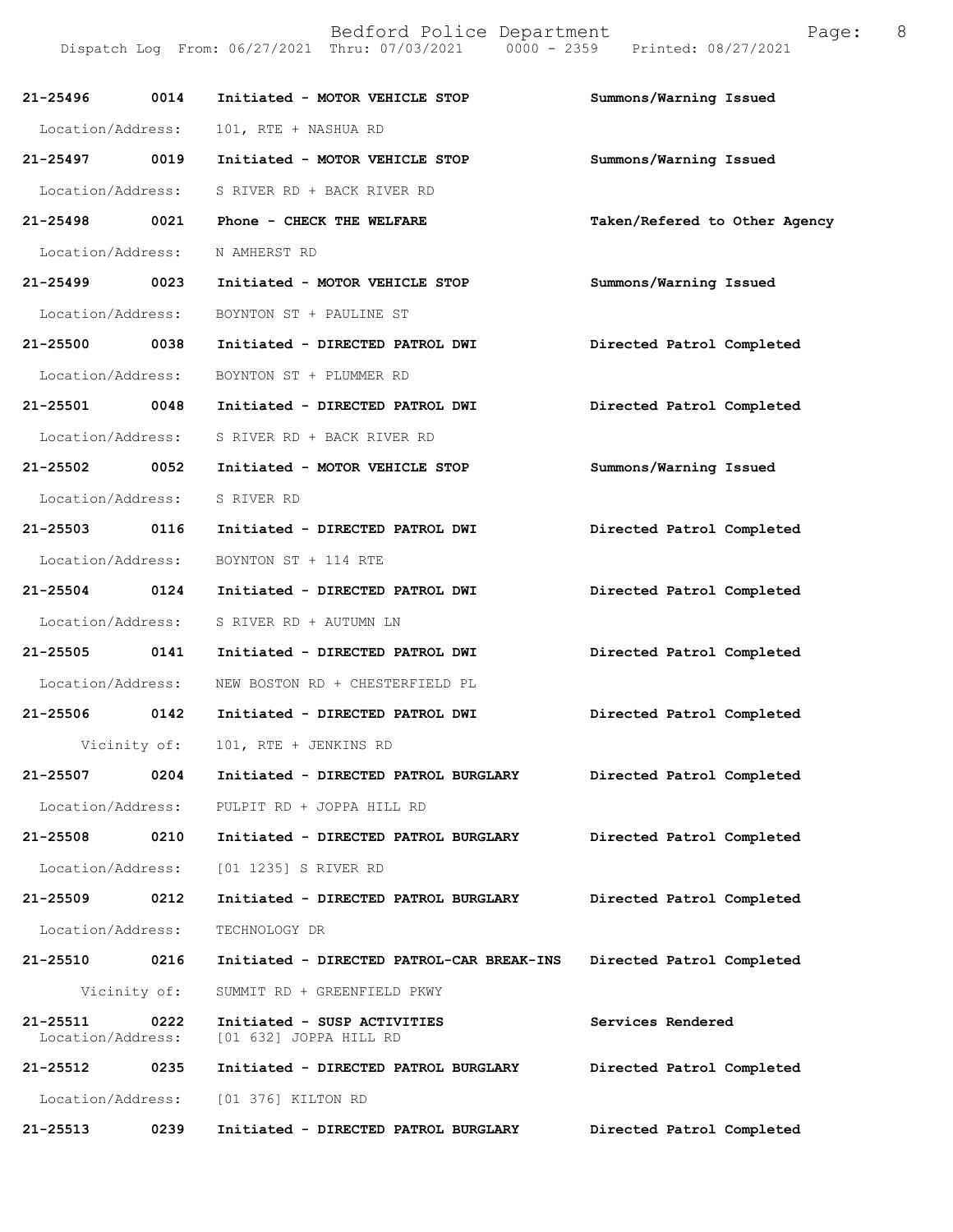| $21 - 25496$                      | 0014         | Initiated - MOTOR VEHICLE STOP                        | Summons/Warning Issued        |
|-----------------------------------|--------------|-------------------------------------------------------|-------------------------------|
| Location/Address:                 |              | 101, RTE + NASHUA RD                                  |                               |
| 21-25497 0019                     |              | Initiated - MOTOR VEHICLE STOP                        | Summons/Warning Issued        |
| Location/Address:                 |              | S RIVER RD + BACK RIVER RD                            |                               |
| 21-25498 0021                     |              | Phone - CHECK THE WELFARE                             | Taken/Refered to Other Agency |
| Location/Address:                 |              | N AMHERST RD                                          |                               |
| 21-25499 0023                     |              | Initiated - MOTOR VEHICLE STOP                        | Summons/Warning Issued        |
| Location/Address:                 |              | BOYNTON ST + PAULINE ST                               |                               |
| 21-25500 0038                     |              | Initiated - DIRECTED PATROL DWI                       | Directed Patrol Completed     |
| Location/Address:                 |              | BOYNTON ST + PLUMMER RD                               |                               |
| 21-25501 0048                     |              | Initiated - DIRECTED PATROL DWI                       | Directed Patrol Completed     |
| Location/Address:                 |              | S RIVER RD + BACK RIVER RD                            |                               |
| 21-25502 0052                     |              | Initiated - MOTOR VEHICLE STOP                        | Summons/Warning Issued        |
| Location/Address:                 |              | S RIVER RD                                            |                               |
| 21-25503 0116                     |              | Initiated - DIRECTED PATROL DWI                       | Directed Patrol Completed     |
| Location/Address:                 |              | BOYNTON ST + 114 RTE                                  |                               |
| 21-25504 0124                     |              | Initiated - DIRECTED PATROL DWI                       | Directed Patrol Completed     |
| Location/Address:                 |              | S RIVER RD + AUTUMN LN                                |                               |
| 21-25505 0141                     |              | Initiated - DIRECTED PATROL DWI                       | Directed Patrol Completed     |
| Location/Address:                 |              | NEW BOSTON RD + CHESTERFIELD PL                       |                               |
| 21-25506 0142                     |              | Initiated - DIRECTED PATROL DWI                       | Directed Patrol Completed     |
|                                   |              | Vicinity of: 101, RTE + JENKINS RD                    |                               |
| 21-25507                          | 0204         | $\texttt{Initiated - DIRECTED PATROL BURGLARY}$       | Directed Patrol Completed     |
| Location/Address:                 |              | PULPIT RD + JOPPA HILL RD                             |                               |
| 21-25508                          | 0210         | Initiated - DIRECTED PATROL BURGLARY                  | Directed Patrol Completed     |
| Location/Address:                 |              | [01 1235] S RIVER RD                                  |                               |
| 21-25509                          | 0212         | Initiated - DIRECTED PATROL BURGLARY                  | Directed Patrol Completed     |
| Location/Address:                 |              | TECHNOLOGY DR                                         |                               |
| 21-25510                          | 0216         | Initiated - DIRECTED PATROL-CAR BREAK-INS             | Directed Patrol Completed     |
|                                   | Vicinity of: | SUMMIT RD + GREENFIELD PKWY                           |                               |
| $21 - 25511$<br>Location/Address: | 0222         | Initiated - SUSP ACTIVITIES<br>[01 632] JOPPA HILL RD | Services Rendered             |
| 21-25512                          | 0235         | Initiated - DIRECTED PATROL BURGLARY                  | Directed Patrol Completed     |
| Location/Address:                 |              | [01 376] KILTON RD                                    |                               |
| 21-25513                          | 0239         | Initiated - DIRECTED PATROL BURGLARY                  | Directed Patrol Completed     |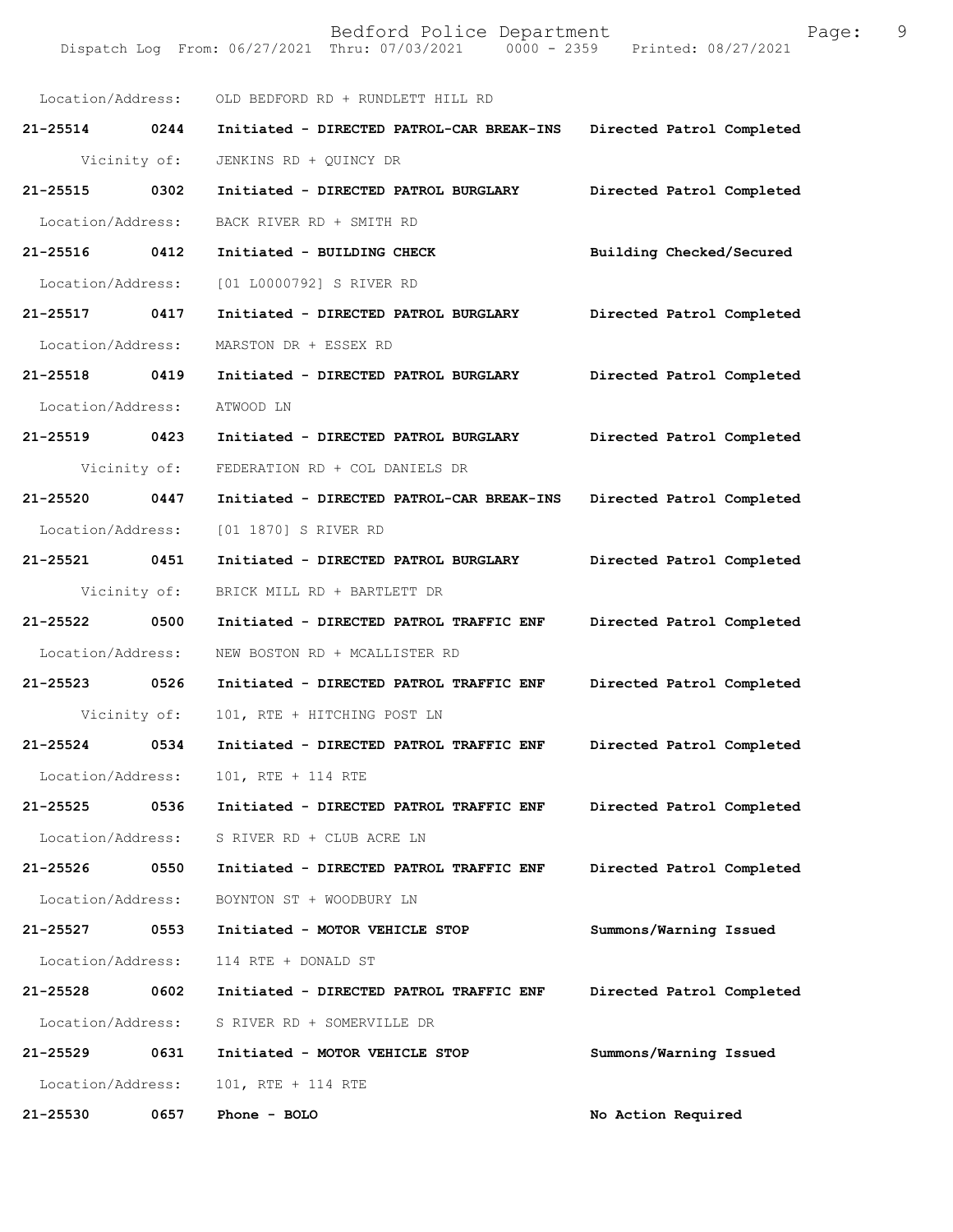|                   |              | Location/Address: OLD BEDFORD RD + RUNDLETT HILL RD |                           |
|-------------------|--------------|-----------------------------------------------------|---------------------------|
| 21-25514 0244     |              | Initiated - DIRECTED PATROL-CAR BREAK-INS           | Directed Patrol Completed |
| Vicinity of:      |              | JENKINS RD + QUINCY DR                              |                           |
| 21-25515 0302     |              | Initiated - DIRECTED PATROL BURGLARY                | Directed Patrol Completed |
| Location/Address: |              | BACK RIVER RD + SMITH RD                            |                           |
| 21-25516 0412     |              | Initiated - BUILDING CHECK                          | Building Checked/Secured  |
| Location/Address: |              | [01 L0000792] S RIVER RD                            |                           |
| 21-25517 0417     |              | Initiated - DIRECTED PATROL BURGLARY                | Directed Patrol Completed |
| Location/Address: |              | MARSTON DR + ESSEX RD                               |                           |
| 21-25518 0419     |              | Initiated - DIRECTED PATROL BURGLARY                | Directed Patrol Completed |
| Location/Address: |              | ATWOOD LN                                           |                           |
| 21-25519 0423     |              | Initiated - DIRECTED PATROL BURGLARY                | Directed Patrol Completed |
|                   | Vicinity of: | FEDERATION RD + COL DANIELS DR                      |                           |
| 21-25520 0447     |              | Initiated - DIRECTED PATROL-CAR BREAK-INS           | Directed Patrol Completed |
| Location/Address: |              | [01 1870] S RIVER RD                                |                           |
| 21-25521 0451     |              | Initiated - DIRECTED PATROL BURGLARY                | Directed Patrol Completed |
|                   | Vicinity of: | BRICK MILL RD + BARTLETT DR                         |                           |
| 21-25522 0500     |              | Initiated - DIRECTED PATROL TRAFFIC ENF             | Directed Patrol Completed |
| Location/Address: |              | NEW BOSTON RD + MCALLISTER RD                       |                           |
| 21-25523 0526     |              | Initiated - DIRECTED PATROL TRAFFIC ENF             | Directed Patrol Completed |
|                   |              | Vicinity of: 101, RTE + HITCHING POST LN            |                           |
| 21-25524 0534     |              | Initiated - DIRECTED PATROL TRAFFIC ENF             | Directed Patrol Completed |
| Location/Address: |              | 101, RTE + 114 RTE                                  |                           |
| 21-25525          | 0536         | Initiated - DIRECTED PATROL TRAFFIC ENF             | Directed Patrol Completed |
| Location/Address: |              | S RIVER RD + CLUB ACRE LN                           |                           |
| 21-25526          | 0550         | Initiated - DIRECTED PATROL TRAFFIC ENF             | Directed Patrol Completed |
| Location/Address: |              | BOYNTON ST + WOODBURY LN                            |                           |
| 21-25527          | 0553         | Initiated - MOTOR VEHICLE STOP                      | Summons/Warning Issued    |
| Location/Address: |              | 114 RTE + DONALD ST                                 |                           |
| 21-25528          | 0602         | Initiated - DIRECTED PATROL TRAFFIC ENF             | Directed Patrol Completed |
| Location/Address: |              | S RIVER RD + SOMERVILLE DR                          |                           |
| 21-25529          | 0631         | Initiated - MOTOR VEHICLE STOP                      | Summons/Warning Issued    |
| Location/Address: |              | 101, RTE + 114 RTE                                  |                           |
| 21-25530          | 0657         | Phone - BOLO                                        | No Action Required        |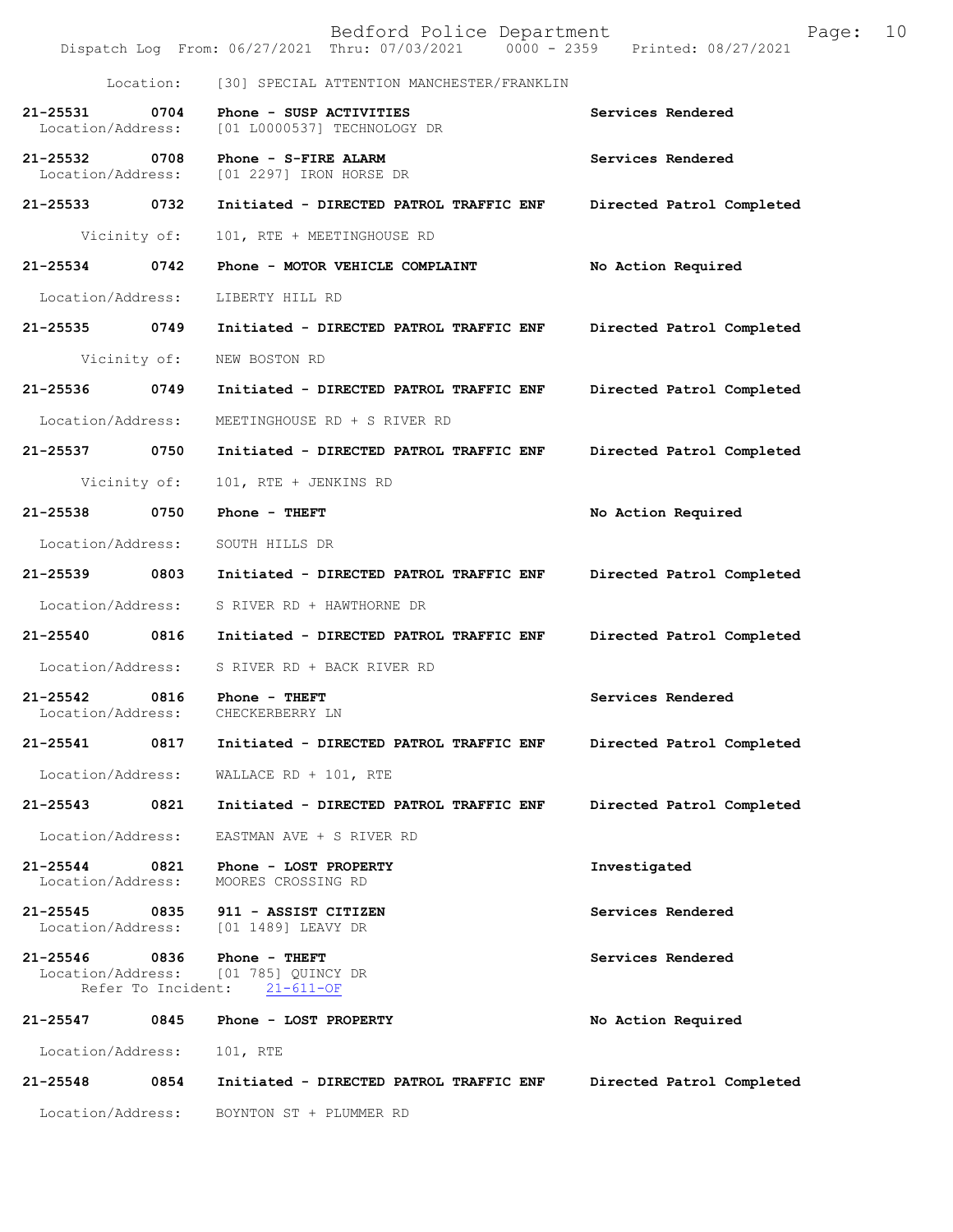|                                    |                            | Bedford Police Department<br>Dispatch Log From: 06/27/2021 Thru: 07/03/2021 0000 - 2359 Printed: 08/27/2021 |                           | Page: | 10 |
|------------------------------------|----------------------------|-------------------------------------------------------------------------------------------------------------|---------------------------|-------|----|
|                                    | Location:                  | [30] SPECIAL ATTENTION MANCHESTER/FRANKLIN                                                                  |                           |       |    |
| 21-25531<br>Location/Address:      | 0704                       | Phone - SUSP ACTIVITIES<br>[01 L0000537] TECHNOLOGY DR                                                      | Services Rendered         |       |    |
| 21-25532 0708<br>Location/Address: |                            | Phone - S-FIRE ALARM<br>[01 2297] IRON HORSE DR                                                             | Services Rendered         |       |    |
| 21-25533 0732                      |                            | Initiated - DIRECTED PATROL TRAFFIC ENF                                                                     | Directed Patrol Completed |       |    |
| Vicinity of:                       |                            | 101, RTE + MEETINGHOUSE RD                                                                                  |                           |       |    |
| 21-25534 0742                      |                            | Phone - MOTOR VEHICLE COMPLAINT                                                                             | No Action Required        |       |    |
| Location/Address:                  |                            | LIBERTY HILL RD                                                                                             |                           |       |    |
|                                    |                            | 21-25535 0749 Initiated - DIRECTED PATROL TRAFFIC ENF                                                       | Directed Patrol Completed |       |    |
| Vicinity of:                       |                            | NEW BOSTON RD                                                                                               |                           |       |    |
| 21-25536 0749                      |                            | Initiated - DIRECTED PATROL TRAFFIC ENF                                                                     | Directed Patrol Completed |       |    |
| Location/Address:                  |                            | MEETINGHOUSE RD + S RIVER RD                                                                                |                           |       |    |
| 21-25537 0750                      |                            | Initiated - DIRECTED PATROL TRAFFIC ENF                                                                     | Directed Patrol Completed |       |    |
| Vicinity of:                       |                            | 101, RTE + JENKINS RD                                                                                       |                           |       |    |
| 21-25538 0750                      |                            | Phone - THEFT                                                                                               | No Action Required        |       |    |
| Location/Address:                  |                            | SOUTH HILLS DR                                                                                              |                           |       |    |
| 21-25539 0803                      |                            | Initiated - DIRECTED PATROL TRAFFIC ENF                                                                     | Directed Patrol Completed |       |    |
| Location/Address:                  |                            | S RIVER RD + HAWTHORNE DR                                                                                   |                           |       |    |
| 21-25540 0816                      |                            | Initiated - DIRECTED PATROL TRAFFIC ENF                                                                     | Directed Patrol Completed |       |    |
| Location/Address:                  |                            | S RIVER RD + BACK RIVER RD                                                                                  |                           |       |    |
| 21-25542 0816<br>Location/Address: |                            | Phone - THEFT<br>CHECKERBERRY LN                                                                            | Services Rendered         |       |    |
| 21-25541                           | 0817                       | Initiated - DIRECTED PATROL TRAFFIC ENF                                                                     | Directed Patrol Completed |       |    |
| Location/Address:                  |                            | WALLACE RD + 101, RTE                                                                                       |                           |       |    |
| 21-25543                           | 0821                       | Initiated - DIRECTED PATROL TRAFFIC ENF                                                                     | Directed Patrol Completed |       |    |
| Location/Address:                  |                            | EASTMAN AVE + S RIVER RD                                                                                    |                           |       |    |
| 21-25544<br>Location/Address:      | 0821                       | Phone - LOST PROPERTY<br>MOORES CROSSING RD                                                                 | Investigated              |       |    |
| 21-25545<br>Location/Address:      | 0835                       | 911 - ASSIST CITIZEN<br>[01 1489] LEAVY DR                                                                  | Services Rendered         |       |    |
| 21-25546<br>Location/Address:      | 0836<br>Refer To Incident: | Phone - THEFT<br>[01 785] QUINCY DR<br>$21 - 611 - OF$                                                      | Services Rendered         |       |    |
| 21-25547                           | 0845                       | Phone - LOST PROPERTY                                                                                       | No Action Required        |       |    |
| Location/Address:                  |                            | 101, RTE                                                                                                    |                           |       |    |
| 21-25548                           | 0854                       | Initiated - DIRECTED PATROL TRAFFIC ENF                                                                     | Directed Patrol Completed |       |    |
| Location/Address:                  |                            | BOYNTON ST + PLUMMER RD                                                                                     |                           |       |    |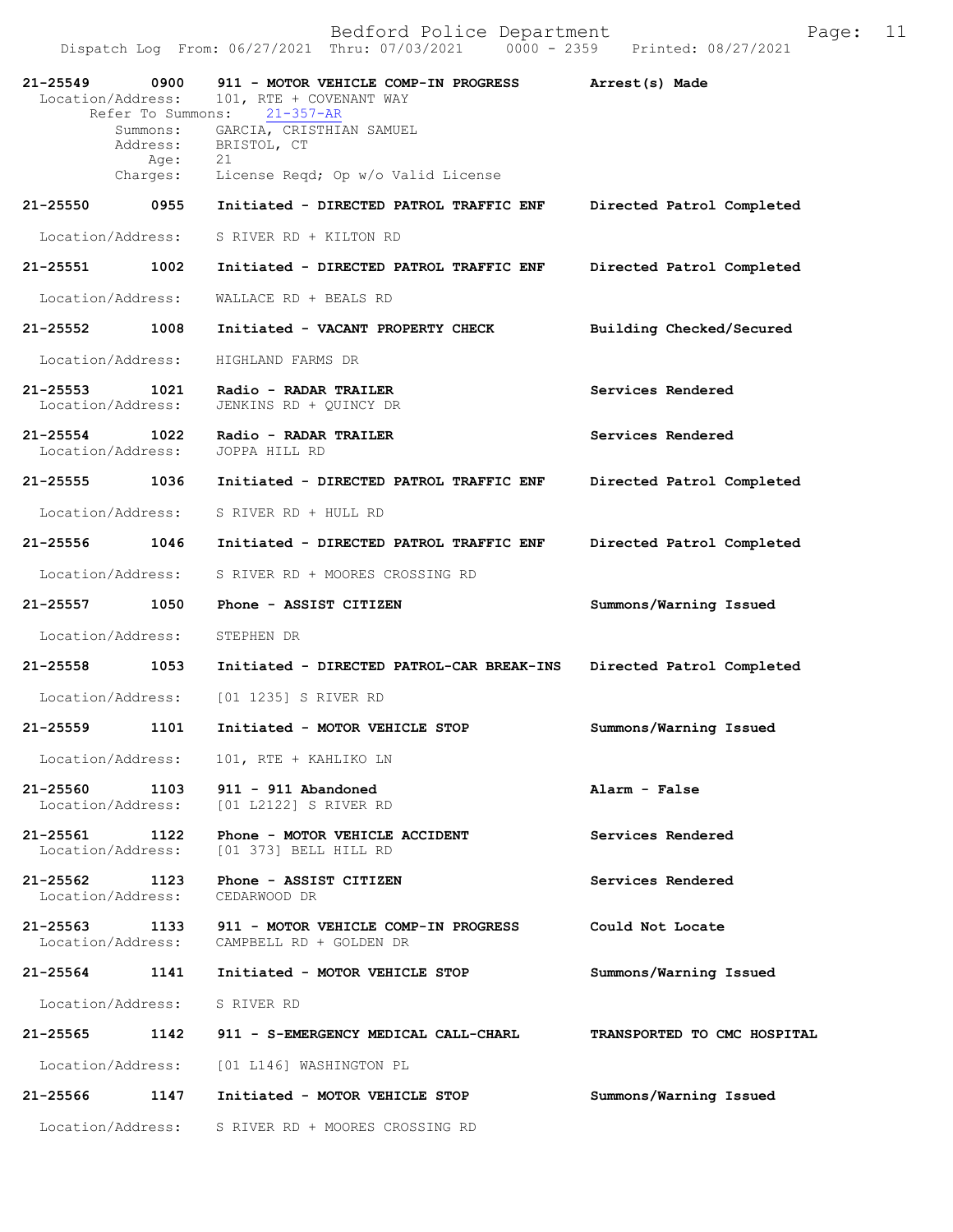|               | 21-25549 0900<br>Location/Address:<br>Refer To Summons: | 911 - MOTOR VEHICLE COMP-IN PROGRESS<br>101, RTE + COVENANT WAY<br>21-357-AR                    | Arrest(s) Made              |
|---------------|---------------------------------------------------------|-------------------------------------------------------------------------------------------------|-----------------------------|
|               | Age:                                                    | Summons: GARCIA, CRISTHIAN SAMUEL<br>Address: BRISTOL, CT<br>21                                 |                             |
|               | $Charges$ :                                             | License Reqd; Op w/o Valid License                                                              |                             |
|               | 21-25550 0955                                           | Initiated - DIRECTED PATROL TRAFFIC ENF                                                         | Directed Patrol Completed   |
|               | Location/Address:                                       | S RIVER RD + KILTON RD                                                                          |                             |
| 21-25551 1002 |                                                         | Initiated - DIRECTED PATROL TRAFFIC ENF                                                         | Directed Patrol Completed   |
|               | Location/Address:                                       | WALLACE RD + BEALS RD                                                                           |                             |
| 21-25552 1008 |                                                         | Initiated - VACANT PROPERTY CHECK                                                               | Building Checked/Secured    |
|               | Location/Address:                                       | HIGHLAND FARMS DR                                                                               |                             |
| $21 - 25553$  | 1021<br>Location/Address:                               | Radio - RADAR TRAILER<br>JENKINS RD + QUINCY DR                                                 | Services Rendered           |
|               | 21-25554 1022<br>Location/Address:                      | Radio - RADAR TRAILER<br>JOPPA HILL RD                                                          | Services Rendered           |
|               | 21-25555 1036                                           | Initiated - DIRECTED PATROL TRAFFIC ENF                                                         | Directed Patrol Completed   |
|               | Location/Address:                                       | S RIVER RD + HULL RD                                                                            |                             |
|               | 21-25556 1046                                           | Initiated - DIRECTED PATROL TRAFFIC ENF                                                         | Directed Patrol Completed   |
|               | Location/Address:                                       | S RIVER RD + MOORES CROSSING RD                                                                 |                             |
| 21-25557 1050 |                                                         | Phone - ASSIST CITIZEN                                                                          | Summons/Warning Issued      |
|               | Location/Address:                                       | STEPHEN DR                                                                                      |                             |
| 21-25558 1053 |                                                         | Initiated - DIRECTED PATROL-CAR BREAK-INS                                                       | Directed Patrol Completed   |
|               | Location/Address:                                       | [01 1235] S RIVER RD                                                                            |                             |
|               | 21-25559 1101                                           | Initiated - MOTOR VEHICLE STOP                                                                  | Summons/Warning Issued      |
|               | Location/Address:                                       | 101, RTE + KAHLIKO LN                                                                           |                             |
| 21-25560      |                                                         | 1103 911 - 911 Abandoned<br>Location/Address: [01 L2122] S RIVER RD                             | Alarm - False               |
|               |                                                         | 21-25561 1122 Phone - MOTOR VEHICLE ACCIDENT<br>Location/Address: [01 373] BELL HILL RD         | Services Rendered           |
|               |                                                         | 21-25562 1123 Phone - ASSIST CITIZEN<br>Location/Address: CEDARWOOD DR                          | Services Rendered           |
|               |                                                         | 21-25563 1133 911 - MOTOR VEHICLE COMP-IN PROGRESS<br>Location/Address: CAMPBELL RD + GOLDEN DR | Could Not Locate            |
|               |                                                         | 21-25564 1141 Initiated - MOTOR VEHICLE STOP                                                    | Summons/Warning Issued      |
|               |                                                         | Location/Address: S RIVER RD                                                                    |                             |
| 21-25565      |                                                         | 1142 911 - S-EMERGENCY MEDICAL CALL-CHARL                                                       | TRANSPORTED TO CMC HOSPITAL |
|               |                                                         | Location/Address: [01 L146] WASHINGTON PL                                                       |                             |
| 21-25566      |                                                         | 1147 Initiated - MOTOR VEHICLE STOP                                                             | Summons/Warning Issued      |
|               | Location/Address:                                       | S RIVER RD + MOORES CROSSING RD                                                                 |                             |
|               |                                                         |                                                                                                 |                             |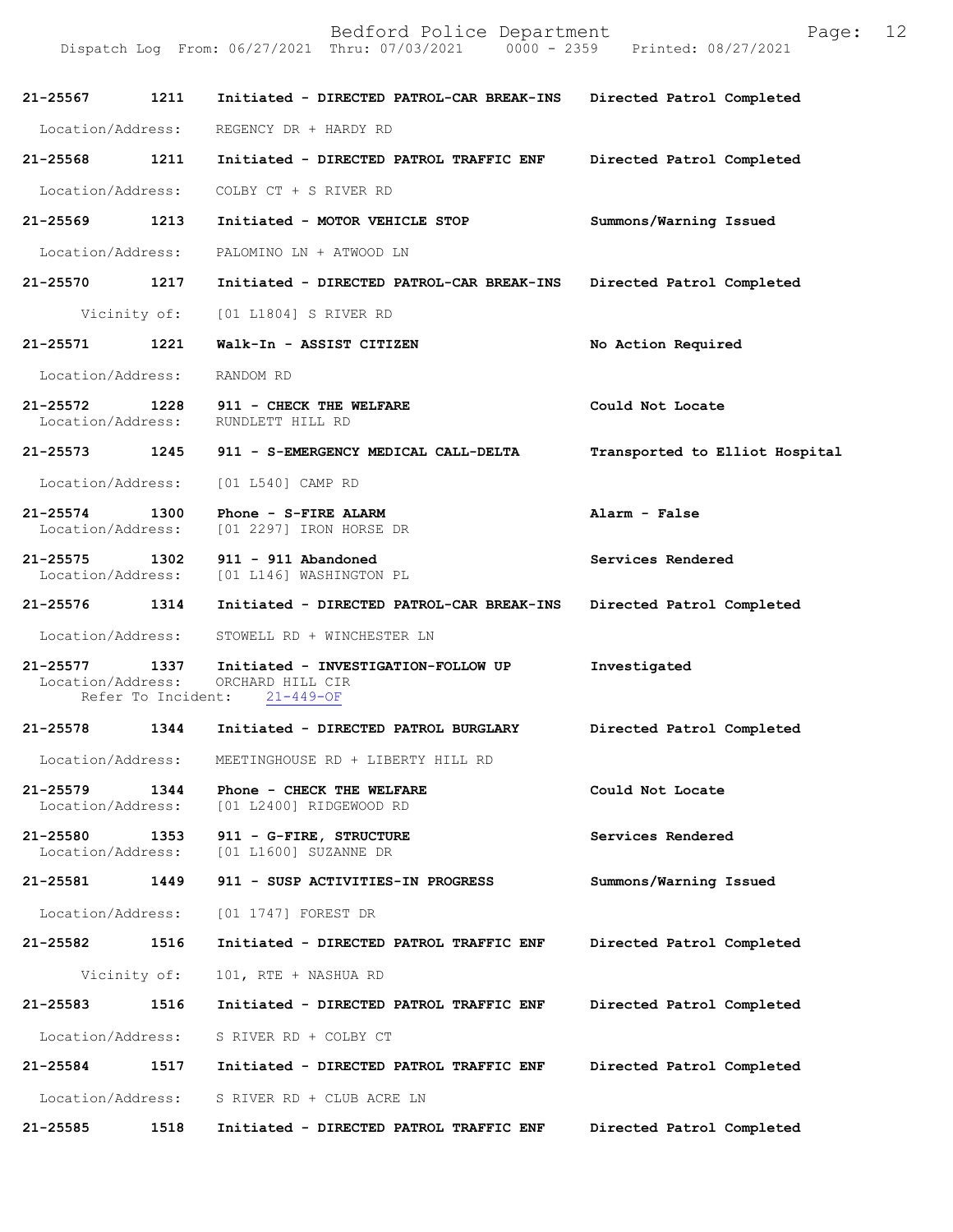| 21-25567                           | 1211         | Initiated - DIRECTED PATROL-CAR BREAK-INS                                                  | Directed Patrol Completed      |
|------------------------------------|--------------|--------------------------------------------------------------------------------------------|--------------------------------|
| Location/Address:                  |              | REGENCY DR + HARDY RD                                                                      |                                |
| 21-25568                           | 1211         | Initiated - DIRECTED PATROL TRAFFIC ENF                                                    | Directed Patrol Completed      |
| Location/Address:                  |              | COLBY CT + S RIVER RD                                                                      |                                |
| 21-25569 1213                      |              | Initiated - MOTOR VEHICLE STOP                                                             | Summons/Warning Issued         |
| Location/Address:                  |              | PALOMINO LN + ATWOOD LN                                                                    |                                |
| 21-25570                           | 1217         | Initiated - DIRECTED PATROL-CAR BREAK-INS                                                  | Directed Patrol Completed      |
|                                    |              | Vicinity of: [01 L1804] S RIVER RD                                                         |                                |
| 21-25571                           | 1221         | Walk-In - ASSIST CITIZEN                                                                   | No Action Required             |
| Location/Address:                  |              | RANDOM RD                                                                                  |                                |
| 21-25572 1228<br>Location/Address: |              | 911 - CHECK THE WELFARE<br>RUNDLETT HILL RD                                                | Could Not Locate               |
| $21 - 25573$                       |              | 1245 911 - S-EMERGENCY MEDICAL CALL-DELTA                                                  | Transported to Elliot Hospital |
| Location/Address:                  |              | [01 L540] CAMP RD                                                                          |                                |
| 21-25574 1300                      |              | Phone - S-FIRE ALARM<br>Location/Address: [01 2297] IRON HORSE DR                          | Alarm - False                  |
|                                    |              | 21-25575   1302   911 - 911   Abandoned<br>Location/Address: [01   L146]   WASHINGTON   PL | Services Rendered              |
| 21-25576                           | 1314         | Initiated - DIRECTED PATROL-CAR BREAK-INS                                                  | Directed Patrol Completed      |
| Location/Address:                  |              | STOWELL RD + WINCHESTER LN                                                                 |                                |
| 21-25577<br>Location/Address:      | 1337         | Initiated - INVESTIGATION-FOLLOW UP<br>ORCHARD HILL CIR<br>Refer To Incident: 21-449-OF    | Investigated                   |
| 21-25578 1344                      |              | Initiated - DIRECTED PATROL BURGLARY                                                       | Directed Patrol Completed      |
|                                    |              | Location/Address: MEETINGHOUSE RD + LIBERTY HILL RD                                        |                                |
| 21-25579<br>Location/Address:      | 1344         | Phone - CHECK THE WELFARE<br>[01 L2400] RIDGEWOOD RD                                       | Could Not Locate               |
| 21-25580<br>Location/Address:      | 1353         | 911 - G-FIRE, STRUCTURE<br>[01 L1600] SUZANNE DR                                           | Services Rendered              |
| 21-25581                           | 1449         | 911 - SUSP ACTIVITIES-IN PROGRESS                                                          | Summons/Warning Issued         |
| Location/Address:                  |              | [01 1747] FOREST DR                                                                        |                                |
| 21-25582                           | 1516         | Initiated - DIRECTED PATROL TRAFFIC ENF                                                    | Directed Patrol Completed      |
|                                    | Vicinity of: | 101, RTE + NASHUA RD                                                                       |                                |
| 21-25583                           | 1516         | Initiated - DIRECTED PATROL TRAFFIC ENF                                                    | Directed Patrol Completed      |
| Location/Address:                  |              | S RIVER RD + COLBY CT                                                                      |                                |
| 21-25584                           | 1517         | Initiated - DIRECTED PATROL TRAFFIC ENF                                                    | Directed Patrol Completed      |
| Location/Address:                  |              | S RIVER RD + CLUB ACRE LN                                                                  |                                |
| 21-25585                           | 1518         | Initiated - DIRECTED PATROL TRAFFIC ENF                                                    | Directed Patrol Completed      |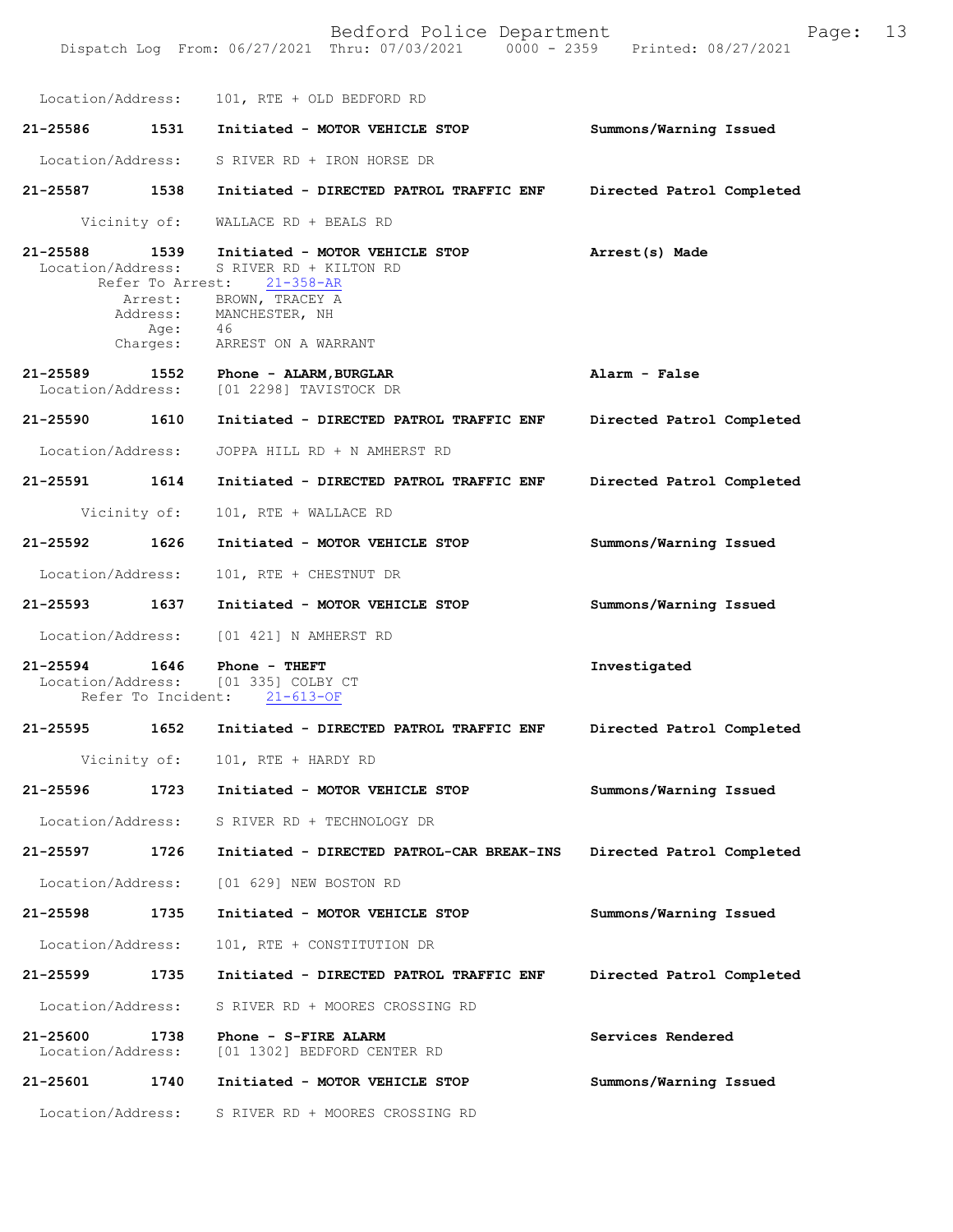Bedford Police Department Fage: 13 Dispatch Log From: 06/27/2021 Thru: 07/03/2021 0000 - 2359 Printed: 08/27/2021 Location/Address: 101, RTE + OLD BEDFORD RD **21-25586 1531 Initiated - MOTOR VEHICLE STOP Summons/Warning Issued**  Location/Address: S RIVER RD + IRON HORSE DR **21-25587 1538 Initiated - DIRECTED PATROL TRAFFIC ENF Directed Patrol Completed**  Vicinity of: WALLACE RD + BEALS RD **21-25588 1539 Initiated - MOTOR VEHICLE STOP Arrest(s) Made**  Location/Address: S RIVER RD + KILTON RD<br>Refer To Arrest: 21-358-AR Refer To Arrest: **Alarm - False Directed Patrol Completed Directed Patrol Completed Summons/Warning Issued Summons/Warning Issued 21-25594 1646 Phone - THEFT Investigated**  Location/Address: [01 335] COLBY CT Refer To Incident: 21-613-OF **21-25595 1652 Initiated - DIRECTED PATROL TRAFFIC ENF Directed Patrol Completed**  Vicinity of: 101, RTE + HARDY RD **21-25596 1723 Initiated - MOTOR VEHICLE STOP Summons/Warning Issued**  Location/Address: S RIVER RD + TECHNOLOGY DR **21-25597 1726 Initiated - DIRECTED PATROL-CAR BREAK-INS Directed Patrol Completed**  Location/Address: [01 629] NEW BOSTON RD **21-25598 1735 Initiated - MOTOR VEHICLE STOP Summons/Warning Issued**  Location/Address: 101, RTE + CONSTITUTION DR **21-25599 1735 Initiated - DIRECTED PATROL TRAFFIC ENF Directed Patrol Completed**  Location/Address: S RIVER RD + MOORES CROSSING RD **21-25600 1738 Phone - S-FIRE ALARM Services Rendered**  [01 1302] BEDFORD CENTER RD **21-25601 1740 Initiated - MOTOR VEHICLE STOP Summons/Warning Issued**  Arrest: BROWN, TRACEY A Address: MANCHESTER, NH Age: 46<br>Charges: ARP Charges: ARREST ON A WARRANT **21-25589 1552 Phone - ALARM,BURGLAR** Location/Address: [01 2298] TAVISTOCK DR **21-25590 1610 Initiated - DIRECTED PATROL TRAFFIC ENF** Location/Address: JOPPA HILL RD + N AMHERST RD **21-25591 1614 Initiated - DIRECTED PATROL TRAFFIC ENF** Vicinity of: 101, RTE + WALLACE RD **21-25592 1626 Initiated - MOTOR VEHICLE STOP** Location/Address: 101, RTE + CHESTNUT DR **21-25593 1637 Initiated - MOTOR VEHICLE STOP** Location/Address: [01 421] N AMHERST RD

Location/Address: S RIVER RD + MOORES CROSSING RD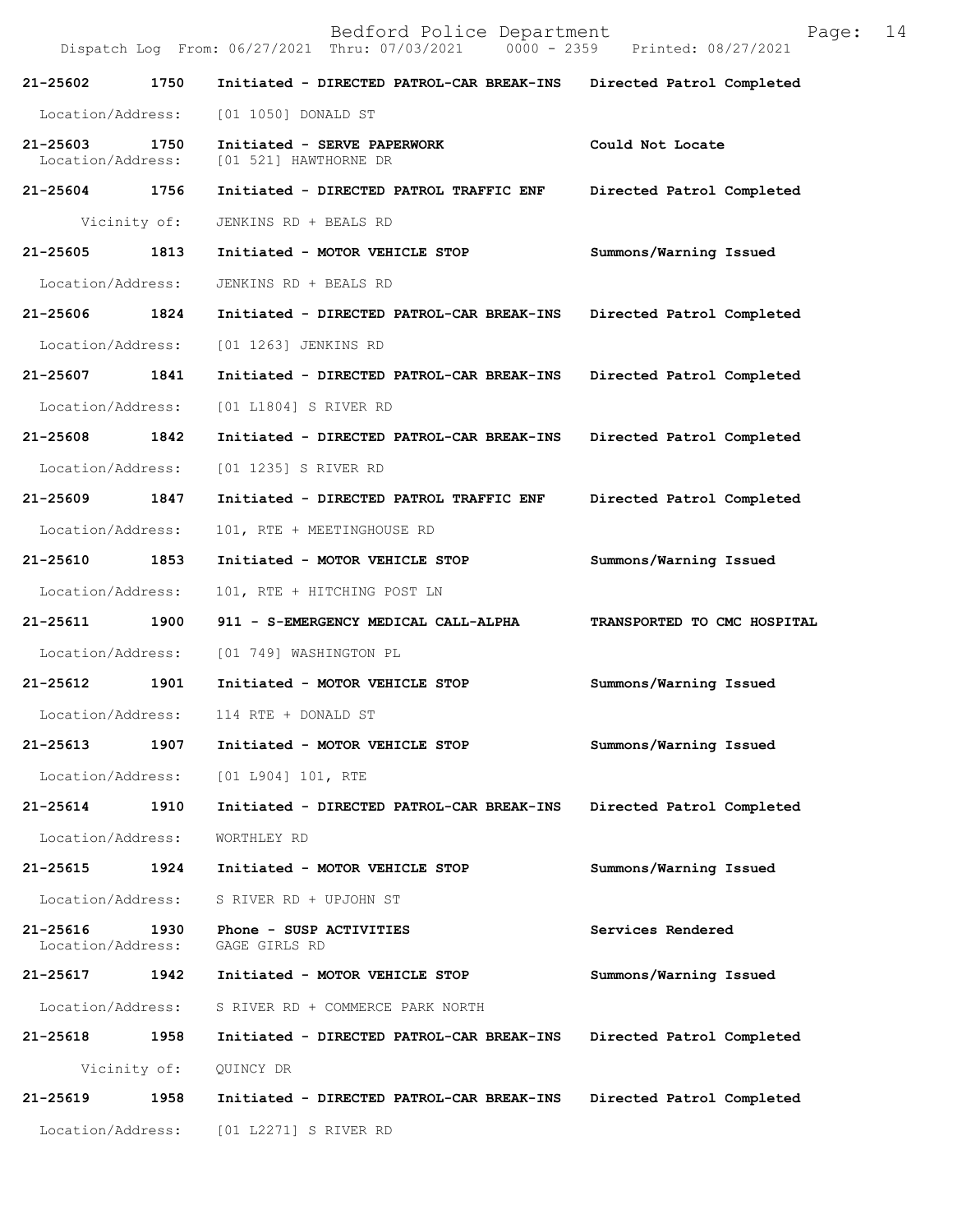Bedford Police Department Page: 14 Dispatch Log From: 06/27/2021 Thru: 07/03/2021 **21-25602 1750 Initiated - DIRECTED PATROL-CAR BREAK-INS Directed Patrol Completed**  Location/Address: [01 1050] DONALD ST **21-25603 1750 Initiated - SERVE PAPERWORK Could Not Locate**  Location/Address: [01 521] HAWTHORNE DR **21-25604 1756 Initiated - DIRECTED PATROL TRAFFIC ENF Directed Patrol Completed**  Vicinity of: JENKINS RD + BEALS RD **21-25605 1813 Initiated - MOTOR VEHICLE STOP Summons/Warning Issued**  Location/Address: JENKINS RD + BEALS RD **21-25606 1824 Initiated - DIRECTED PATROL-CAR BREAK-INS Directed Patrol Completed**  Location/Address: [01 1263] JENKINS RD **21-25607 1841 Initiated - DIRECTED PATROL-CAR BREAK-INS Directed Patrol Completed**  Location/Address: [01 L1804] S RIVER RD **21-25608 1842 Initiated - DIRECTED PATROL-CAR BREAK-INS Directed Patrol Completed**  Location/Address: [01 1235] S RIVER RD **21-25609 1847 Initiated - DIRECTED PATROL TRAFFIC ENF Directed Patrol Completed**  Location/Address: 101, RTE + MEETINGHOUSE RD **21-25610 1853 Initiated - MOTOR VEHICLE STOP Summons/Warning Issued**  Location/Address: 101, RTE + HITCHING POST LN **21-25611 1900 911 - S-EMERGENCY MEDICAL CALL-ALPHA TRANSPORTED TO CMC HOSPITAL**  Location/Address: [01 749] WASHINGTON PL **21-25612 1901 Initiated - MOTOR VEHICLE STOP Summons/Warning Issued**  Location/Address: 114 RTE + DONALD ST **21-25613 1907 Initiated - MOTOR VEHICLE STOP Summons/Warning Issued**  Location/Address: [01 L904] 101, RTE **21-25614 1910 Initiated - DIRECTED PATROL-CAR BREAK-INS Directed Patrol Completed**  Location/Address: WORTHLEY RD **21-25615 1924 Initiated - MOTOR VEHICLE STOP Summons/Warning Issued**  Location/Address: S RIVER RD + UPJOHN ST **21-25616 1930 Phone - SUSP ACTIVITIES Services Rendered**  Location/Address: GAGE GIRLS RD **21-25617 1942 Initiated - MOTOR VEHICLE STOP Summons/Warning Issued**  Location/Address: S RIVER RD + COMMERCE PARK NORTH **21-25618 1958 Initiated - DIRECTED PATROL-CAR BREAK-INS Directed Patrol Completed**  Vicinity of: QUINCY DR **21-25619 1958 Initiated - DIRECTED PATROL-CAR BREAK-INS Directed Patrol Completed**  Location/Address: [01 L2271] S RIVER RD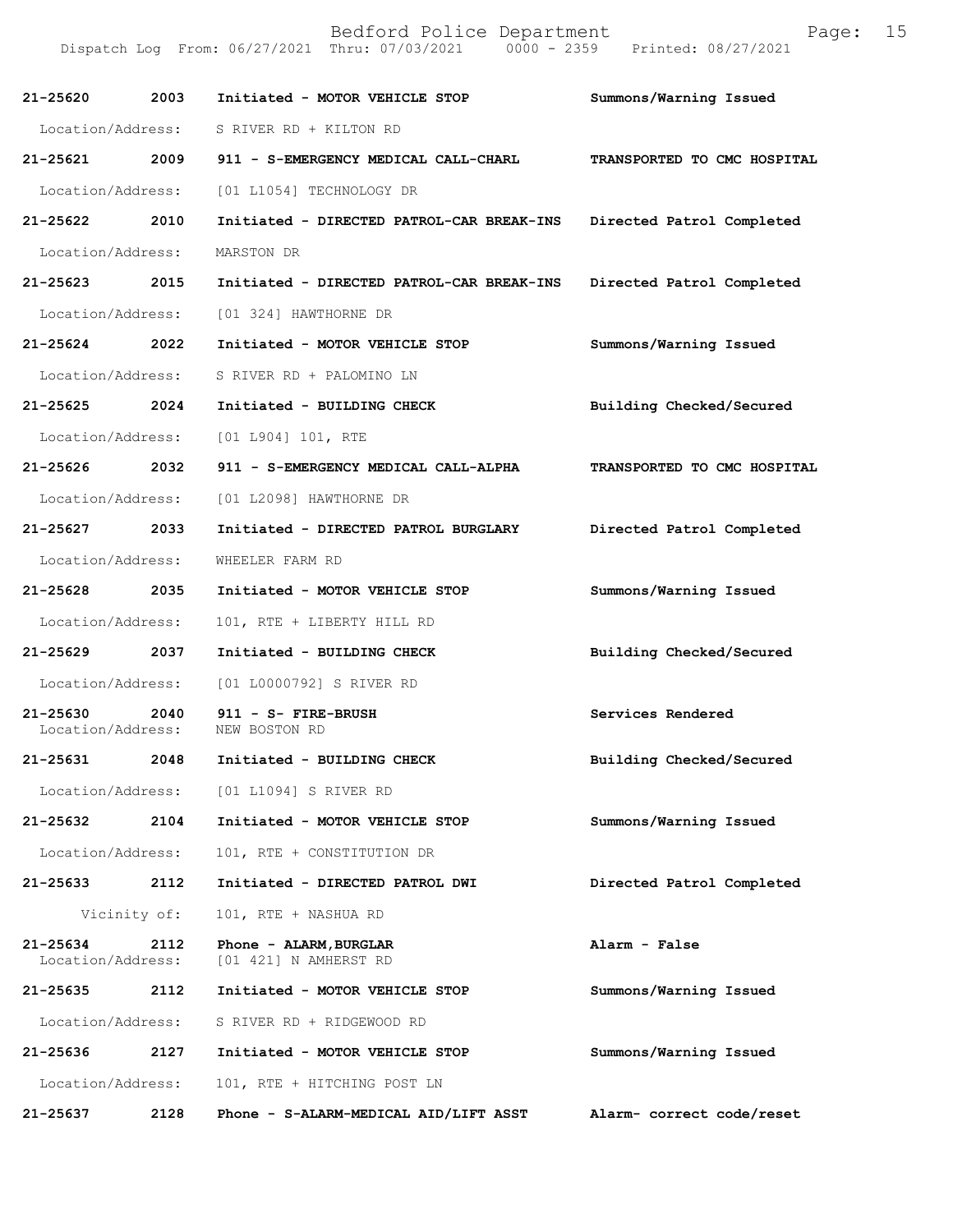| 21-25620                      | 2003         | Initiated - MOTOR VEHICLE STOP                  | Summons/Warning Issued      |
|-------------------------------|--------------|-------------------------------------------------|-----------------------------|
| Location/Address:             |              | S RIVER RD + KILTON RD                          |                             |
| 21-25621                      | 2009         | 911 - S-EMERGENCY MEDICAL CALL-CHARL            | TRANSPORTED TO CMC HOSPITAL |
| Location/Address:             |              | [01 L1054] TECHNOLOGY DR                        |                             |
| 21-25622 2010                 |              | Initiated - DIRECTED PATROL-CAR BREAK-INS       | Directed Patrol Completed   |
| Location/Address:             |              | MARSTON DR                                      |                             |
| 21-25623 2015                 |              | Initiated - DIRECTED PATROL-CAR BREAK-INS       | Directed Patrol Completed   |
| Location/Address:             |              | [01 324] HAWTHORNE DR                           |                             |
| 21-25624 2022                 |              | Initiated - MOTOR VEHICLE STOP                  | Summons/Warning Issued      |
| Location/Address:             |              | S RIVER RD + PALOMINO LN                        |                             |
| 21-25625 2024                 |              | Initiated - BUILDING CHECK                      | Building Checked/Secured    |
| Location/Address:             |              | [01 L904] 101, RTE                              |                             |
| 21-25626 2032                 |              | 911 - S-EMERGENCY MEDICAL CALL-ALPHA            | TRANSPORTED TO CMC HOSPITAL |
| Location/Address:             |              | [01 L2098] HAWTHORNE DR                         |                             |
| 21-25627 2033                 |              | Initiated - DIRECTED PATROL BURGLARY            | Directed Patrol Completed   |
| Location/Address:             |              | WHEELER FARM RD                                 |                             |
| 21-25628 2035                 |              | Initiated - MOTOR VEHICLE STOP                  | Summons/Warning Issued      |
| Location/Address:             |              | 101, RTE + LIBERTY HILL RD                      |                             |
| 21-25629 2037                 |              | Initiated - BUILDING CHECK                      | Building Checked/Secured    |
| Location/Address:             |              | [01 L0000792] S RIVER RD                        |                             |
| 21-25630<br>Location/Address: | 2040         | 911 - S- FIRE-BRUSH<br>NEW BOSTON RD            | Services Rendered           |
| 21-25631 2048                 |              | Initiated - BUILDING CHECK                      | Building Checked/Secured    |
| Location/Address:             |              | [01 L1094] S RIVER RD                           |                             |
| 21-25632                      | 2104         | Initiated - MOTOR VEHICLE STOP                  | Summons/Warning Issued      |
| Location/Address:             |              | 101, RTE + CONSTITUTION DR                      |                             |
| 21-25633                      | 2112         | Initiated - DIRECTED PATROL DWI                 | Directed Patrol Completed   |
|                               | Vicinity of: | 101, RTE + NASHUA RD                            |                             |
| 21-25634<br>Location/Address: | 2112         | Phone - ALARM, BURGLAR<br>[01 421] N AMHERST RD | Alarm - False               |
| 21-25635                      | 2112         | Initiated - MOTOR VEHICLE STOP                  | Summons/Warning Issued      |
| Location/Address:             |              | S RIVER RD + RIDGEWOOD RD                       |                             |
| 21-25636                      | 2127         | Initiated - MOTOR VEHICLE STOP                  | Summons/Warning Issued      |
| Location/Address:             |              | 101, RTE + HITCHING POST LN                     |                             |
| 21-25637                      | 2128         | Phone - S-ALARM-MEDICAL AID/LIFT ASST           | Alarm- correct code/reset   |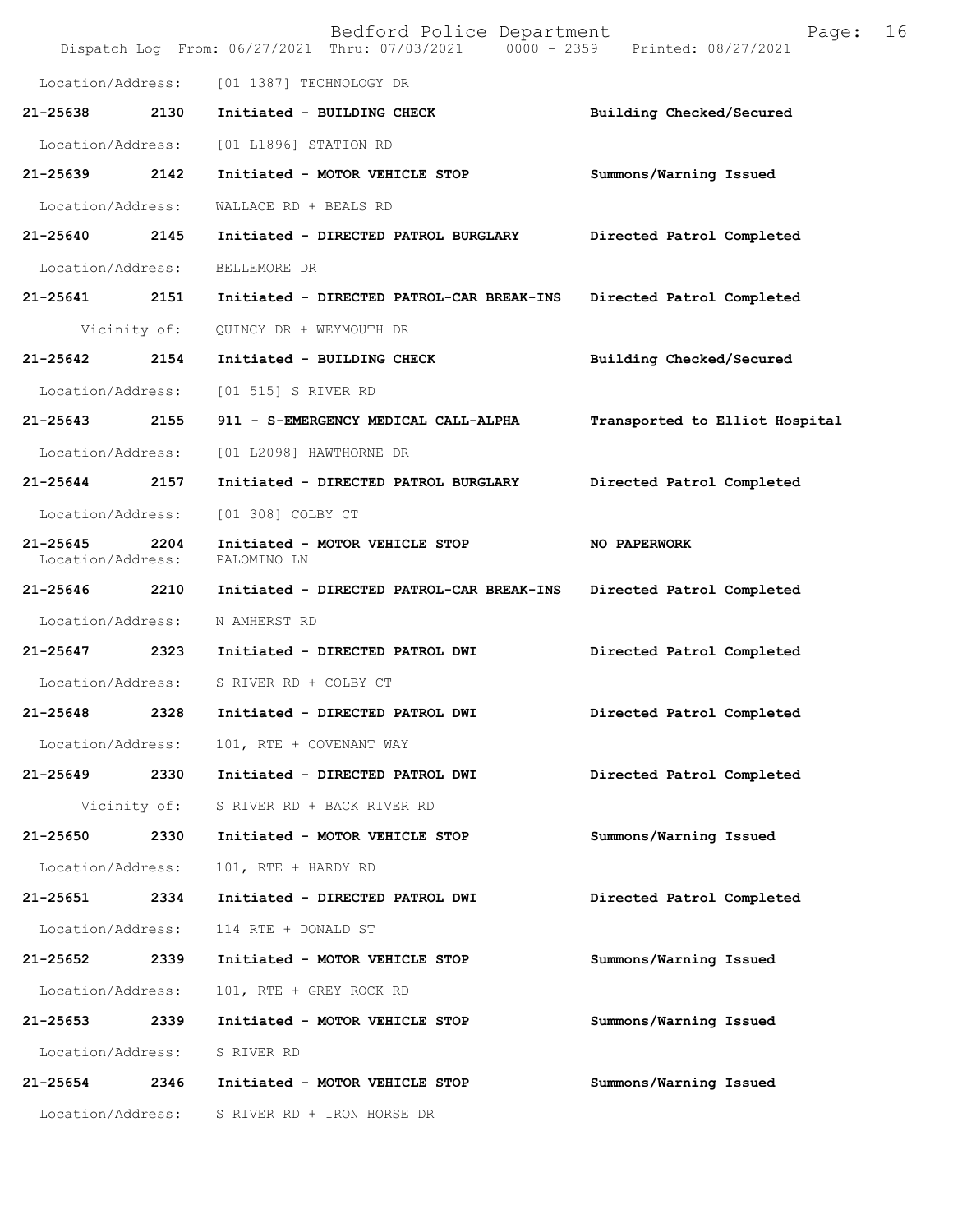|                                   |              | Bedford Police Department<br>Dispatch Log From: 06/27/2021 Thru: 07/03/2021 0000 - 2359 Printed: 08/27/2021 | 16<br>Page:                    |
|-----------------------------------|--------------|-------------------------------------------------------------------------------------------------------------|--------------------------------|
| Location/Address:                 |              | [01 1387] TECHNOLOGY DR                                                                                     |                                |
| 21-25638                          | 2130         | Initiated - BUILDING CHECK                                                                                  | Building Checked/Secured       |
| Location/Address:                 |              | [01 L1896] STATION RD                                                                                       |                                |
| 21-25639                          | 2142         | Initiated - MOTOR VEHICLE STOP                                                                              | Summons/Warning Issued         |
| Location/Address:                 |              | WALLACE RD + BEALS RD                                                                                       |                                |
| 21-25640                          | 2145         | Initiated - DIRECTED PATROL BURGLARY                                                                        | Directed Patrol Completed      |
| Location/Address:                 |              | BELLEMORE DR                                                                                                |                                |
| 21-25641                          | 2151         | Initiated - DIRECTED PATROL-CAR BREAK-INS                                                                   | Directed Patrol Completed      |
|                                   | Vicinity of: | QUINCY DR + WEYMOUTH DR                                                                                     |                                |
| 21-25642                          | 2154         | Initiated - BUILDING CHECK                                                                                  | Building Checked/Secured       |
| Location/Address:                 |              | [01 515] S RIVER RD                                                                                         |                                |
| 21-25643                          | 2155         | 911 - S-EMERGENCY MEDICAL CALL-ALPHA                                                                        | Transported to Elliot Hospital |
| Location/Address:                 |              | [01 L2098] HAWTHORNE DR                                                                                     |                                |
| 21-25644                          | 2157         | Initiated - DIRECTED PATROL BURGLARY                                                                        | Directed Patrol Completed      |
| Location/Address:                 |              | [01 308] COLBY CT                                                                                           |                                |
| $21 - 25645$<br>Location/Address: | 2204         | Initiated - MOTOR VEHICLE STOP<br>PALOMINO LN                                                               | NO PAPERWORK                   |
| 21-25646                          | 2210         | Initiated - DIRECTED PATROL-CAR BREAK-INS                                                                   | Directed Patrol Completed      |
| Location/Address:                 |              | N AMHERST RD                                                                                                |                                |
| 21-25647                          | 2323         | Initiated - DIRECTED PATROL DWI                                                                             | Directed Patrol Completed      |
| Location/Address:                 |              | S RIVER RD + COLBY CT                                                                                       |                                |
| 21-25648                          | 2328         | Initiated - DIRECTED PATROL DWI                                                                             | Directed Patrol Completed      |
| Location/Address:                 |              | 101, RTE + COVENANT WAY                                                                                     |                                |
| 21-25649                          | 2330         | Initiated - DIRECTED PATROL DWI                                                                             | Directed Patrol Completed      |
|                                   | Vicinity of: | S RIVER RD + BACK RIVER RD                                                                                  |                                |
| 21-25650                          | 2330         | Initiated - MOTOR VEHICLE STOP                                                                              | Summons/Warning Issued         |
| Location/Address:                 |              | 101, RTE + HARDY RD                                                                                         |                                |
| 21-25651 2334                     |              | Initiated - DIRECTED PATROL DWI                                                                             | Directed Patrol Completed      |
| Location/Address:                 |              | 114 RTE + DONALD ST                                                                                         |                                |
| 21-25652                          | 2339         | Initiated - MOTOR VEHICLE STOP                                                                              | Summons/Warning Issued         |
| Location/Address:                 |              | 101, RTE + GREY ROCK RD                                                                                     |                                |
| 21-25653                          | 2339         | Initiated - MOTOR VEHICLE STOP                                                                              | Summons/Warning Issued         |
| Location/Address:                 |              | S RIVER RD                                                                                                  |                                |
| 21-25654 2346                     |              | Initiated - MOTOR VEHICLE STOP                                                                              | Summons/Warning Issued         |
| Location/Address:                 |              | S RIVER RD + IRON HORSE DR                                                                                  |                                |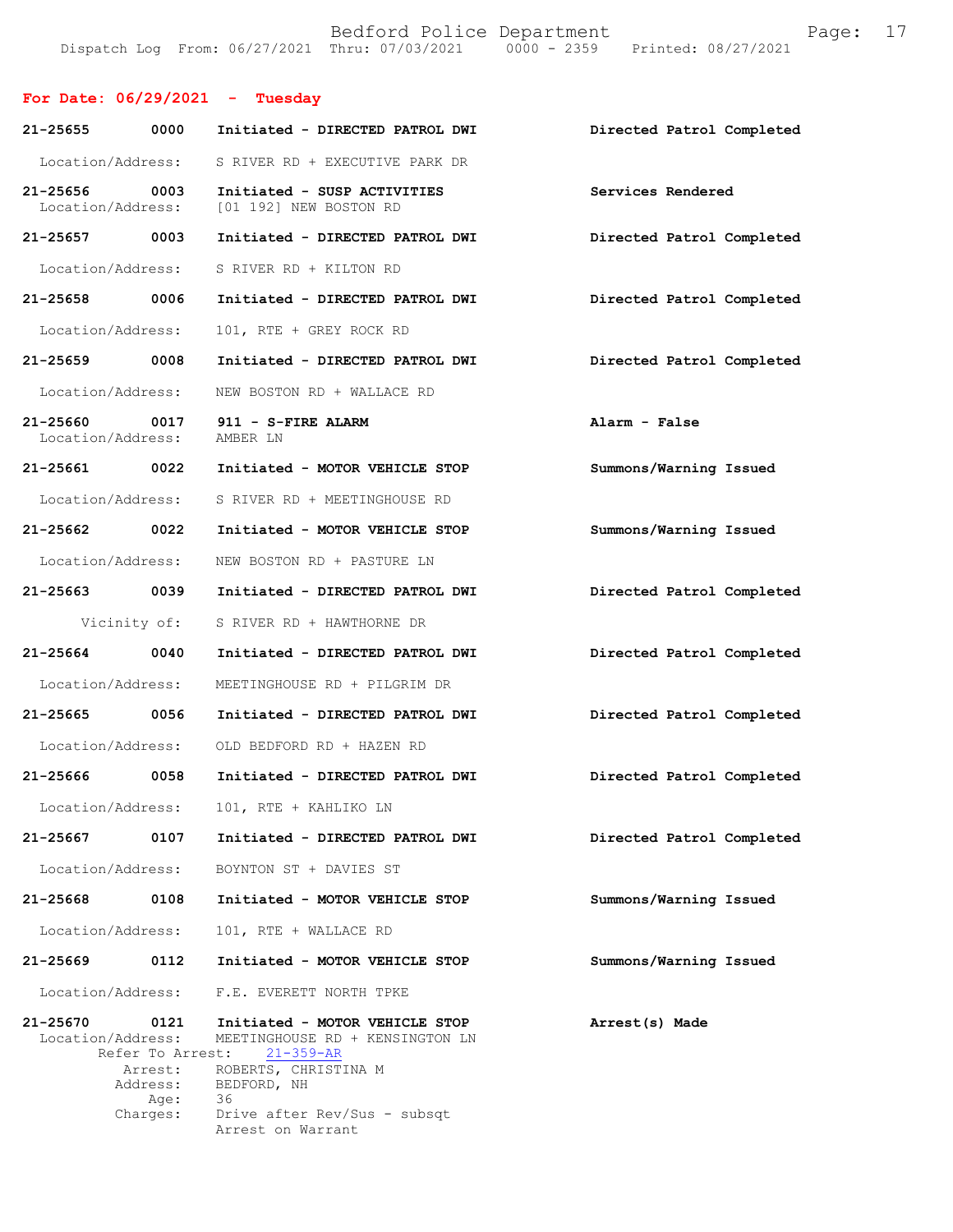## **For Date: 06/29/2021 - Tuesday**

| 21-25655                           | 0000                        | Initiated - DIRECTED PATROL DWI                                                      | Directed Patrol Completed |
|------------------------------------|-----------------------------|--------------------------------------------------------------------------------------|---------------------------|
| Location/Address:                  |                             | S RIVER RD + EXECUTIVE PARK DR                                                       |                           |
| 21-25656<br>Location/Address:      | 0003                        | Initiated - SUSP ACTIVITIES<br>[01 192] NEW BOSTON RD                                | Services Rendered         |
| 21-25657 0003                      |                             | Initiated - DIRECTED PATROL DWI                                                      | Directed Patrol Completed |
| Location/Address:                  |                             | S RIVER RD + KILTON RD                                                               |                           |
| 21-25658                           | 0006                        | Initiated - DIRECTED PATROL DWI                                                      | Directed Patrol Completed |
| Location/Address:                  |                             | 101, RTE + GREY ROCK RD                                                              |                           |
| 21-25659                           | 0008                        | Initiated - DIRECTED PATROL DWI                                                      | Directed Patrol Completed |
| Location/Address:                  |                             | NEW BOSTON RD + WALLACE RD                                                           |                           |
| 21-25660 0017<br>Location/Address: |                             | 911 - S-FIRE ALARM<br>AMBER LN                                                       | Alarm - False             |
| 21-25661                           | 0022                        | Initiated - MOTOR VEHICLE STOP                                                       | Summons/Warning Issued    |
| Location/Address:                  |                             | S RIVER RD + MEETINGHOUSE RD                                                         |                           |
| 21-25662 0022                      |                             | Initiated - MOTOR VEHICLE STOP                                                       | Summons/Warning Issued    |
| Location/Address:                  |                             | NEW BOSTON RD + PASTURE LN                                                           |                           |
| 21-25663 0039                      |                             | Initiated - DIRECTED PATROL DWI                                                      | Directed Patrol Completed |
| Vicinity of:                       |                             | S RIVER RD + HAWTHORNE DR                                                            |                           |
| 21-25664                           | 0040                        | Initiated - DIRECTED PATROL DWI                                                      | Directed Patrol Completed |
| Location/Address:                  |                             | MEETINGHOUSE RD + PILGRIM DR                                                         |                           |
| 21-25665                           | 0056                        | Initiated - DIRECTED PATROL DWI                                                      | Directed Patrol Completed |
| Location/Address:                  |                             | OLD BEDFORD RD + HAZEN RD                                                            |                           |
| 21-25666 0058                      |                             | Initiated - DIRECTED PATROL DWI                                                      | Directed Patrol Completed |
| Location/Address:                  |                             | 101, RTE + KAHLIKO LN                                                                |                           |
| 21-25667                           | 0107                        | Initiated - DIRECTED PATROL DWI                                                      | Directed Patrol Completed |
| Location/Address:                  |                             | BOYNTON ST + DAVIES ST                                                               |                           |
| 21-25668                           | 0108                        | Initiated - MOTOR VEHICLE STOP                                                       | Summons/Warning Issued    |
| Location/Address:                  |                             | 101, RTE + WALLACE RD                                                                |                           |
| 21-25669                           | 0112                        | Initiated - MOTOR VEHICLE STOP                                                       | Summons/Warning Issued    |
| Location/Address:                  |                             | F.E. EVERETT NORTH TPKE                                                              |                           |
| 21-25670<br>Location/Address:      | 0121<br>Refer To Arrest:    | Initiated - MOTOR VEHICLE STOP<br>MEETINGHOUSE RD + KENSINGTON LN<br>$21 - 359 - AR$ | Arrest(s) Made            |
|                                    | Arrest:<br>Address:<br>Age: | ROBERTS, CHRISTINA M<br>BEDFORD, NH<br>36                                            |                           |
|                                    | Charges:                    | Drive after Rev/Sus - subsqt<br>Arrest on Warrant                                    |                           |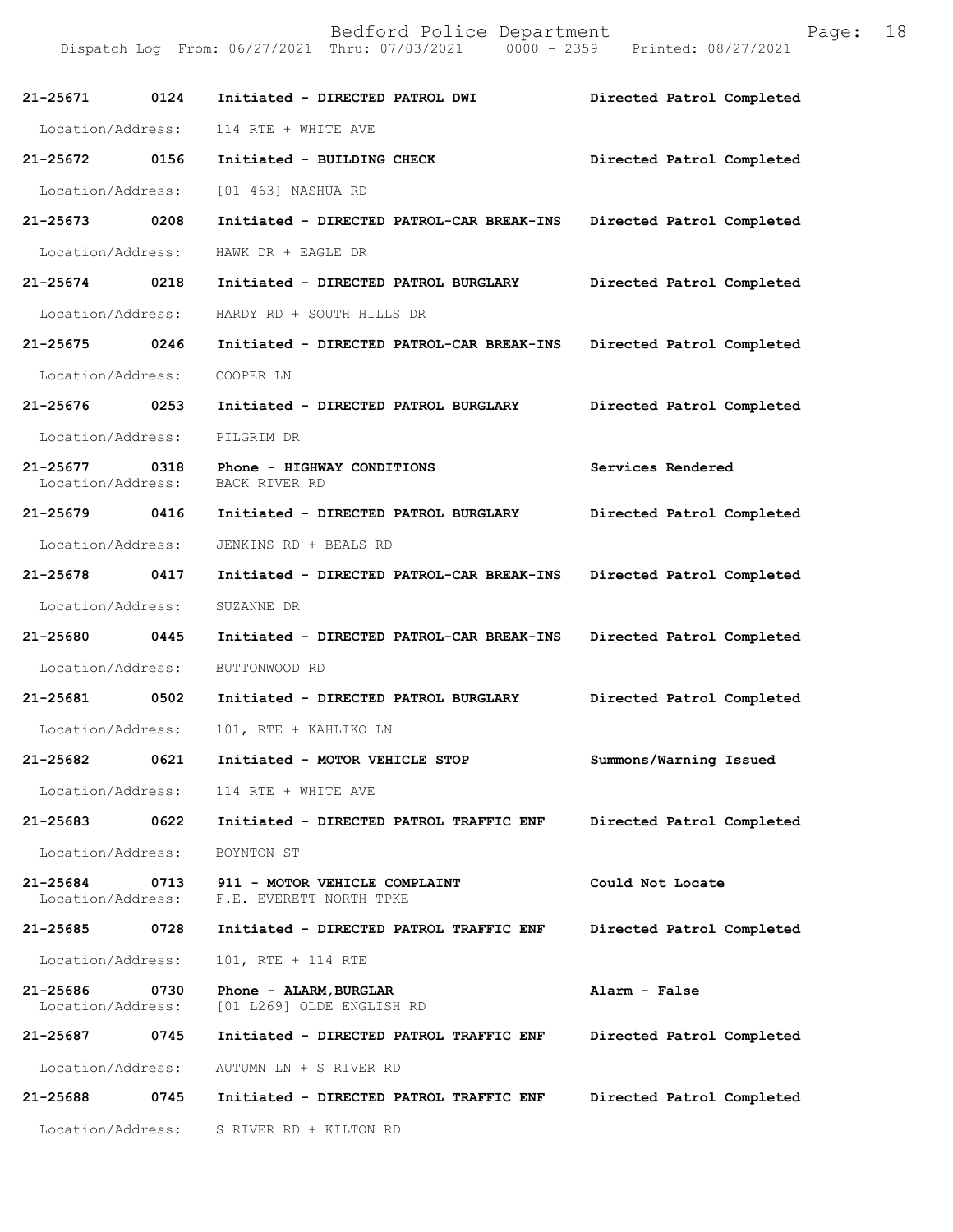| 21-25671 0124                         |      | Initiated - DIRECTED PATROL DWI                                                 | Directed Patrol Completed |
|---------------------------------------|------|---------------------------------------------------------------------------------|---------------------------|
| Location/Address:                     |      | 114 RTE + WHITE AVE                                                             |                           |
| 21-25672 0156                         |      | Initiated - BUILDING CHECK                                                      | Directed Patrol Completed |
| Location/Address:                     |      | [01 463] NASHUA RD                                                              |                           |
| 21-25673 0208                         |      | Initiated - DIRECTED PATROL-CAR BREAK-INS                                       | Directed Patrol Completed |
| Location/Address:                     |      | HAWK DR + EAGLE DR                                                              |                           |
| 21-25674 0218                         |      | Initiated - DIRECTED PATROL BURGLARY                                            | Directed Patrol Completed |
|                                       |      | Location/Address: HARDY RD + SOUTH HILLS DR                                     |                           |
| 21-25675 0246                         |      | Initiated - DIRECTED PATROL-CAR BREAK-INS Directed Patrol Completed             |                           |
| Location/Address:                     |      | COOPER LN                                                                       |                           |
| 21-25676 0253                         |      | Initiated - DIRECTED PATROL BURGLARY                                            | Directed Patrol Completed |
| Location/Address:                     |      | PILGRIM DR                                                                      |                           |
| Location/Address: BACK RIVER RD       |      | 21-25677 0318 Phone - HIGHWAY CONDITIONS                                        | Services Rendered         |
| 21-25679 0416                         |      | Initiated - DIRECTED PATROL BURGLARY                                            | Directed Patrol Completed |
| Location/Address:                     |      | JENKINS RD + BEALS RD                                                           |                           |
| 21-25678 0417                         |      | Initiated - DIRECTED PATROL-CAR BREAK-INS                                       | Directed Patrol Completed |
| Location/Address:                     |      | SUZANNE DR                                                                      |                           |
| 21-25680 0445                         |      | Initiated - DIRECTED PATROL-CAR BREAK-INS Directed Patrol Completed             |                           |
| Location/Address:                     |      | BUTTONWOOD RD                                                                   |                           |
|                                       |      |                                                                                 | Directed Patrol Completed |
| Location/Address:                     |      | 101, RTE + KAHLIKO LN                                                           |                           |
| 21-25682<br>0621                      |      | Initiated - MOTOR VEHICLE STOP                                                  | Summons/Warning Issued    |
|                                       |      | Location/Address: 114 RTE + WHITE AVE                                           |                           |
| 21-25683 0622                         |      | Initiated - DIRECTED PATROL TRAFFIC ENF                                         | Directed Patrol Completed |
| Location/Address:                     |      | BOYNTON ST                                                                      |                           |
| 21-25684                              |      | 0713 911 - MOTOR VEHICLE COMPLAINT<br>Location/Address: F.E. EVERETT NORTH TPKE | Could Not Locate          |
| 21-25685                              | 0728 | Initiated - DIRECTED PATROL TRAFFIC ENF                                         | Directed Patrol Completed |
| Location/Address:                     |      | 101, RTE + 114 RTE                                                              |                           |
| 21-25686<br>0730<br>Location/Address: |      | Phone - ALARM, BURGLAR<br>[01 L269] OLDE ENGLISH RD                             | Alarm - False             |
| 21-25687                              | 0745 | Initiated - DIRECTED PATROL TRAFFIC ENF                                         | Directed Patrol Completed |
| Location/Address:                     |      | AUTUMN LN + S RIVER RD                                                          |                           |
| 21-25688                              | 0745 | Initiated - DIRECTED PATROL TRAFFIC ENF                                         | Directed Patrol Completed |
| Location/Address:                     |      | S RIVER RD + KILTON RD                                                          |                           |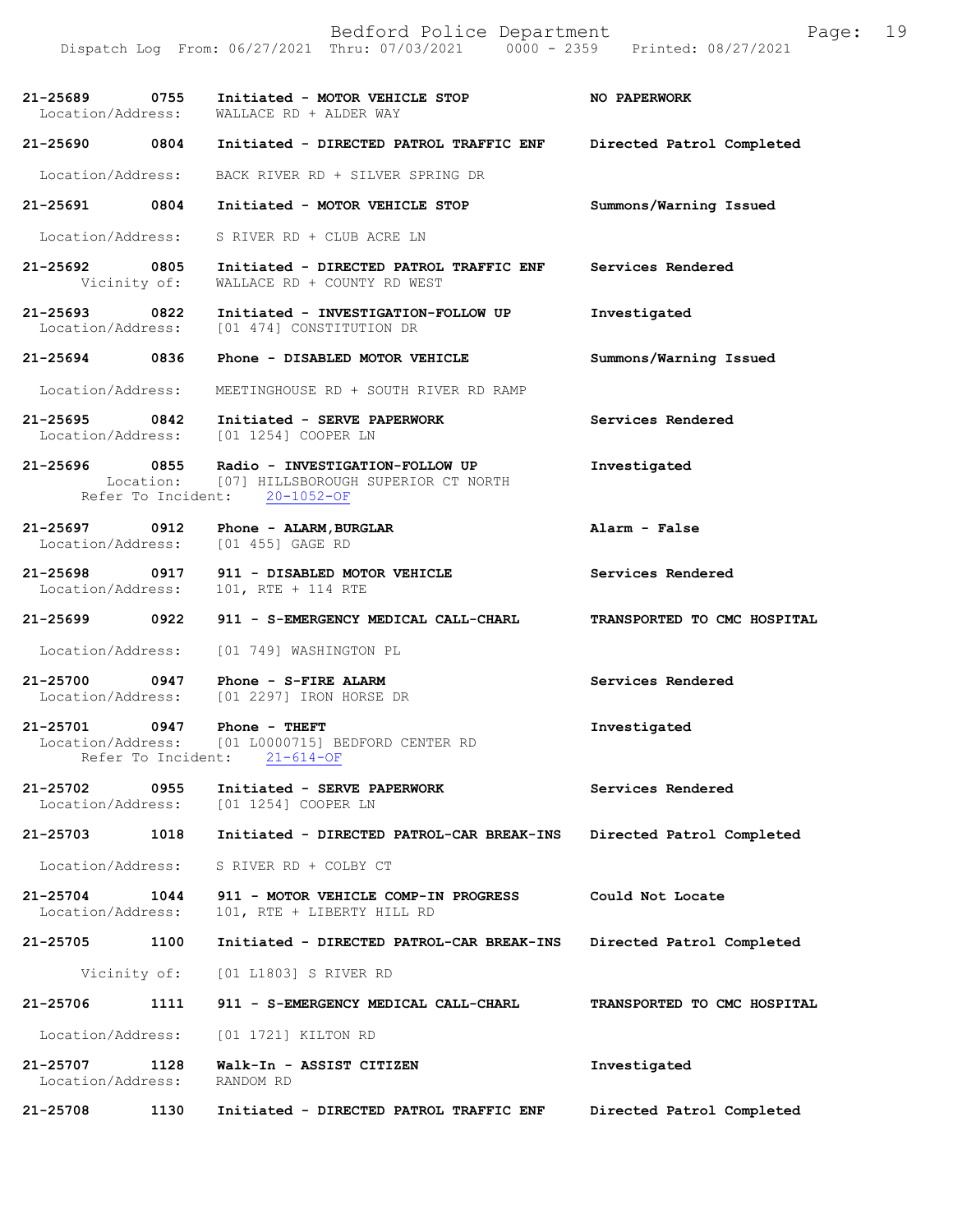Bedford Police Department Page: 19 Dispatch Log From:  $06/27/2021$  Thru: 07/03/2021 0000 - 2359 **21-25689 0755 Initiated - MOTOR VEHICLE STOP NO PAPERWORK**  Location/Address: WALLACE RD + ALDER WAY **21-25690 0804 Initiated - DIRECTED PATROL TRAFFIC ENF Directed Patrol Completed**  Location/Address: BACK RIVER RD + SILVER SPRING DR **21-25691 0804 Initiated - MOTOR VEHICLE STOP Summons/Warning Issued**  Location/Address: S RIVER RD + CLUB ACRE LN **21-25692 0805 Initiated - DIRECTED PATROL TRAFFIC ENF Services Rendered**  Vicinity of: WALLACE RD + COUNTY RD WEST **21-25693 0822 Initiated - INVESTIGATION-FOLLOW UP Investigated**  [01 474] CONSTITUTION DR **21-25694 0836 Phone - DISABLED MOTOR VEHICLE Summons/Warning Issued**  Location/Address: MEETINGHOUSE RD + SOUTH RIVER RD RAMP **21-25695 0842 Initiated - SERVE PAPERWORK Services Rendered**  Location/Address: [01 1254] COOPER LN **21-25696 0855 Radio - INVESTIGATION-FOLLOW UP Investigated**  Location: [07] HILLSBOROUGH SUPERIOR CT NORTH Refer To Incident: 20-1052-OF **21-25697 0912 Phone - ALARM,BURGLAR Alarm - False**  Location/Address: [01 455] GAGE RD **21-25698 0917 911 - DISABLED MOTOR VEHICLE Services Rendered** Location/Address: 101, RTE + 114 RTE Location/Address: 101, RTE + 114 RTE **21-25699 0922 911 - S-EMERGENCY MEDICAL CALL-CHARL TRANSPORTED TO CMC HOSPITAL**  Location/Address: [01 749] WASHINGTON PL **21-25700 0947 Phone - S-FIRE ALARM Services Rendered**  Location/Address: [01 2297] IRON HORSE DR **21-25701 0947 Phone - THEFT Investigated**  Location/Address: [01 L0000715] BEDFORD CENTER RD Refer To Incident: 21-614-OF **21-25702 0955 Initiated - SERVE PAPERWORK Services Rendered**  Location/Address: [01 1254] COOPER LN **21-25703 1018 Initiated - DIRECTED PATROL-CAR BREAK-INS Directed Patrol Completed**  Location/Address: S RIVER RD + COLBY CT **21-25704 1044 911 - MOTOR VEHICLE COMP-IN PROGRESS Could Not Locate**  Location/Address: 101, RTE + LIBERTY HILL RD **21-25705 1100 Initiated - DIRECTED PATROL-CAR BREAK-INS Directed Patrol Completed**  Vicinity of: [01 L1803] S RIVER RD **21-25706 1111 911 - S-EMERGENCY MEDICAL CALL-CHARL TRANSPORTED TO CMC HOSPITAL**  Location/Address: [01 1721] KILTON RD **21-25707 1128 Walk-In - ASSIST CITIZEN Investigated**  Location/Address: RANDOM RD **21-25708 1130 Initiated - DIRECTED PATROL TRAFFIC ENF Directed Patrol Completed**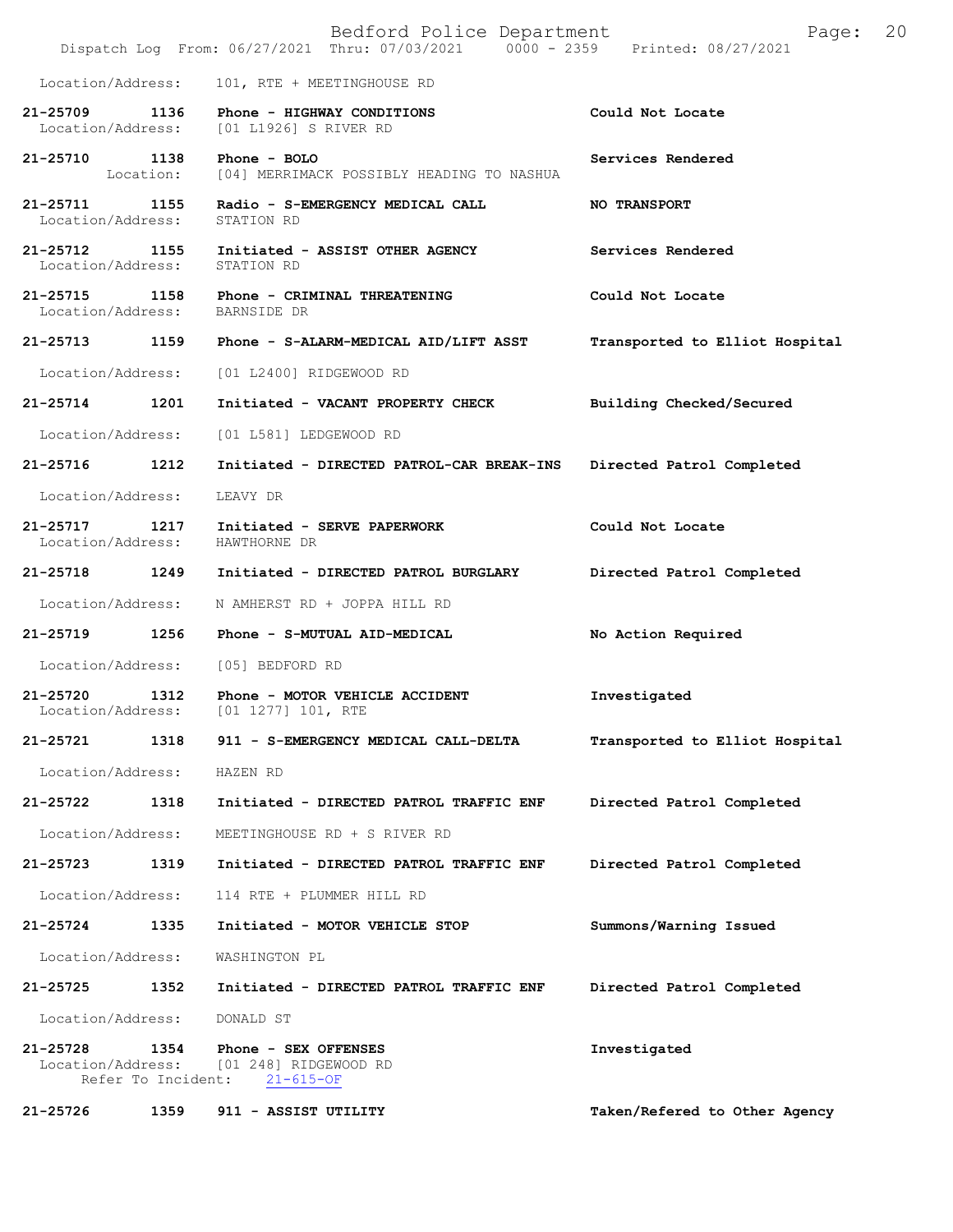|                                                     |           | Bedford Police Department<br>Dispatch Log From: 06/27/2021 Thru: 07/03/2021 0000 - 2359 Printed: 08/27/2021 | 20<br>Page:                    |
|-----------------------------------------------------|-----------|-------------------------------------------------------------------------------------------------------------|--------------------------------|
| Location/Address:                                   |           | 101, RTE + MEETINGHOUSE RD                                                                                  |                                |
| 21-25709 1136                                       |           | Phone - HIGHWAY CONDITIONS<br>Location/Address: [01 L1926] S RIVER RD                                       | Could Not Locate               |
| 21-25710 1138                                       | Location: | Phone $-$ BOLO<br>[04] MERRIMACK POSSIBLY HEADING TO NASHUA                                                 | Services Rendered              |
| $21 - 25711$<br>Location/Address:                   | 1155      | Radio - S-EMERGENCY MEDICAL CALL<br>STATION RD                                                              | <b>NO TRANSPORT</b>            |
| 21-25712<br>Location/Address:                       | 1155      | Initiated - ASSIST OTHER AGENCY<br>STATION RD                                                               | Services Rendered              |
| $21 - 25715$<br>Location/Address: BARNSIDE DR       | 1158      | Phone - CRIMINAL THREATENING                                                                                | Could Not Locate               |
| 21-25713                                            | 1159      | Phone - S-ALARM-MEDICAL AID/LIFT ASST                                                                       | Transported to Elliot Hospital |
| Location/Address:                                   |           | [01 L2400] RIDGEWOOD RD                                                                                     |                                |
| $21 - 25714$                                        | 1201      | Initiated - VACANT PROPERTY CHECK                                                                           | Building Checked/Secured       |
| Location/Address:                                   |           | [01 L581] LEDGEWOOD RD                                                                                      |                                |
| 21-25716                                            | 1212      | Initiated - DIRECTED PATROL-CAR BREAK-INS                                                                   | Directed Patrol Completed      |
| Location/Address:                                   |           | LEAVY DR                                                                                                    |                                |
| 21-25717 1217<br>Location/Address:                  |           | Initiated - SERVE PAPERWORK<br>HAWTHORNE DR                                                                 | Could Not Locate               |
| 21-25718 1249                                       |           | Initiated - DIRECTED PATROL BURGLARY                                                                        | Directed Patrol Completed      |
| Location/Address:                                   |           | N AMHERST RD + JOPPA HILL RD                                                                                |                                |
| 21-25719                                            | 1256      | Phone - S-MUTUAL AID-MEDICAL                                                                                | No Action Required             |
| Location/Address:                                   |           | [05] BEDFORD RD                                                                                             |                                |
| $21 - 25720$<br>Location/Address:                   | 1312      | Phone - MOTOR VEHICLE ACCIDENT<br>$[01 1277] 101$ , RTE                                                     | Investigated                   |
| 21-25721                                            | 1318      | 911 - S-EMERGENCY MEDICAL CALL-DELTA                                                                        | Transported to Elliot Hospital |
| Location/Address:                                   |           | HAZEN RD                                                                                                    |                                |
| 21-25722                                            | 1318      | Initiated - DIRECTED PATROL TRAFFIC ENF                                                                     | Directed Patrol Completed      |
| Location/Address:                                   |           | MEETINGHOUSE RD + S RIVER RD                                                                                |                                |
| 21-25723                                            | 1319      | Initiated - DIRECTED PATROL TRAFFIC ENF                                                                     | Directed Patrol Completed      |
| Location/Address:                                   |           | 114 RTE + PLUMMER HILL RD                                                                                   |                                |
| 21-25724                                            | 1335      | Initiated - MOTOR VEHICLE STOP                                                                              | Summons/Warning Issued         |
| Location/Address:                                   |           | WASHINGTON PL                                                                                               |                                |
| 21-25725                                            | 1352      | Initiated - DIRECTED PATROL TRAFFIC ENF                                                                     | Directed Patrol Completed      |
| Location/Address:                                   |           | DONALD ST                                                                                                   |                                |
| 21-25728<br>Location/Address:<br>Refer To Incident: | 1354      | Phone - SEX OFFENSES<br>[01 248] RIDGEWOOD RD<br>$21 - 615 - OF$                                            | Investigated                   |
| 21-25726                                            | 1359      | 911 - ASSIST UTILITY                                                                                        | Taken/Refered to Other Agency  |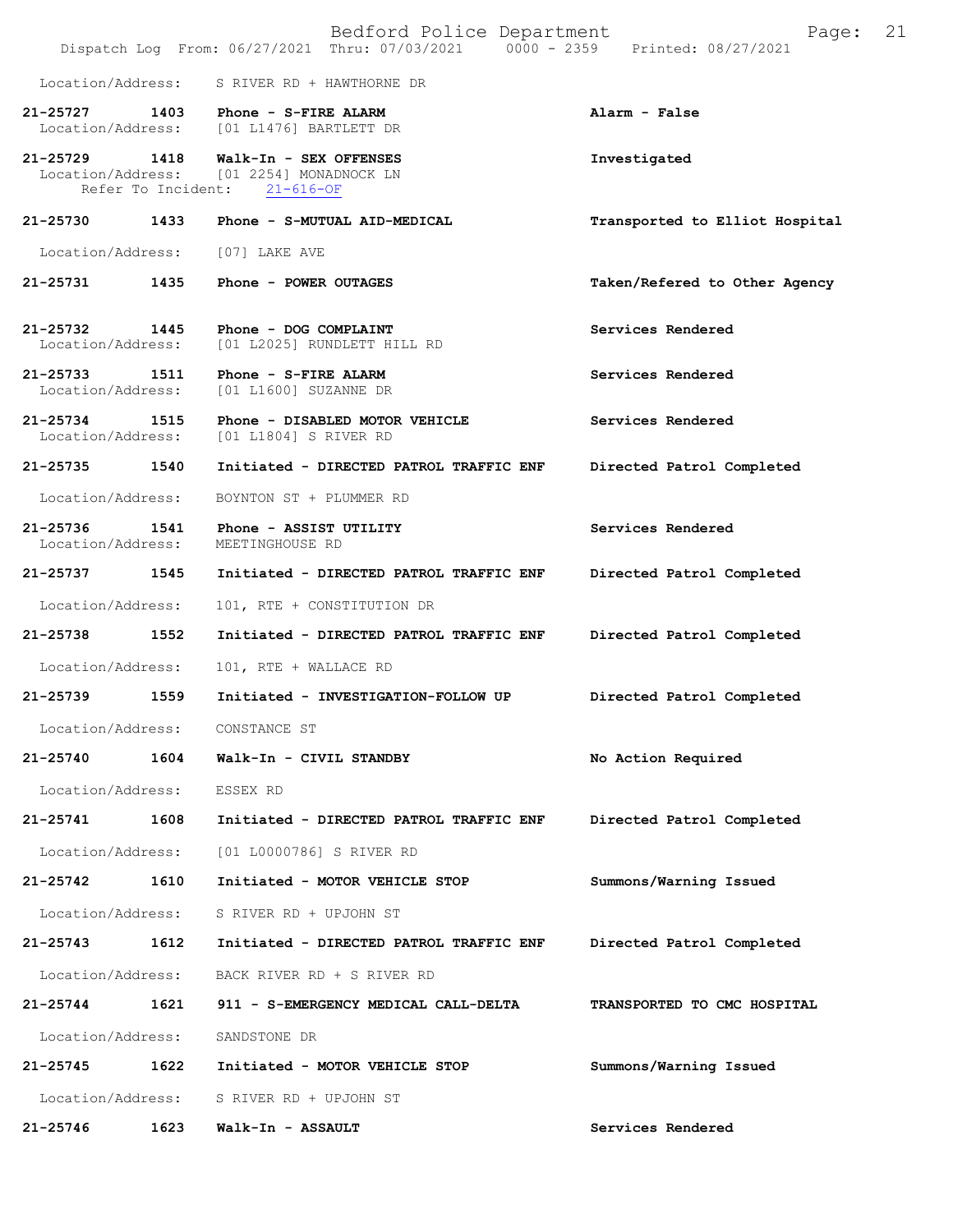|                                    |                    | Bedford Police Department<br>Dispatch Log From: 06/27/2021 Thru: 07/03/2021<br>$0000 - 2359$ | 21<br>Page:<br>Printed: 08/27/2021 |
|------------------------------------|--------------------|----------------------------------------------------------------------------------------------|------------------------------------|
| Location/Address:                  |                    | S RIVER RD + HAWTHORNE DR                                                                    |                                    |
| 21-25727 1403<br>Location/Address: |                    | Phone - S-FIRE ALARM<br>[01 L1476] BARTLETT DR                                               | Alarm - False                      |
| 21-25729 1418                      | Refer To Incident: | Walk-In - SEX OFFENSES<br>Location/Address: [01 2254] MONADNOCK LN<br>$21 - 616 - OF$        | Investigated                       |
| 21-25730                           | 1433               | Phone - S-MUTUAL AID-MEDICAL                                                                 | Transported to Elliot Hospital     |
| Location/Address:                  |                    | [07] LAKE AVE                                                                                |                                    |
| 21-25731                           | 1435               | Phone - POWER OUTAGES                                                                        | Taken/Refered to Other Agency      |
| 21-25732 1445<br>Location/Address: |                    | Phone - DOG COMPLAINT<br>[01 L2025] RUNDLETT HILL RD                                         | Services Rendered                  |
| 21-25733 1511<br>Location/Address: |                    | Phone - S-FIRE ALARM<br>[01 L1600] SUZANNE DR                                                | Services Rendered                  |
| 21-25734<br>Location/Address:      | 1515               | Phone - DISABLED MOTOR VEHICLE<br>[01 L1804] S RIVER RD                                      | Services Rendered                  |
| 21-25735                           | 1540               | Initiated - DIRECTED PATROL TRAFFIC ENF                                                      | Directed Patrol Completed          |
| Location/Address:                  |                    | BOYNTON ST + PLUMMER RD                                                                      |                                    |
| 21-25736<br>Location/Address:      | 1541               | Phone - ASSIST UTILITY<br>MEETINGHOUSE RD                                                    | Services Rendered                  |
| 21-25737                           | 1545               | Initiated - DIRECTED PATROL TRAFFIC ENF                                                      | Directed Patrol Completed          |
| Location/Address:                  |                    | 101, RTE + CONSTITUTION DR                                                                   |                                    |
| 21-25738                           | 1552               | Initiated - DIRECTED PATROL TRAFFIC ENF                                                      | Directed Patrol Completed          |
| Location/Address:                  |                    | 101, RTE + WALLACE RD                                                                        |                                    |
| 21-25739                           | 1559               | Initiated - INVESTIGATION-FOLLOW UP                                                          | Directed Patrol Completed          |
| Location/Address:                  |                    | CONSTANCE ST                                                                                 |                                    |
| 21-25740                           | 1604               | Walk-In - CIVIL STANDBY                                                                      | No Action Required                 |
| Location/Address:                  |                    | ESSEX RD                                                                                     |                                    |
| 21-25741                           | 1608               | Initiated - DIRECTED PATROL TRAFFIC ENF                                                      | Directed Patrol Completed          |
| Location/Address:                  |                    | [01 L0000786] S RIVER RD                                                                     |                                    |
| 21-25742                           | 1610               | Initiated - MOTOR VEHICLE STOP                                                               | Summons/Warning Issued             |
| Location/Address:                  |                    | S RIVER RD + UPJOHN ST                                                                       |                                    |
| 21-25743                           | 1612               | Initiated - DIRECTED PATROL TRAFFIC ENF                                                      | Directed Patrol Completed          |
| Location/Address:                  |                    | BACK RIVER RD + S RIVER RD                                                                   |                                    |
| 21-25744                           | 1621               | 911 - S-EMERGENCY MEDICAL CALL-DELTA                                                         | TRANSPORTED TO CMC HOSPITAL        |
| Location/Address:                  |                    | SANDSTONE DR                                                                                 |                                    |
| 21-25745                           | 1622               | Initiated - MOTOR VEHICLE STOP                                                               | Summons/Warning Issued             |
| Location/Address:                  |                    | S RIVER RD + UPJOHN ST                                                                       |                                    |
| 21-25746                           | 1623               | Walk-In - ASSAULT                                                                            | Services Rendered                  |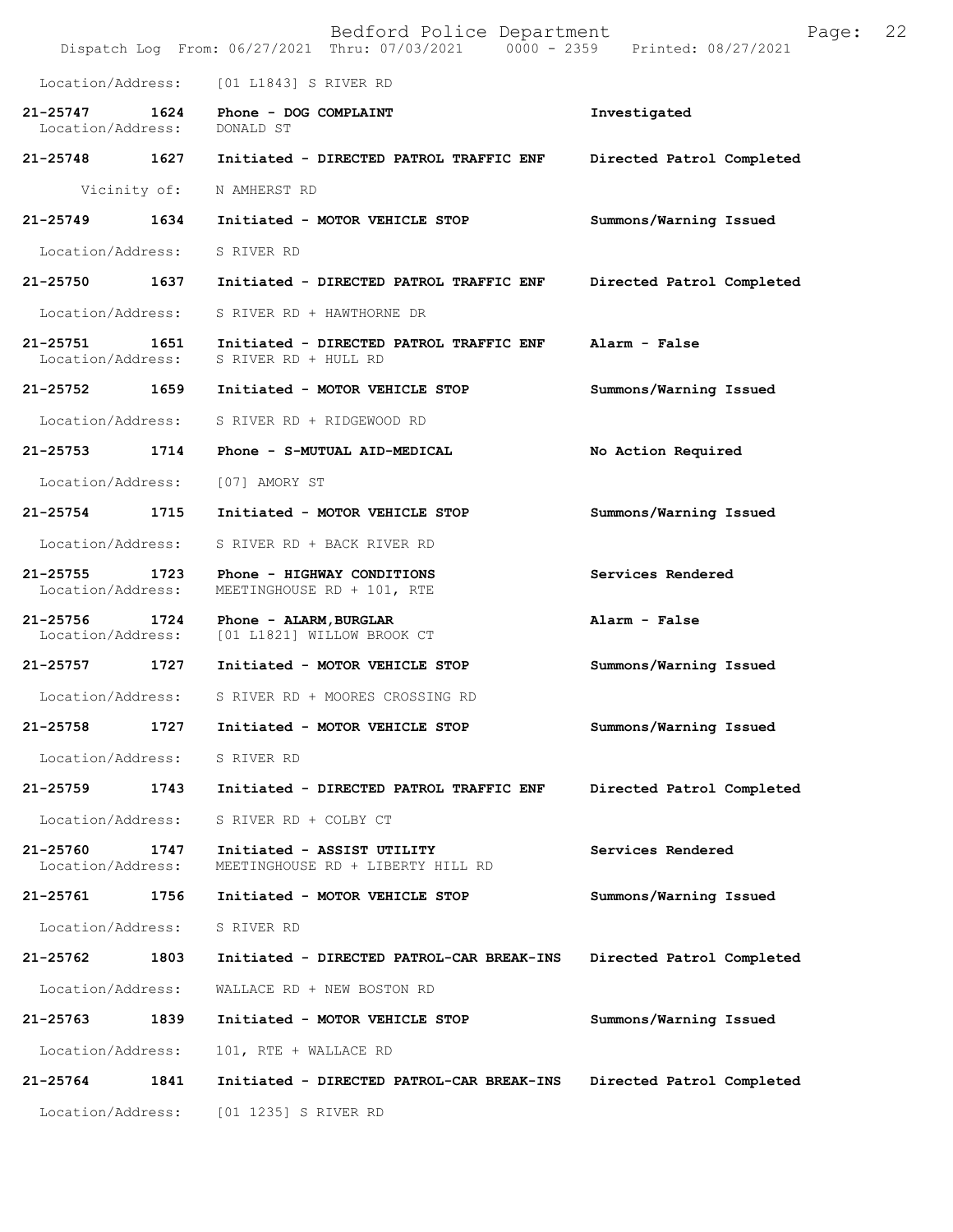|                               |      | Bedford Police Department<br>Dispatch Log From: 06/27/2021 Thru: 07/03/2021 0000 - 2359 | 22<br>Page:<br>Printed: 08/27/2021 |
|-------------------------------|------|-----------------------------------------------------------------------------------------|------------------------------------|
| Location/Address:             |      | [01 L1843] S RIVER RD                                                                   |                                    |
| 21-25747<br>Location/Address: | 1624 | Phone - DOG COMPLAINT<br>DONALD ST                                                      | Investigated                       |
| 21-25748                      | 1627 | Initiated - DIRECTED PATROL TRAFFIC ENF                                                 | Directed Patrol Completed          |
| Vicinity of:                  |      | N AMHERST RD                                                                            |                                    |
| $21 - 25749$                  | 1634 | Initiated - MOTOR VEHICLE STOP                                                          | Summons/Warning Issued             |
| Location/Address:             |      | S RIVER RD                                                                              |                                    |
| 21-25750                      | 1637 | Initiated - DIRECTED PATROL TRAFFIC ENF                                                 | Directed Patrol Completed          |
| Location/Address:             |      | S RIVER RD + HAWTHORNE DR                                                               |                                    |
| 21-25751<br>Location/Address: | 1651 | Initiated - DIRECTED PATROL TRAFFIC ENF<br>S RIVER RD + HULL RD                         | Alarm - False                      |
| 21-25752 1659                 |      | Initiated - MOTOR VEHICLE STOP                                                          | Summons/Warning Issued             |
| Location/Address:             |      | S RIVER RD + RIDGEWOOD RD                                                               |                                    |
| 21-25753                      | 1714 | Phone - S-MUTUAL AID-MEDICAL                                                            | No Action Required                 |
| Location/Address:             |      | [07] AMORY ST                                                                           |                                    |
| 21-25754                      | 1715 | Initiated - MOTOR VEHICLE STOP                                                          | Summons/Warning Issued             |
| Location/Address:             |      | S RIVER RD + BACK RIVER RD                                                              |                                    |
| 21-25755<br>Location/Address: | 1723 | Phone - HIGHWAY CONDITIONS<br>MEETINGHOUSE RD + 101, RTE                                | Services Rendered                  |
| 21-25756<br>Location/Address: | 1724 | Phone - ALARM, BURGLAR<br>[01 L1821] WILLOW BROOK CT                                    | Alarm - False                      |
| 21-25757                      | 1727 | Initiated - MOTOR VEHICLE STOP                                                          | Summons/Warning Issued             |
| Location/Address:             |      | S RIVER RD + MOORES CROSSING RD                                                         |                                    |
| 21-25758                      | 1727 | Initiated - MOTOR VEHICLE STOP                                                          | Summons/Warning Issued             |
| Location/Address:             |      | S RIVER RD                                                                              |                                    |
| 21-25759                      | 1743 | Initiated - DIRECTED PATROL TRAFFIC ENF                                                 | Directed Patrol Completed          |
| Location/Address:             |      | S RIVER RD + COLBY CT                                                                   |                                    |
| 21-25760<br>Location/Address: | 1747 | Initiated - ASSIST UTILITY<br>MEETINGHOUSE RD + LIBERTY HILL RD                         | Services Rendered                  |
| 21-25761                      | 1756 | Initiated - MOTOR VEHICLE STOP                                                          | Summons/Warning Issued             |
| Location/Address:             |      | S RIVER RD                                                                              |                                    |
| 21-25762                      | 1803 | Initiated - DIRECTED PATROL-CAR BREAK-INS                                               | Directed Patrol Completed          |
| Location/Address:             |      | WALLACE RD + NEW BOSTON RD                                                              |                                    |
| 21-25763                      | 1839 | Initiated - MOTOR VEHICLE STOP                                                          | Summons/Warning Issued             |
| Location/Address:             |      | 101, RTE + WALLACE RD                                                                   |                                    |
| 21-25764                      | 1841 | Initiated - DIRECTED PATROL-CAR BREAK-INS                                               | Directed Patrol Completed          |
| Location/Address:             |      | [01 1235] S RIVER RD                                                                    |                                    |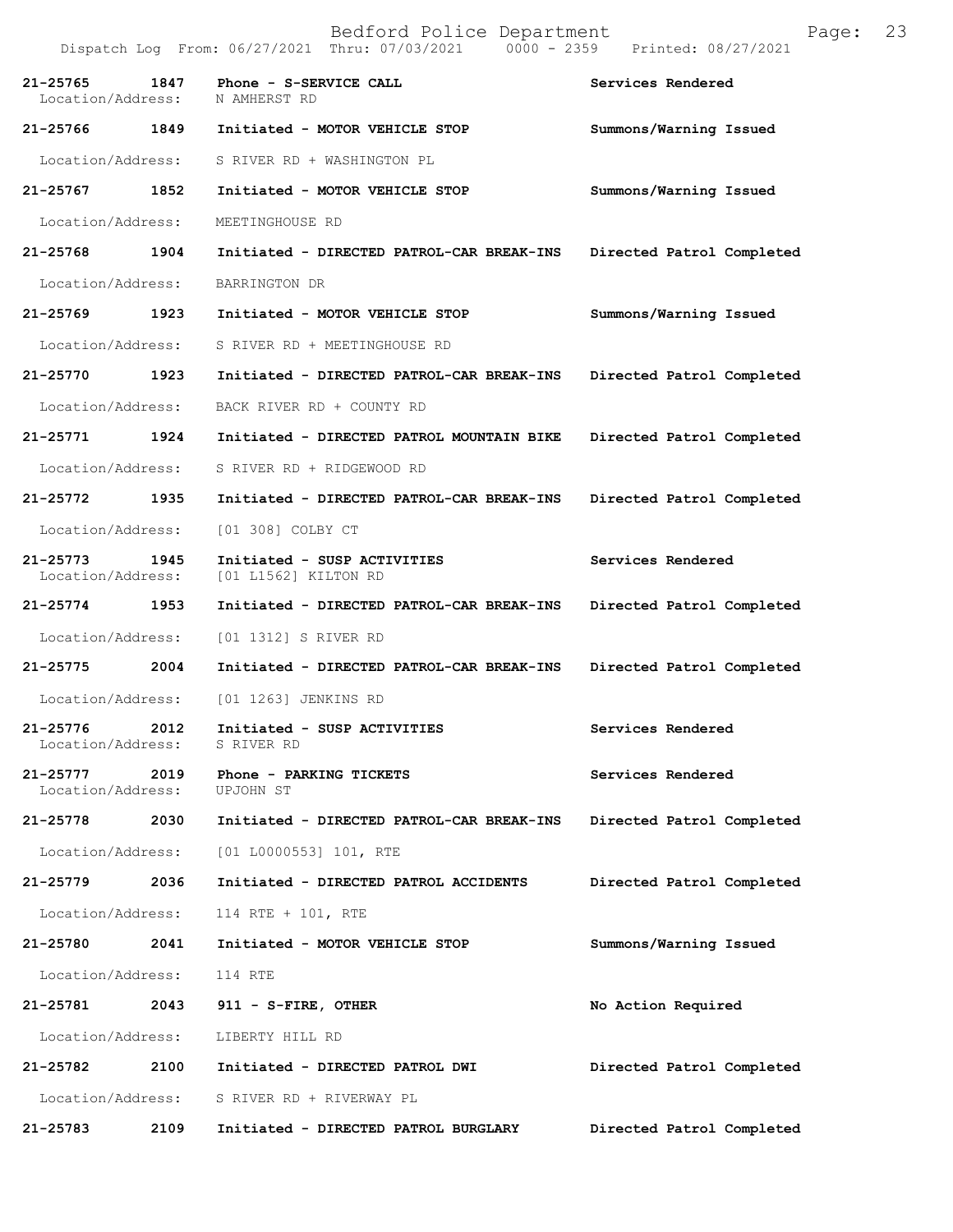|                                   |      | Dispatch Log From: 06/27/2021 Thru: 07/03/2021<br>$0000 - 2359$ | Printed: 08/27/2021       |
|-----------------------------------|------|-----------------------------------------------------------------|---------------------------|
| 21-25765<br>Location/Address:     | 1847 | Phone - S-SERVICE CALL<br>N AMHERST RD                          | Services Rendered         |
| 21-25766 1849                     |      | Initiated - MOTOR VEHICLE STOP                                  | Summons/Warning Issued    |
| Location/Address:                 |      | S RIVER RD + WASHINGTON PL                                      |                           |
| 21-25767 1852                     |      | Initiated - MOTOR VEHICLE STOP                                  | Summons/Warning Issued    |
| Location/Address:                 |      | MEETINGHOUSE RD                                                 |                           |
| 21-25768 1904                     |      | Initiated - DIRECTED PATROL-CAR BREAK-INS                       | Directed Patrol Completed |
| Location/Address:                 |      | BARRINGTON DR                                                   |                           |
| 21-25769 1923                     |      | Initiated - MOTOR VEHICLE STOP                                  | Summons/Warning Issued    |
| Location/Address:                 |      | S RIVER RD + MEETINGHOUSE RD                                    |                           |
| 21-25770 1923                     |      | Initiated - DIRECTED PATROL-CAR BREAK-INS                       | Directed Patrol Completed |
| Location/Address:                 |      | BACK RIVER RD + COUNTY RD                                       |                           |
| 21-25771 1924                     |      | Initiated - DIRECTED PATROL MOUNTAIN BIKE                       | Directed Patrol Completed |
| Location/Address:                 |      | S RIVER RD + RIDGEWOOD RD                                       |                           |
| 21-25772 1935                     |      | Initiated - DIRECTED PATROL-CAR BREAK-INS                       | Directed Patrol Completed |
| Location/Address:                 |      | [01 308] COLBY CT                                               |                           |
| $21 - 25773$<br>Location/Address: | 1945 | Initiated - SUSP ACTIVITIES<br>[01 L1562] KILTON RD             | Services Rendered         |
| 21-25774 1953                     |      | Initiated - DIRECTED PATROL-CAR BREAK-INS                       | Directed Patrol Completed |
| Location/Address:                 |      | [01 1312] S RIVER RD                                            |                           |
| 21-25775 2004                     |      | Initiated - DIRECTED PATROL-CAR BREAK-INS                       | Directed Patrol Completed |
| Location/Address:                 |      | [01 1263] JENKINS RD                                            |                           |
| 21-25776<br>Location/Address:     | 2012 | Initiated - SUSP ACTIVITIES<br>S RIVER RD                       | Services Rendered         |
| 21-25777<br>Location/Address:     | 2019 | Phone - PARKING TICKETS<br>UPJOHN ST                            | Services Rendered         |
| 21-25778                          | 2030 | Initiated - DIRECTED PATROL-CAR BREAK-INS                       | Directed Patrol Completed |
| Location/Address:                 |      | $[01 L0000553] 101$ , RTE                                       |                           |
| 21-25779                          | 2036 | Initiated - DIRECTED PATROL ACCIDENTS                           | Directed Patrol Completed |
| Location/Address:                 |      | 114 RTE + 101, RTE                                              |                           |
| 21-25780                          | 2041 | Initiated - MOTOR VEHICLE STOP                                  | Summons/Warning Issued    |
| Location/Address:                 |      | 114 RTE                                                         |                           |
| 21-25781                          | 2043 | 911 - S-FIRE, OTHER                                             | No Action Required        |
| Location/Address:                 |      | LIBERTY HILL RD                                                 |                           |
| 21-25782                          | 2100 | Initiated - DIRECTED PATROL DWI                                 | Directed Patrol Completed |
| Location/Address:                 |      | S RIVER RD + RIVERWAY PL                                        |                           |
| 21-25783                          | 2109 | Initiated - DIRECTED PATROL BURGLARY                            | Directed Patrol Completed |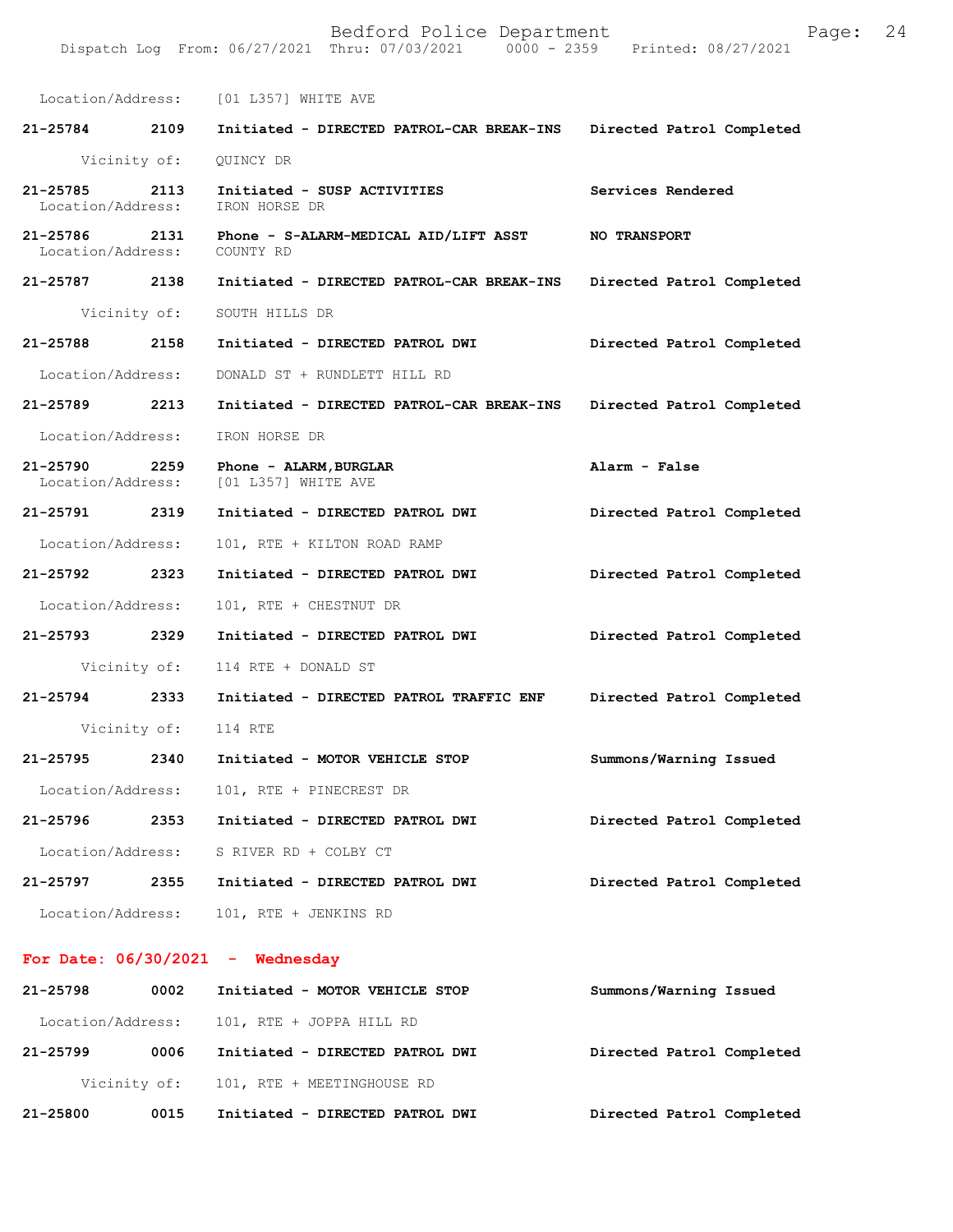|                                              |              | Location/Address: [01 L357] WHITE AVE                           |                           |
|----------------------------------------------|--------------|-----------------------------------------------------------------|---------------------------|
| 21-25784 2109                                |              | Initiated - DIRECTED PATROL-CAR BREAK-INS                       | Directed Patrol Completed |
|                                              | Vicinity of: | QUINCY DR                                                       |                           |
| 21-25785 2113<br>Location/Address:           |              | Initiated - SUSP ACTIVITIES<br>IRON HORSE DR                    | Services Rendered         |
| 21-25786 2131<br>Location/Address: COUNTY RD |              | Phone - S-ALARM-MEDICAL AID/LIFT ASST                           | <b>NO TRANSPORT</b>       |
| 21-25787 2138                                |              | Initiated - DIRECTED PATROL-CAR BREAK-INS                       | Directed Patrol Completed |
|                                              |              | Vicinity of: SOUTH HILLS DR                                     |                           |
| 21-25788 2158                                |              | Initiated - DIRECTED PATROL DWI                                 | Directed Patrol Completed |
| Location/Address:                            |              | DONALD ST + RUNDLETT HILL RD                                    |                           |
| 21-25789 2213                                |              | Initiated - DIRECTED PATROL-CAR BREAK-INS                       | Directed Patrol Completed |
| Location/Address:                            |              | IRON HORSE DR                                                   |                           |
| 21-25790 2259                                |              | Phone - ALARM, BURGLAR<br>Location/Address: [01 L357] WHITE AVE | Alarm - False             |
| 21-25791 2319                                |              | Initiated - DIRECTED PATROL DWI                                 | Directed Patrol Completed |
| Location/Address:                            |              | 101, RTE + KILTON ROAD RAMP                                     |                           |
| 21-25792 2323                                |              | Initiated - DIRECTED PATROL DWI                                 | Directed Patrol Completed |
| Location/Address:                            |              | 101, RTE + CHESTNUT DR                                          |                           |
| 21-25793 2329                                |              | Initiated - DIRECTED PATROL DWI                                 | Directed Patrol Completed |
|                                              | Vicinity of: | 114 RTE + DONALD ST                                             |                           |
| 21-25794 2333                                |              | Initiated - DIRECTED PATROL TRAFFIC ENF                         | Directed Patrol Completed |
|                                              |              | Vicinity of: 114 RTE                                            |                           |
| 21-25795 2340                                |              | Initiated - MOTOR VEHICLE STOP                                  | Summons/Warning Issued    |
| Location/Address:                            |              | 101, RTE + PINECREST DR                                         |                           |
| 21-25796                                     | 2353         | Initiated - DIRECTED PATROL DWI                                 | Directed Patrol Completed |
| Location/Address:                            |              | S RIVER RD + COLBY CT                                           |                           |
| 21-25797                                     | 2355         | Initiated - DIRECTED PATROL DWI                                 | Directed Patrol Completed |
| Location/Address:                            |              | 101, RTE + JENKINS RD                                           |                           |
|                                              |              | For Date: $06/30/2021$ - Wednesday                              |                           |

**21-25798 0002 Initiated - MOTOR VEHICLE STOP Summons/Warning Issued**  Location/Address: 101, RTE + JOPPA HILL RD **21-25799 0006 Initiated - DIRECTED PATROL DWI Directed Patrol Completed**  Vicinity of: 101, RTE + MEETINGHOUSE RD **21-25800 0015 Initiated - DIRECTED PATROL DWI Directed Patrol Completed**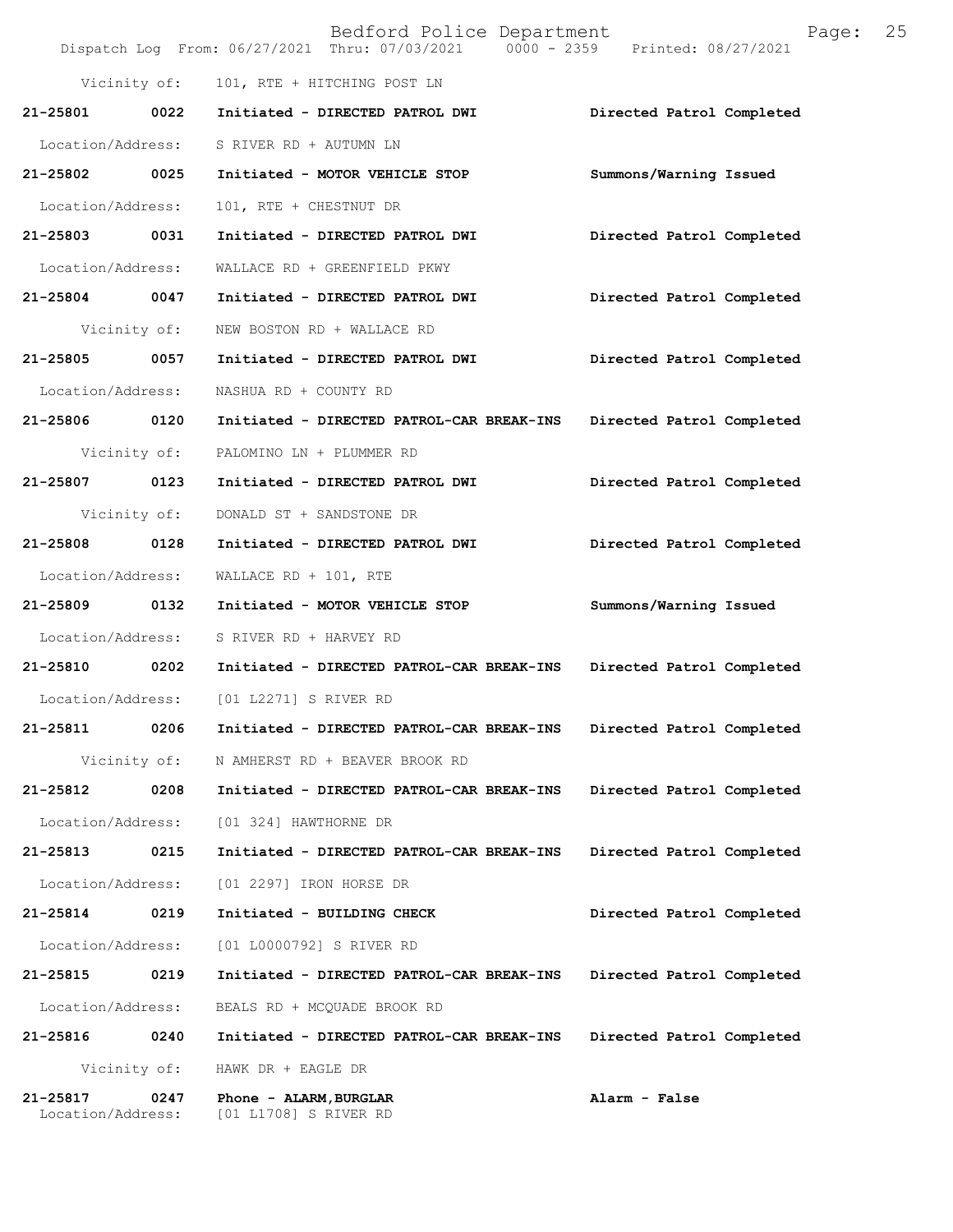|                               |              | Bedford Police Department<br>Dispatch Log From: 06/27/2021 Thru: 07/03/2021 0000 - 2359 Printed: 08/27/2021 | 25<br>Page:               |
|-------------------------------|--------------|-------------------------------------------------------------------------------------------------------------|---------------------------|
|                               | Vicinity of: | 101, RTE + HITCHING POST LN                                                                                 |                           |
| 21-25801 0022                 |              | Initiated - DIRECTED PATROL DWI                                                                             | Directed Patrol Completed |
| Location/Address:             |              | S RIVER RD + AUTUMN LN                                                                                      |                           |
| 21-25802 0025                 |              | Initiated - MOTOR VEHICLE STOP                                                                              | Summons/Warning Issued    |
| Location/Address:             |              | 101, RTE + CHESTNUT DR                                                                                      |                           |
| 21-25803 0031                 |              | Initiated - DIRECTED PATROL DWI                                                                             | Directed Patrol Completed |
| Location/Address:             |              | WALLACE RD + GREENFIELD PKWY                                                                                |                           |
| 21-25804 0047                 |              | Initiated - DIRECTED PATROL DWI                                                                             | Directed Patrol Completed |
|                               | Vicinity of: | NEW BOSTON RD + WALLACE RD                                                                                  |                           |
| $21 - 25805$                  | 0057         | Initiated - DIRECTED PATROL DWI                                                                             | Directed Patrol Completed |
| Location/Address:             |              | NASHUA RD + COUNTY RD                                                                                       |                           |
| 21-25806 0120                 |              | Initiated - DIRECTED PATROL-CAR BREAK-INS                                                                   | Directed Patrol Completed |
|                               | Vicinity of: | PALOMINO LN + PLUMMER RD                                                                                    |                           |
| 21-25807 0123                 |              | Initiated - DIRECTED PATROL DWI                                                                             | Directed Patrol Completed |
|                               | Vicinity of: | DONALD ST + SANDSTONE DR                                                                                    |                           |
| 21-25808                      | 0128         | Initiated - DIRECTED PATROL DWI                                                                             | Directed Patrol Completed |
| Location/Address:             |              | WALLACE RD + $101$ , RTE                                                                                    |                           |
| 21-25809 0132                 |              | Initiated - MOTOR VEHICLE STOP                                                                              | Summons/Warning Issued    |
| Location/Address:             |              | S RIVER RD + HARVEY RD                                                                                      |                           |
| 21-25810 0202                 |              | Initiated - DIRECTED PATROL-CAR BREAK-INS                                                                   | Directed Patrol Completed |
|                               |              | Location/Address: [01 L2271] S RIVER RD                                                                     |                           |
| 21-25811                      | 0206         | Initiated - DIRECTED PATROL-CAR BREAK-INS                                                                   | Directed Patrol Completed |
|                               | Vicinity of: | N AMHERST RD + BEAVER BROOK RD                                                                              |                           |
| 21-25812                      | 0208         | Initiated - DIRECTED PATROL-CAR BREAK-INS                                                                   | Directed Patrol Completed |
| Location/Address:             |              | [01 324] HAWTHORNE DR                                                                                       |                           |
| 21-25813                      | 0215         | Initiated - DIRECTED PATROL-CAR BREAK-INS                                                                   | Directed Patrol Completed |
| Location/Address:             |              | [01 2297] IRON HORSE DR                                                                                     |                           |
| 21-25814                      | 0219         | Initiated - BUILDING CHECK                                                                                  | Directed Patrol Completed |
| Location/Address:             |              | [01 L0000792] S RIVER RD                                                                                    |                           |
| 21-25815                      | 0219         | Initiated - DIRECTED PATROL-CAR BREAK-INS                                                                   | Directed Patrol Completed |
| Location/Address:             |              | BEALS RD + MCQUADE BROOK RD                                                                                 |                           |
| 21-25816                      | 0240         | Initiated - DIRECTED PATROL-CAR BREAK-INS                                                                   | Directed Patrol Completed |
| Vicinity of:                  |              | HAWK DR + EAGLE DR                                                                                          |                           |
| 21-25817<br>Location/Address: | 0247         | Phone - ALARM, BURGLAR<br>[01 L1708] S RIVER RD                                                             | Alarm - False             |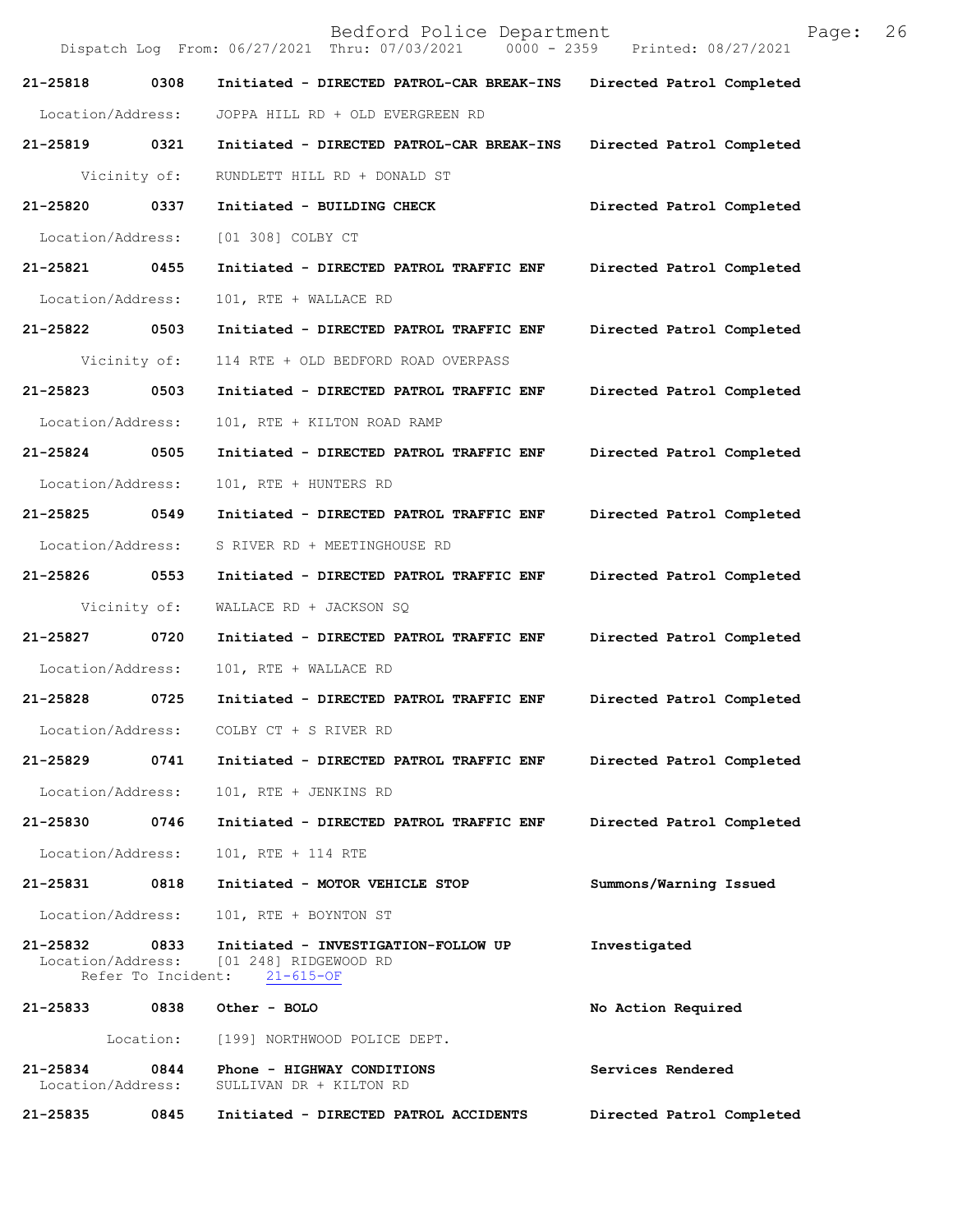|                               |                            | Bedford Police Department<br>Dispatch Log From: 06/27/2021 Thru: 07/03/2021 0000 - 2359 Printed: 08/27/2021 | 26<br>Page:               |
|-------------------------------|----------------------------|-------------------------------------------------------------------------------------------------------------|---------------------------|
| 21-25818                      | 0308                       | Initiated - DIRECTED PATROL-CAR BREAK-INS                                                                   | Directed Patrol Completed |
| Location/Address:             |                            | JOPPA HILL RD + OLD EVERGREEN RD                                                                            |                           |
| 21-25819                      | 0321                       | Initiated - DIRECTED PATROL-CAR BREAK-INS                                                                   | Directed Patrol Completed |
|                               | Vicinity of:               | RUNDLETT HILL RD + DONALD ST                                                                                |                           |
| 21-25820                      | 0337                       | Initiated - BUILDING CHECK                                                                                  | Directed Patrol Completed |
| Location/Address:             |                            | [01 308] COLBY CT                                                                                           |                           |
| 21-25821                      | 0455                       | Initiated - DIRECTED PATROL TRAFFIC ENF                                                                     | Directed Patrol Completed |
| Location/Address:             |                            | 101, RTE + WALLACE RD                                                                                       |                           |
| 21-25822                      | 0503                       | Initiated - DIRECTED PATROL TRAFFIC ENF                                                                     | Directed Patrol Completed |
|                               | Vicinity of:               | 114 RTE + OLD BEDFORD ROAD OVERPASS                                                                         |                           |
| 21-25823                      | 0503                       | Initiated - DIRECTED PATROL TRAFFIC ENF                                                                     | Directed Patrol Completed |
| Location/Address:             |                            | 101, RTE + KILTON ROAD RAMP                                                                                 |                           |
| 21-25824                      | 0505                       | Initiated - DIRECTED PATROL TRAFFIC ENF                                                                     | Directed Patrol Completed |
| Location/Address:             |                            | 101, RTE + HUNTERS RD                                                                                       |                           |
| 21-25825 0549                 |                            | Initiated - DIRECTED PATROL TRAFFIC ENF                                                                     | Directed Patrol Completed |
| Location/Address:             |                            | S RIVER RD + MEETINGHOUSE RD                                                                                |                           |
| 21-25826                      | 0553                       | Initiated - DIRECTED PATROL TRAFFIC ENF                                                                     | Directed Patrol Completed |
|                               | Vicinity of:               | WALLACE RD + JACKSON SQ                                                                                     |                           |
| 21-25827                      | 0720                       | Initiated - DIRECTED PATROL TRAFFIC ENF                                                                     | Directed Patrol Completed |
| Location/Address:             |                            | 101, RTE + WALLACE RD                                                                                       |                           |
| 21-25828                      | 0725                       | Initiated - DIRECTED PATROL TRAFFIC ENF                                                                     | Directed Patrol Completed |
| Location/Address:             |                            | COLBY CT + S RIVER RD                                                                                       |                           |
| 21-25829                      | 0741                       | Initiated - DIRECTED PATROL TRAFFIC ENF                                                                     | Directed Patrol Completed |
| Location/Address:             |                            | 101, RTE + JENKINS RD                                                                                       |                           |
| 21-25830                      | 0746                       | Initiated - DIRECTED PATROL TRAFFIC ENF                                                                     | Directed Patrol Completed |
| Location/Address:             |                            | 101, RTE + 114 RTE                                                                                          |                           |
| 21-25831                      | 0818                       | Initiated - MOTOR VEHICLE STOP                                                                              | Summons/Warning Issued    |
| Location/Address:             |                            | 101, RTE + BOYNTON ST                                                                                       |                           |
| 21-25832                      | 0833<br>Refer To Incident: | Initiated - INVESTIGATION-FOLLOW UP<br>Location/Address: [01 248] RIDGEWOOD RD<br>$21 - 615 - OF$           | Investigated              |
|                               |                            | 21-25833 0838 Other - BOLO                                                                                  | No Action Required        |
|                               | Location:                  | [199] NORTHWOOD POLICE DEPT.                                                                                |                           |
| 21-25834<br>Location/Address: | 0844                       | Phone - HIGHWAY CONDITIONS<br>SULLIVAN DR + KILTON RD                                                       | Services Rendered         |
| 21-25835                      | 0845                       | Initiated - DIRECTED PATROL ACCIDENTS                                                                       | Directed Patrol Completed |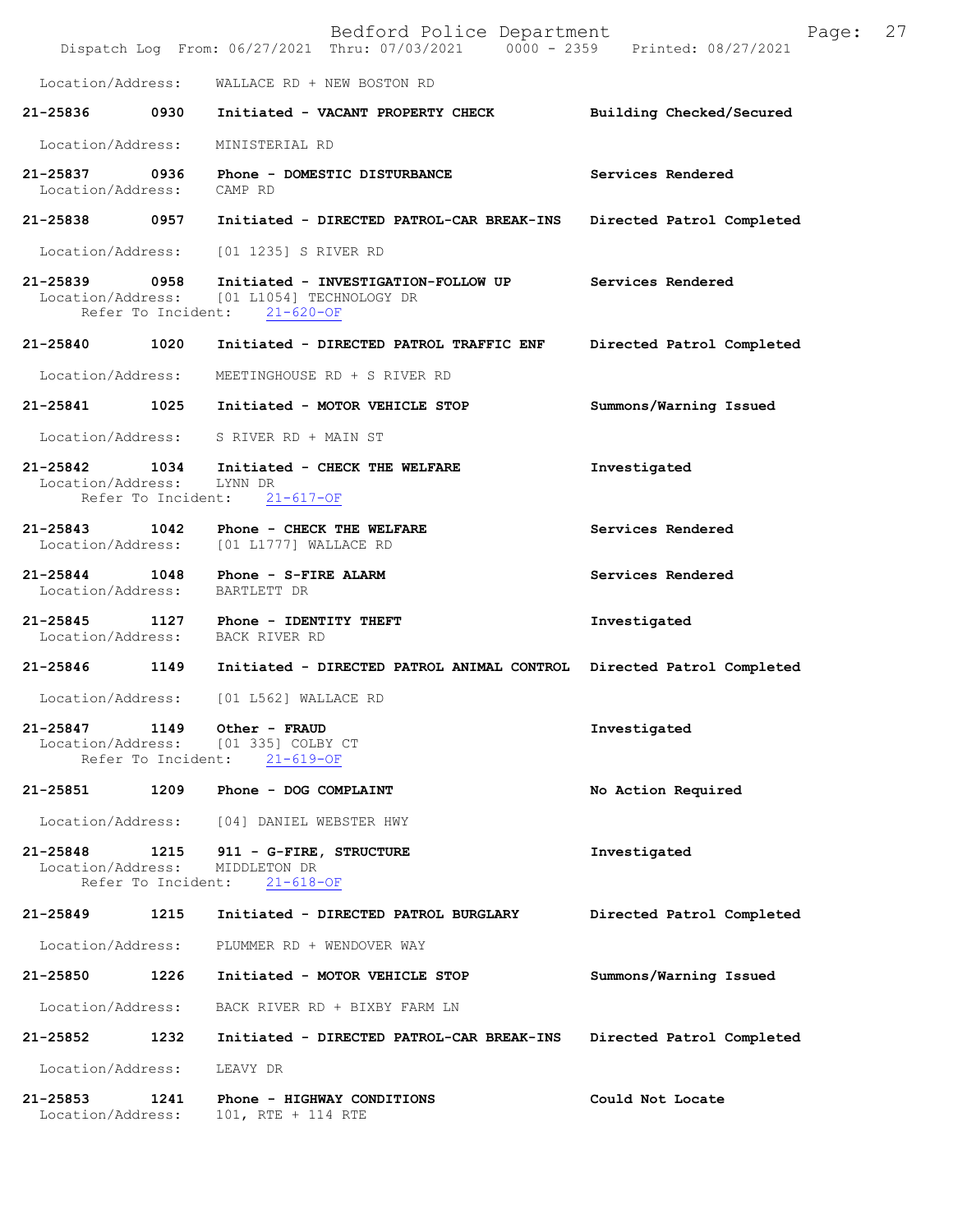|                                            |                            | Bedford Police Department<br>Dispatch Log From: 06/27/2021 Thru: 07/03/2021 0000 - 2359 Printed: 08/27/2021       | 27<br>Page:               |
|--------------------------------------------|----------------------------|-------------------------------------------------------------------------------------------------------------------|---------------------------|
| Location/Address:                          |                            | WALLACE RD + NEW BOSTON RD                                                                                        |                           |
| 21-25836                                   | 0930                       | Initiated - VACANT PROPERTY CHECK                                                                                 | Building Checked/Secured  |
| Location/Address:                          |                            | MINISTERIAL RD                                                                                                    |                           |
| 21-25837 0936<br>Location/Address: CAMP RD |                            | Phone - DOMESTIC DISTURBANCE                                                                                      | Services Rendered         |
| 21-25838 0957                              |                            | Initiated - DIRECTED PATROL-CAR BREAK-INS                                                                         | Directed Patrol Completed |
| Location/Address:                          |                            | [01 1235] S RIVER RD                                                                                              |                           |
| 21-25839 0958                              |                            | Initiated - INVESTIGATION-FOLLOW UP<br>Location/Address: [01 L1054] TECHNOLOGY DR<br>Refer To Incident: 21-620-OF | Services Rendered         |
| 21-25840                                   | 1020                       | Initiated - DIRECTED PATROL TRAFFIC ENF                                                                           | Directed Patrol Completed |
| Location/Address:                          |                            | MEETINGHOUSE RD + S RIVER RD                                                                                      |                           |
| 21-25841 1025                              |                            | Initiated - MOTOR VEHICLE STOP                                                                                    | Summons/Warning Issued    |
|                                            |                            | Location/Address: S RIVER RD + MAIN ST                                                                            |                           |
| 21-25842 1034<br>Location/Address:         | Refer To Incident:         | Initiated - CHECK THE WELFARE<br>LYNN DR<br>$21 - 617 - OF$                                                       | Investigated              |
| $21 - 25843$                               | 1042                       | Phone - CHECK THE WELFARE<br>Location/Address: [01 L1777] WALLACE RD                                              | Services Rendered         |
| 21-25844 1048                              |                            | Phone - S-FIRE ALARM<br>Location/Address: BARTLETT DR                                                             | Services Rendered         |
| 21-25845                                   | 1127                       | Phone - IDENTITY THEFT<br>Location/Address: BACK RIVER RD                                                         | Investigated              |
| 21-25846 1149                              |                            | Initiated - DIRECTED PATROL ANIMAL CONTROL Directed Patrol Completed                                              |                           |
|                                            |                            | Location/Address: [01 L562] WALLACE RD                                                                            |                           |
| 21-25847<br>Location/Address:              | 1149<br>Refer To Incident: | Other - FRAUD<br>[01 335] COLBY CT<br>$21 - 619 - OF$                                                             | Investigated              |
| 21-25851                                   | 1209                       | Phone - DOG COMPLAINT                                                                                             | No Action Required        |
| Location/Address:                          |                            | [04] DANIEL WEBSTER HWY                                                                                           |                           |
| 21-25848<br>Location/Address:              | 1215<br>Refer To Incident: | 911 - G-FIRE, STRUCTURE<br>MIDDLETON DR<br>$21 - 618 - OF$                                                        | Investigated              |
| 21-25849                                   | 1215                       | Initiated - DIRECTED PATROL BURGLARY                                                                              | Directed Patrol Completed |
| Location/Address:                          |                            | PLUMMER RD + WENDOVER WAY                                                                                         |                           |
| 21-25850                                   | 1226                       | Initiated - MOTOR VEHICLE STOP                                                                                    | Summons/Warning Issued    |
| Location/Address:                          |                            | BACK RIVER RD + BIXBY FARM LN                                                                                     |                           |
| 21-25852                                   | 1232                       | Initiated - DIRECTED PATROL-CAR BREAK-INS                                                                         | Directed Patrol Completed |
| Location/Address:                          |                            | LEAVY DR                                                                                                          |                           |
| 21-25853<br>Location/Address:              | 1241                       | Phone - HIGHWAY CONDITIONS<br>101, RTE + 114 RTE                                                                  | Could Not Locate          |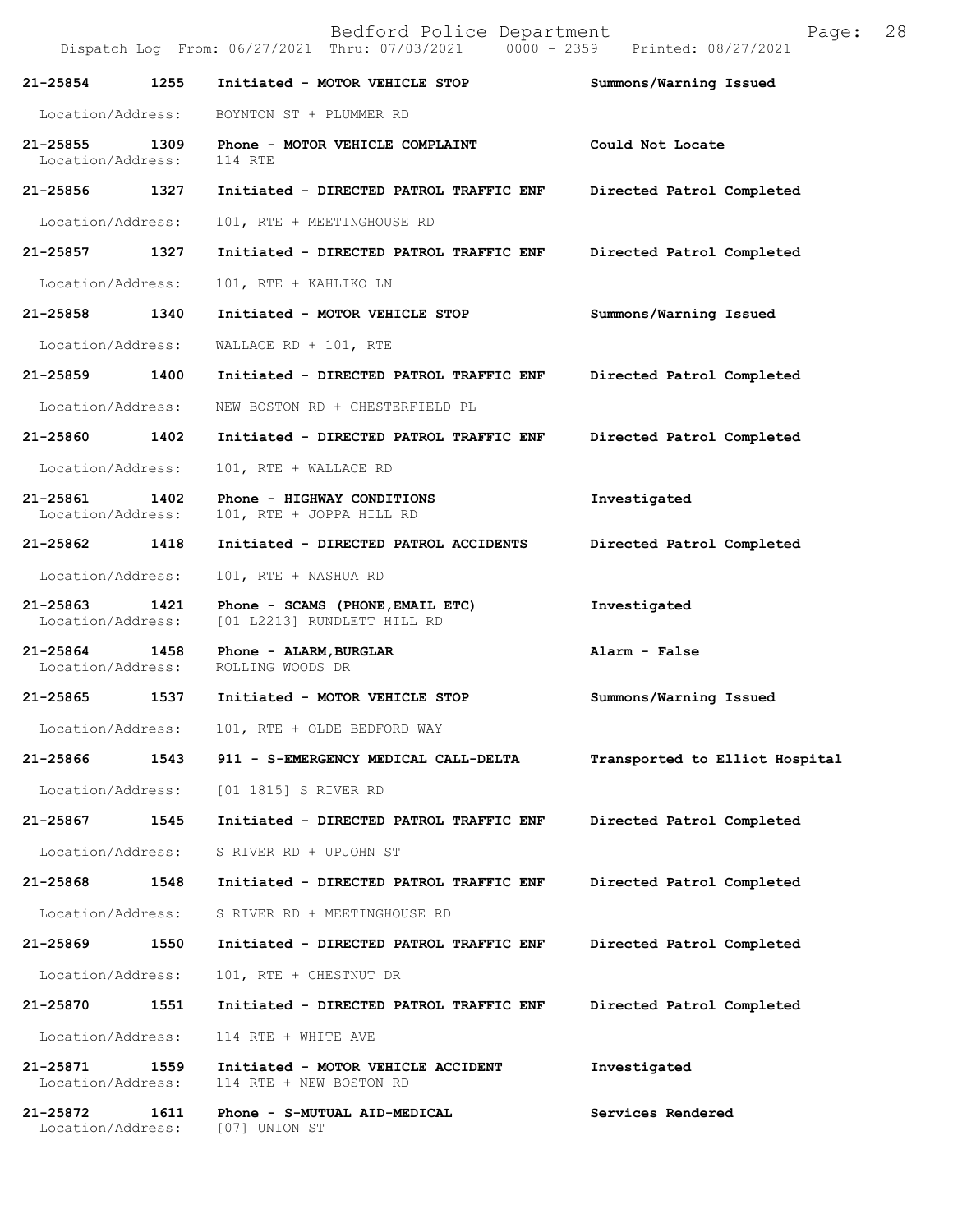Bedford Police Department Page: 28 Dispatch Log From: 06/27/2021 Thru: 07/03/2021 **21-25854 1255 Initiated - MOTOR VEHICLE STOP Summons/Warning Issued**  Location/Address: BOYNTON ST + PLUMMER RD **21-25855 1309 Phone - MOTOR VEHICLE COMPLAINT Could Not Locate**  Location/Address: 114 RTE **21-25856 1327 Initiated - DIRECTED PATROL TRAFFIC ENF Directed Patrol Completed**  Location/Address: 101, RTE + MEETINGHOUSE RD **21-25857 1327 Initiated - DIRECTED PATROL TRAFFIC ENF Directed Patrol Completed**  Location/Address: 101, RTE + KAHLIKO LN **21-25858 1340 Initiated - MOTOR VEHICLE STOP Summons/Warning Issued**  Location/Address: WALLACE RD + 101, RTE **21-25859 1400 Initiated - DIRECTED PATROL TRAFFIC ENF Directed Patrol Completed**  Location/Address: NEW BOSTON RD + CHESTERFIELD PL **21-25860 1402 Initiated - DIRECTED PATROL TRAFFIC ENF Directed Patrol Completed**  Location/Address: 101, RTE + WALLACE RD **21-25861 1402 Phone - HIGHWAY CONDITIONS Investigated**  Location/Address: 101, RTE + JOPPA HILL RD **21-25862 1418 Initiated - DIRECTED PATROL ACCIDENTS Directed Patrol Completed**  Location/Address: 101, RTE + NASHUA RD **21-25863 1421 Phone - SCAMS (PHONE,EMAIL ETC) Investigated**  Location/Address: [01 L2213] RUNDLETT HILL RD **21-25864 1458 Phone - ALARM,BURGLAR Alarm - False**  Location/Address: **21-25865 1537 Initiated - MOTOR VEHICLE STOP Summons/Warning Issued**  Location/Address: 101, RTE + OLDE BEDFORD WAY **21-25866 1543 911 - S-EMERGENCY MEDICAL CALL-DELTA Transported to Elliot Hospital** Location/Address: [01 1815] S RIVER RD **21-25867 1545 Initiated - DIRECTED PATROL TRAFFIC ENF Directed Patrol Completed**  Location/Address: S RIVER RD + UPJOHN ST **21-25868 1548 Initiated - DIRECTED PATROL TRAFFIC ENF Directed Patrol Completed**  Location/Address: S RIVER RD + MEETINGHOUSE RD **21-25869 1550 Initiated - DIRECTED PATROL TRAFFIC ENF Directed Patrol Completed**  Location/Address: 101, RTE + CHESTNUT DR **21-25870 1551 Initiated - DIRECTED PATROL TRAFFIC ENF Directed Patrol Completed**  Location/Address: 114 RTE + WHITE AVE **21-25871 1559 Initiated - MOTOR VEHICLE ACCIDENT Investigated**  Location/Address: 114 RTE + NEW BOSTON RD **21-25872 1611 Phone - S-MUTUAL AID-MEDICAL Services Rendered**  Location/Address: [07] UNION ST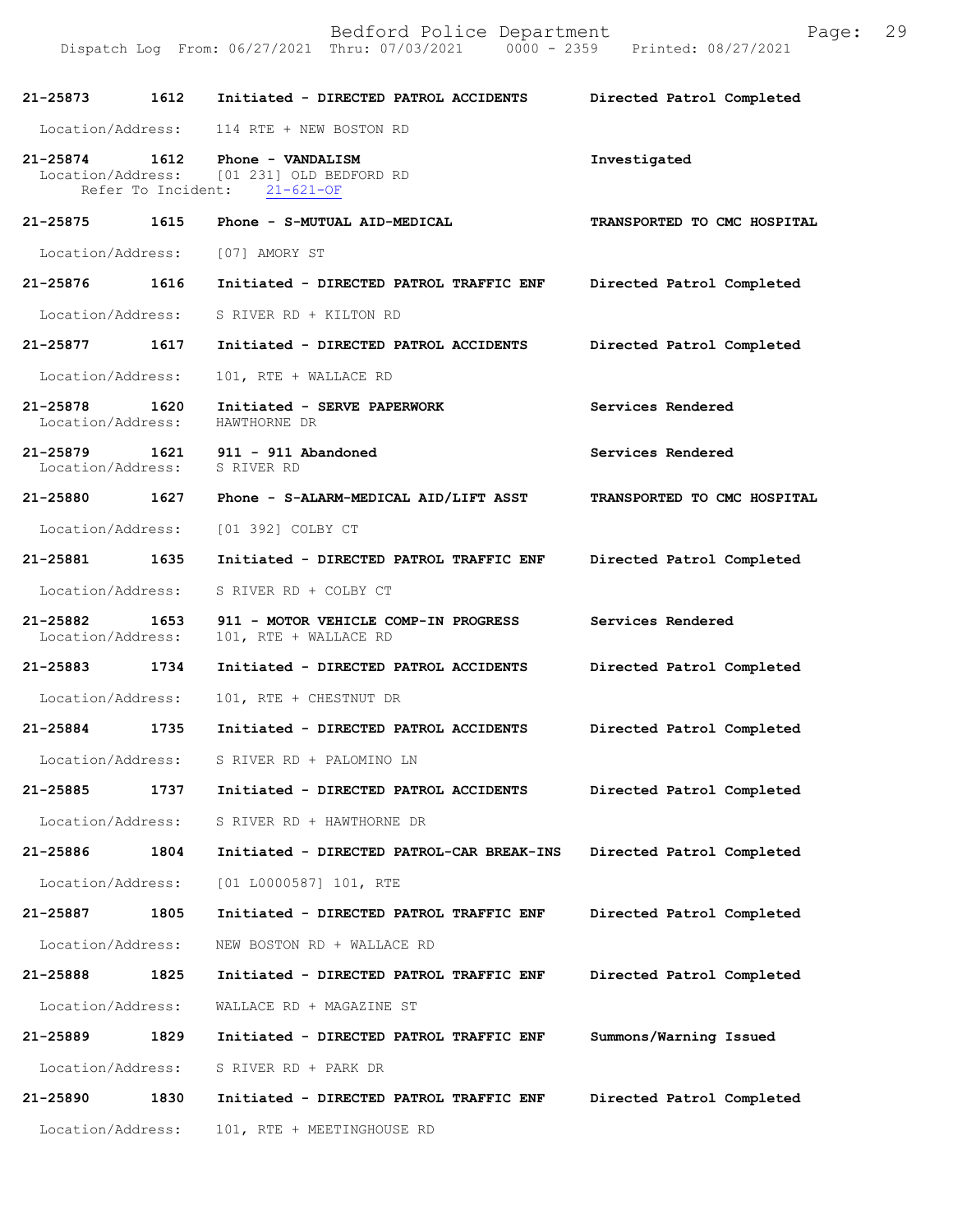| 21-25873                           | 1612               | Initiated - DIRECTED PATROL ACCIDENTS                                             | Directed Patrol Completed   |
|------------------------------------|--------------------|-----------------------------------------------------------------------------------|-----------------------------|
| Location/Address:                  |                    | 114 RTE + NEW BOSTON RD                                                           |                             |
| 21-25874 1612                      | Refer To Incident: | Phone - VANDALISM<br>Location/Address: [01 231] OLD BEDFORD RD<br>$21 - 621 - OF$ | Investigated                |
| 21-25875 1615                      |                    | Phone - S-MUTUAL AID-MEDICAL                                                      | TRANSPORTED TO CMC HOSPITAL |
| Location/Address:                  |                    | [07] AMORY ST                                                                     |                             |
| 21-25876 1616                      |                    | Initiated - DIRECTED PATROL TRAFFIC ENF                                           | Directed Patrol Completed   |
| Location/Address:                  |                    | S RIVER RD + KILTON RD                                                            |                             |
| 21-25877 1617                      |                    | Initiated - DIRECTED PATROL ACCIDENTS                                             | Directed Patrol Completed   |
| Location/Address:                  |                    | 101, RTE + WALLACE RD                                                             |                             |
| 21-25878<br>Location/Address:      | 1620               | Initiated - SERVE PAPERWORK<br>HAWTHORNE DR                                       | Services Rendered           |
| Location/Address: S RIVER RD       |                    | 21-25879   1621   911 - 911 Abandoned                                             | Services Rendered           |
|                                    |                    | 21-25880 1627 Phone - S-ALARM-MEDICAL AID/LIFT ASST                               | TRANSPORTED TO CMC HOSPITAL |
| Location/Address:                  |                    | [01 392] COLBY CT                                                                 |                             |
| 21-25881 1635                      |                    | Initiated - DIRECTED PATROL TRAFFIC ENF                                           | Directed Patrol Completed   |
| Location/Address:                  |                    | S RIVER RD + COLBY CT                                                             |                             |
| 21-25882 1653<br>Location/Address: |                    | 911 - MOTOR VEHICLE COMP-IN PROGRESS<br>101, RTE + WALLACE RD                     | Services Rendered           |
| 21-25883 1734                      |                    | Initiated - DIRECTED PATROL ACCIDENTS                                             | Directed Patrol Completed   |
| Location/Address:                  |                    | 101, RTE + CHESTNUT DR                                                            |                             |
| 21-25884 1735                      |                    | Initiated - DIRECTED PATROL ACCIDENTS                                             | Directed Patrol Completed   |
|                                    |                    | Location/Address: S RIVER RD + PALOMINO LN                                        |                             |
| 21-25885                           | 1737               | Initiated - DIRECTED PATROL ACCIDENTS                                             | Directed Patrol Completed   |
| Location/Address:                  |                    | S RIVER RD + HAWTHORNE DR                                                         |                             |
| 21-25886                           | 1804               | Initiated - DIRECTED PATROL-CAR BREAK-INS                                         | Directed Patrol Completed   |
| Location/Address:                  |                    | [01 L0000587] 101, RTE                                                            |                             |
| 21-25887                           | 1805               | Initiated - DIRECTED PATROL TRAFFIC ENF                                           | Directed Patrol Completed   |
| Location/Address:                  |                    | NEW BOSTON RD + WALLACE RD                                                        |                             |
| 21-25888                           | 1825               | Initiated - DIRECTED PATROL TRAFFIC ENF                                           | Directed Patrol Completed   |
| Location/Address:                  |                    | WALLACE RD + MAGAZINE ST                                                          |                             |
| 21-25889                           | 1829               | Initiated - DIRECTED PATROL TRAFFIC ENF                                           | Summons/Warning Issued      |
| Location/Address:                  |                    | S RIVER RD + PARK DR                                                              |                             |
| 21-25890                           | 1830               | Initiated - DIRECTED PATROL TRAFFIC ENF                                           | Directed Patrol Completed   |
| Location/Address:                  |                    | 101, RTE + MEETINGHOUSE RD                                                        |                             |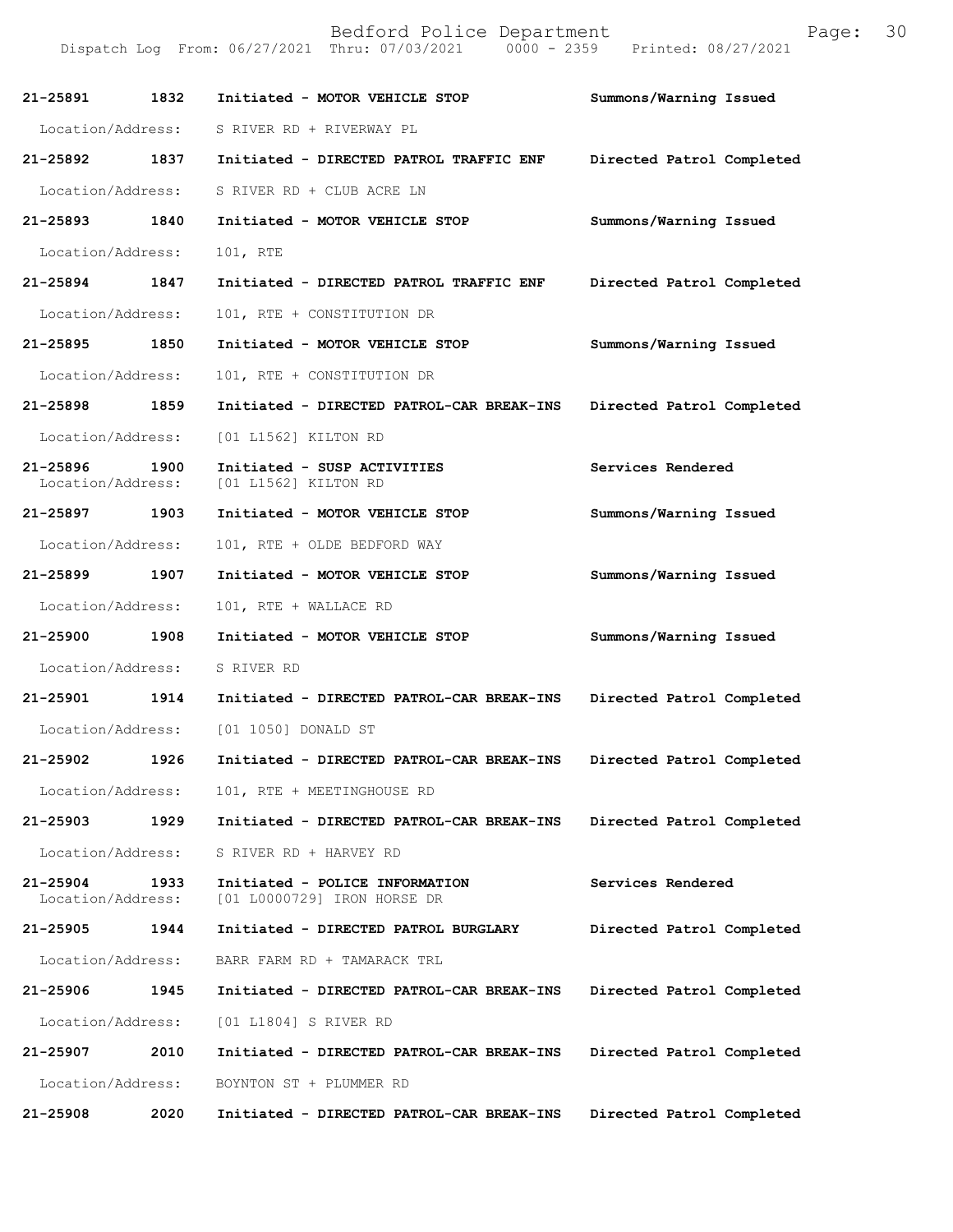**21-25891 1832 Initiated - MOTOR VEHICLE STOP Summons/Warning Issued**  Location/Address: S RIVER RD + RIVERWAY PL **21-25892 1837 Initiated - DIRECTED PATROL TRAFFIC ENF Directed Patrol Completed**  Location/Address: S RIVER RD + CLUB ACRE LN **21-25893 1840 Initiated - MOTOR VEHICLE STOP Summons/Warning Issued**  Location/Address: 101, RTE **21-25894 1847 Initiated - DIRECTED PATROL TRAFFIC ENF Directed Patrol Completed**  Location/Address: 101, RTE + CONSTITUTION DR **21-25895 1850 Initiated - MOTOR VEHICLE STOP Summons/Warning Issued**  Location/Address: 101, RTE + CONSTITUTION DR **21-25898 1859 Initiated - DIRECTED PATROL-CAR BREAK-INS Directed Patrol Completed**  Location/Address: [01 L1562] KILTON RD **21-25896 1900 Initiated - SUSP ACTIVITIES Services Rendered**  Location/Address: [01 L1562] KILTON RD **21-25897 1903 Initiated - MOTOR VEHICLE STOP Summons/Warning Issued**  Location/Address: 101, RTE + OLDE BEDFORD WAY **21-25899 1907 Initiated - MOTOR VEHICLE STOP Summons/Warning Issued**  Location/Address: 101, RTE + WALLACE RD **21-25900 1908 Initiated - MOTOR VEHICLE STOP Summons/Warning Issued**  Location/Address: S RIVER RD **21-25901 1914 Initiated - DIRECTED PATROL-CAR BREAK-INS Directed Patrol Completed**  Location/Address: [01 1050] DONALD ST **21-25902 1926 Initiated - DIRECTED PATROL-CAR BREAK-INS Directed Patrol Completed**  Location/Address: 101, RTE + MEETINGHOUSE RD **21-25903 1929 Initiated - DIRECTED PATROL-CAR BREAK-INS Directed Patrol Completed**  Location/Address: S RIVER RD + HARVEY RD **21-25904 1933 Initiated - POLICE INFORMATION Services Rendered**  Location/Address: [01 L0000729] IRON HORSE DR **21-25905 1944 Initiated - DIRECTED PATROL BURGLARY Directed Patrol Completed**  Location/Address: BARR FARM RD + TAMARACK TRL **21-25906 1945 Initiated - DIRECTED PATROL-CAR BREAK-INS Directed Patrol Completed**  Location/Address: [01 L1804] S RIVER RD **21-25907 2010 Initiated - DIRECTED PATROL-CAR BREAK-INS Directed Patrol Completed**  Location/Address: BOYNTON ST + PLUMMER RD

Dispatch Log From: 06/27/2021 Thru: 07/03/2021

**21-25908 2020 Initiated - DIRECTED PATROL-CAR BREAK-INS Directed Patrol Completed** 

Bedford Police Department Page: 30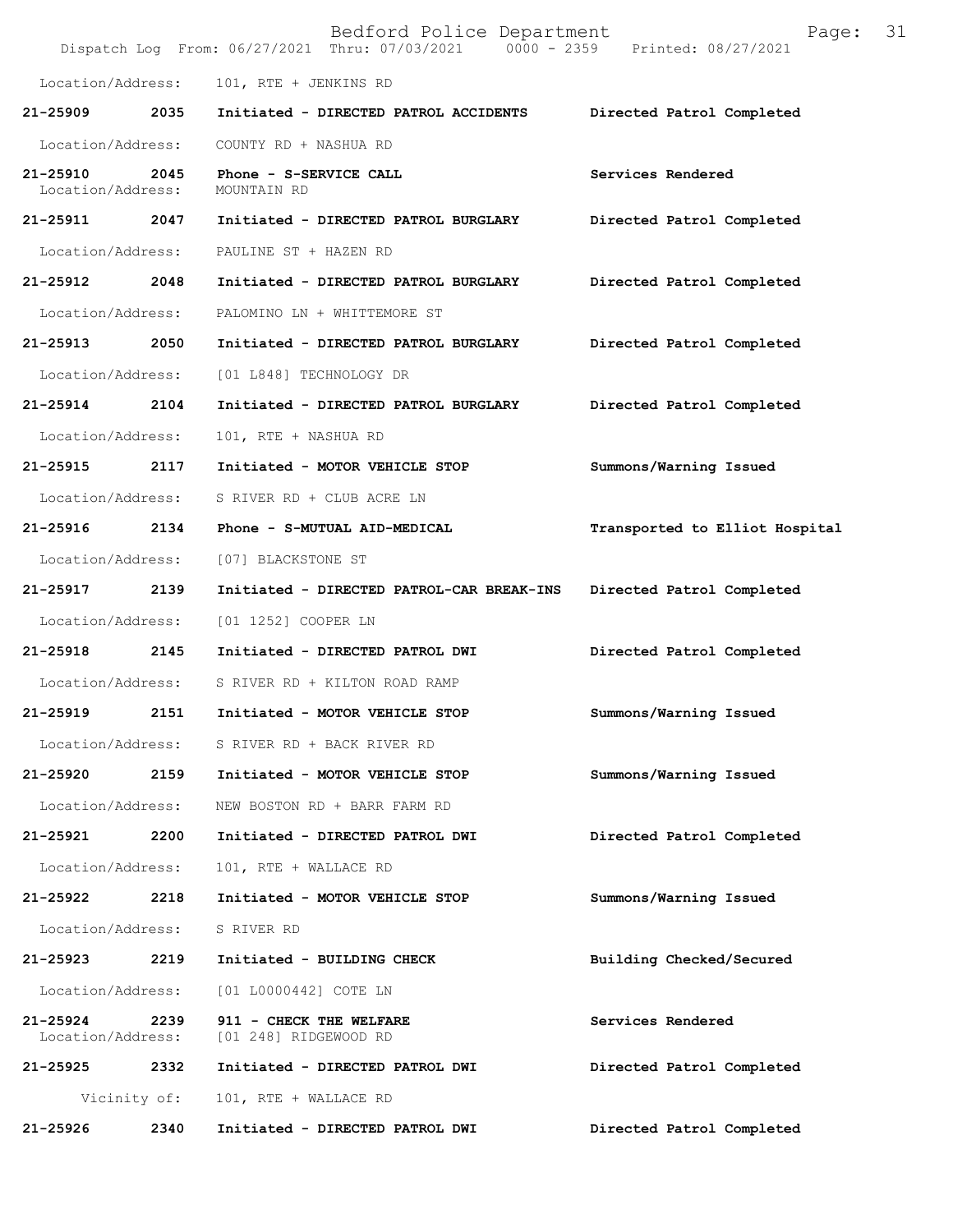|                               |              | Bedford Police Department<br>Dispatch Log From: 06/27/2021 Thru: 07/03/2021 0000 - 2359 Printed: 08/27/2021 | Page:                          | 31 |
|-------------------------------|--------------|-------------------------------------------------------------------------------------------------------------|--------------------------------|----|
| Location/Address:             |              | 101, RTE + JENKINS RD                                                                                       |                                |    |
| 21-25909                      | 2035         | Initiated - DIRECTED PATROL ACCIDENTS                                                                       | Directed Patrol Completed      |    |
| Location/Address:             |              | COUNTY RD + NASHUA RD                                                                                       |                                |    |
| 21-25910<br>Location/Address: | 2045         | Phone - S-SERVICE CALL<br>MOUNTAIN RD                                                                       | Services Rendered              |    |
| 21-25911 2047                 |              | Initiated - DIRECTED PATROL BURGLARY                                                                        | Directed Patrol Completed      |    |
| Location/Address:             |              | PAULINE ST + HAZEN RD                                                                                       |                                |    |
| 21-25912                      | 2048         | Initiated - DIRECTED PATROL BURGLARY                                                                        | Directed Patrol Completed      |    |
| Location/Address:             |              | PALOMINO LN + WHITTEMORE ST                                                                                 |                                |    |
| 21-25913 2050                 |              | Initiated - DIRECTED PATROL BURGLARY                                                                        | Directed Patrol Completed      |    |
| Location/Address:             |              | [01 L848] TECHNOLOGY DR                                                                                     |                                |    |
| 21-25914 2104                 |              | Initiated - DIRECTED PATROL BURGLARY                                                                        | Directed Patrol Completed      |    |
| Location/Address:             |              | 101, RTE + NASHUA RD                                                                                        |                                |    |
| 21-25915                      | 2117         | Initiated - MOTOR VEHICLE STOP                                                                              | Summons/Warning Issued         |    |
| Location/Address:             |              | S RIVER RD + CLUB ACRE LN                                                                                   |                                |    |
| 21-25916 2134                 |              | Phone - S-MUTUAL AID-MEDICAL                                                                                | Transported to Elliot Hospital |    |
| Location/Address:             |              | [07] BLACKSTONE ST                                                                                          |                                |    |
| 21-25917 2139                 |              | Initiated - DIRECTED PATROL-CAR BREAK-INS                                                                   | Directed Patrol Completed      |    |
| Location/Address:             |              | [01 1252] COOPER LN                                                                                         |                                |    |
| 21-25918                      | 2145         | Initiated - DIRECTED PATROL DWI                                                                             | Directed Patrol Completed      |    |
| Location/Address:             |              | S RIVER RD + KILTON ROAD RAMP                                                                               |                                |    |
| 21-25919                      | 2151         | Initiated - MOTOR VEHICLE STOP                                                                              | Summons/Warning Issued         |    |
| Location/Address:             |              | S RIVER RD + BACK RIVER RD                                                                                  |                                |    |
| 21-25920                      | 2159         | Initiated - MOTOR VEHICLE STOP                                                                              | Summons/Warning Issued         |    |
| Location/Address:             |              | NEW BOSTON RD + BARR FARM RD                                                                                |                                |    |
| 21-25921                      | 2200         | Initiated - DIRECTED PATROL DWI                                                                             | Directed Patrol Completed      |    |
| Location/Address:             |              | 101, RTE + WALLACE RD                                                                                       |                                |    |
| 21-25922                      | 2218         | Initiated - MOTOR VEHICLE STOP                                                                              | Summons/Warning Issued         |    |
| Location/Address:             |              | S RIVER RD                                                                                                  |                                |    |
| 21-25923                      | 2219         | Initiated - BUILDING CHECK                                                                                  | Building Checked/Secured       |    |
| Location/Address:             |              | [01 L0000442] COTE LN                                                                                       |                                |    |
| 21-25924<br>Location/Address: | 2239         | 911 - CHECK THE WELFARE<br>[01 248] RIDGEWOOD RD                                                            | Services Rendered              |    |
| 21-25925 2332                 |              | Initiated - DIRECTED PATROL DWI                                                                             | Directed Patrol Completed      |    |
|                               | Vicinity of: | 101, RTE + WALLACE RD                                                                                       |                                |    |
| 21-25926                      | 2340         | Initiated - DIRECTED PATROL DWI                                                                             | Directed Patrol Completed      |    |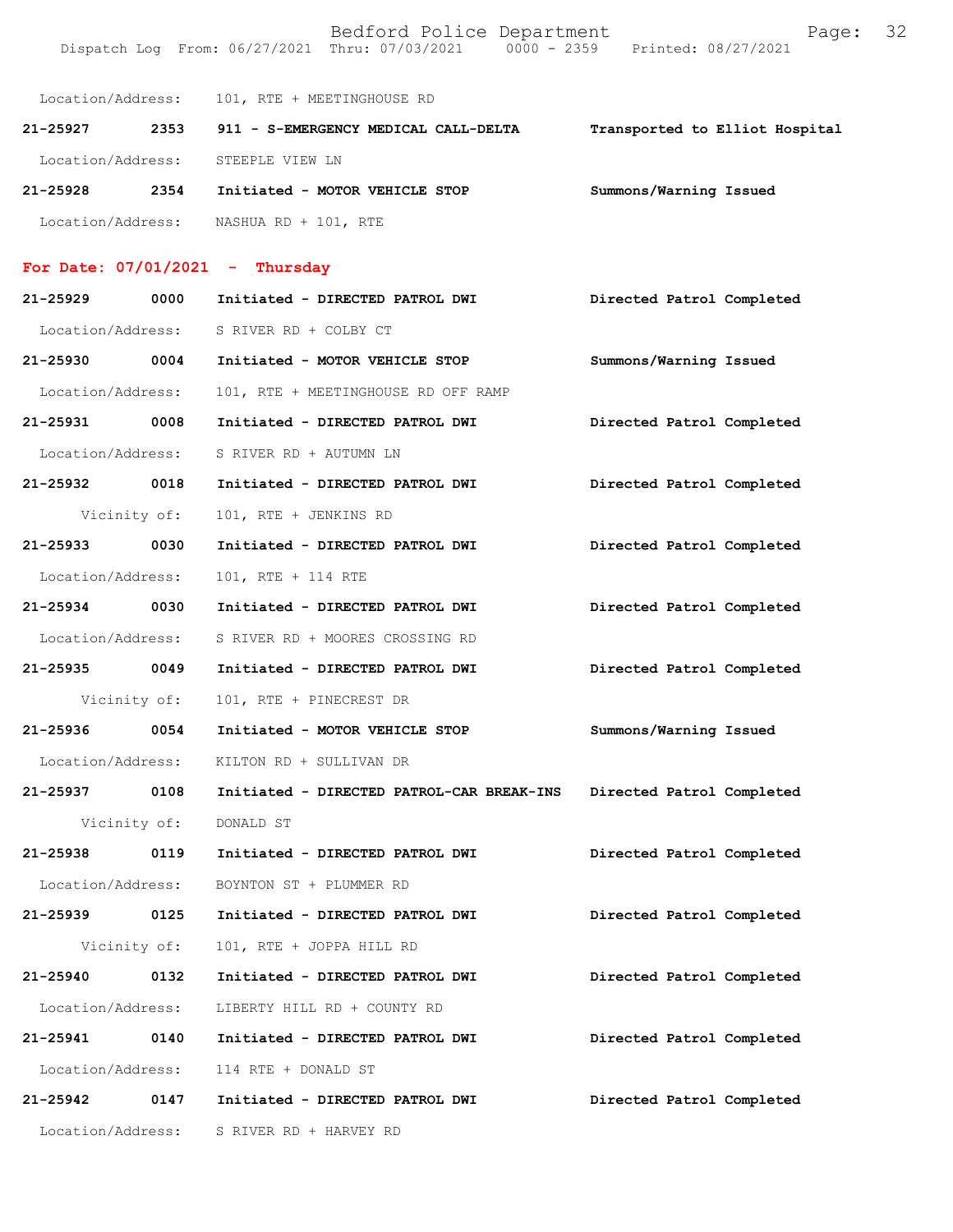Bedford Police Department Fage: 32 Dispatch Log From: 06/27/2021 Thru: 07/03/2021 0000 - 2359 Printed: 08/27/2021

Location/Address: 101, RTE + MEETINGHOUSE RD

| 21-25927          | 2353 | 911 - S-EMERGENCY MEDICAL CALL-DELTA | Transported to Elliot Hospital |
|-------------------|------|--------------------------------------|--------------------------------|
| Location/Address: |      | STEEPLE VIEW LN                      |                                |
| $21 - 25928$      | 2354 | Initiated - MOTOR VEHICLE STOP       | Summons/Warning Issued         |
| Location/Address: |      | NASHUA RD + 101, RTE                 |                                |

## **For Date: 07/01/2021 - Thursday**

| 21-25929          | 0000 | Initiated - DIRECTED PATROL DWI           | Directed Patrol Completed |
|-------------------|------|-------------------------------------------|---------------------------|
|                   |      | Location/Address: S RIVER RD + COLBY CT   |                           |
| 21-25930 0004     |      | Initiated - MOTOR VEHICLE STOP            | Summons/Warning Issued    |
| Location/Address: |      | 101, RTE + MEETINGHOUSE RD OFF RAMP       |                           |
| 21-25931 0008     |      | Initiated - DIRECTED PATROL DWI           | Directed Patrol Completed |
| Location/Address: |      | S RIVER RD + AUTUMN LN                    |                           |
| 21-25932 0018     |      | Initiated - DIRECTED PATROL DWI           | Directed Patrol Completed |
| Vicinity of:      |      | 101, RTE + JENKINS RD                     |                           |
| 21-25933 0030     |      | Initiated - DIRECTED PATROL DWI           | Directed Patrol Completed |
| Location/Address: |      | 101, RTE + 114 RTE                        |                           |
| 21-25934 0030     |      | Initiated - DIRECTED PATROL DWI           | Directed Patrol Completed |
| Location/Address: |      | S RIVER RD + MOORES CROSSING RD           |                           |
| 21-25935 0049     |      | Initiated - DIRECTED PATROL DWI           | Directed Patrol Completed |
| Vicinity of:      |      | 101, RTE + PINECREST DR                   |                           |
|                   |      |                                           |                           |
| 21-25936 0054     |      | Initiated - MOTOR VEHICLE STOP            | Summons/Warning Issued    |
| Location/Address: |      | KILTON RD + SULLIVAN DR                   |                           |
| 21-25937 0108     |      | Initiated - DIRECTED PATROL-CAR BREAK-INS | Directed Patrol Completed |
| Vicinity of:      |      | DONALD ST                                 |                           |
| 21-25938 0119     |      | Initiated - DIRECTED PATROL DWI           | Directed Patrol Completed |
| Location/Address: |      | BOYNTON ST + PLUMMER RD                   |                           |
| 21-25939 0125     |      | Initiated - DIRECTED PATROL DWI           | Directed Patrol Completed |
|                   |      | Vicinity of: 101, RTE + JOPPA HILL RD     |                           |
| 21-25940          | 0132 | Initiated - DIRECTED PATROL DWI           | Directed Patrol Completed |
| Location/Address: |      | LIBERTY HILL RD + COUNTY RD               |                           |
| 21-25941          | 0140 | Initiated - DIRECTED PATROL DWI           | Directed Patrol Completed |
| Location/Address: |      | 114 RTE + DONALD ST                       |                           |
| 21-25942          | 0147 | Initiated - DIRECTED PATROL DWI           | Directed Patrol Completed |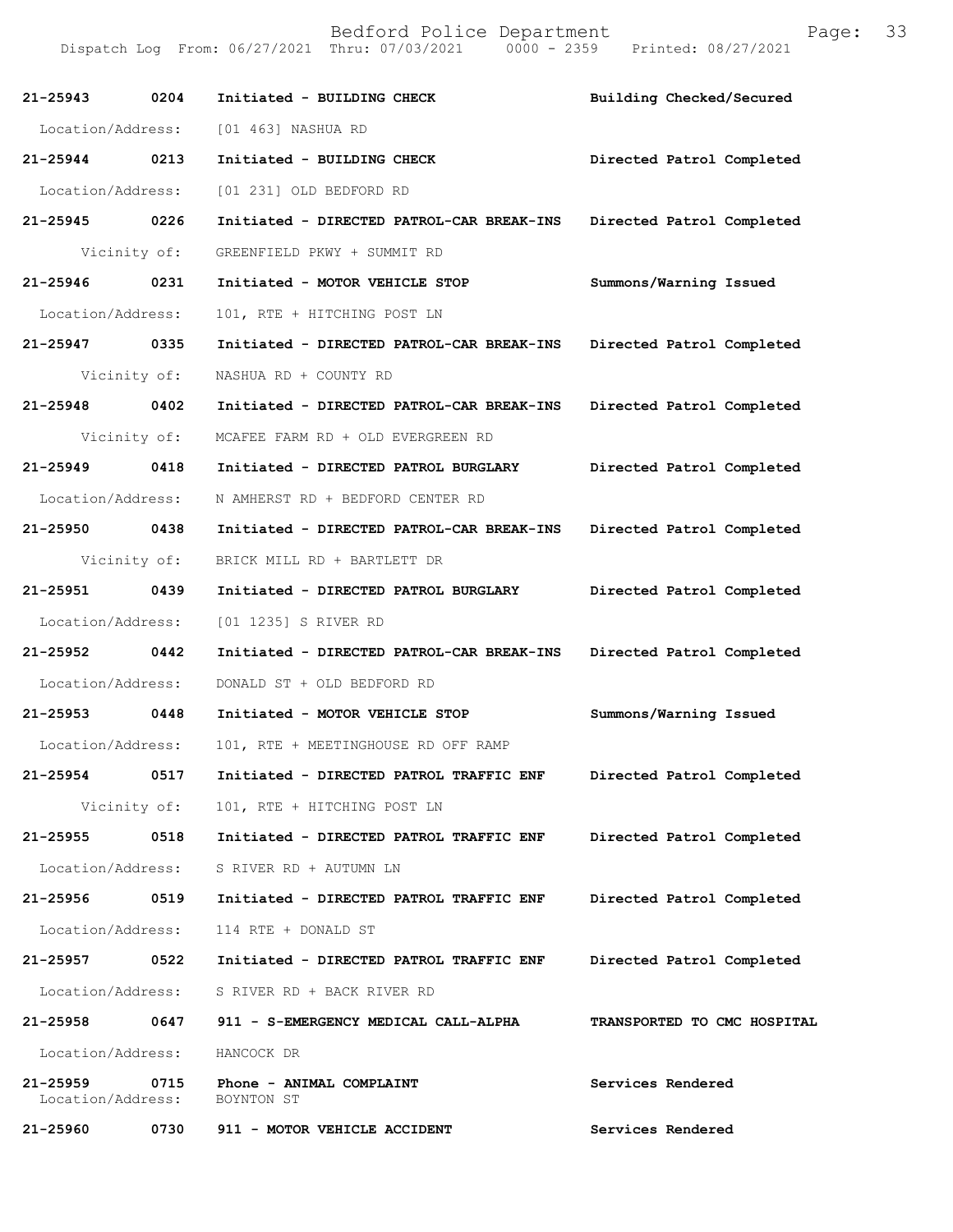| 21-25943          | 0204         | Initiated - BUILDING CHECK                                    | Building Checked/Secured    |
|-------------------|--------------|---------------------------------------------------------------|-----------------------------|
| Location/Address: |              | [01 463] NASHUA RD                                            |                             |
| 21-25944 0213     |              | Initiated - BUILDING CHECK                                    | Directed Patrol Completed   |
| Location/Address: |              | [01 231] OLD BEDFORD RD                                       |                             |
| 21-25945 0226     |              | Initiated - DIRECTED PATROL-CAR BREAK-INS                     | Directed Patrol Completed   |
|                   | Vicinity of: | GREENFIELD PKWY + SUMMIT RD                                   |                             |
| 21-25946 0231     |              | Initiated - MOTOR VEHICLE STOP                                | Summons/Warning Issued      |
| Location/Address: |              | 101, RTE + HITCHING POST LN                                   |                             |
| 21-25947 0335     |              | Initiated - DIRECTED PATROL-CAR BREAK-INS                     | Directed Patrol Completed   |
|                   | Vicinity of: | NASHUA RD + COUNTY RD                                         |                             |
| 21-25948 0402     |              | Initiated - DIRECTED PATROL-CAR BREAK-INS                     | Directed Patrol Completed   |
|                   | Vicinity of: | MCAFEE FARM RD + OLD EVERGREEN RD                             |                             |
| 21-25949 0418     |              | Initiated - DIRECTED PATROL BURGLARY                          | Directed Patrol Completed   |
| Location/Address: |              | N AMHERST RD + BEDFORD CENTER RD                              |                             |
| 21-25950 0438     |              | Initiated - DIRECTED PATROL-CAR BREAK-INS                     | Directed Patrol Completed   |
| Vicinity of:      |              | BRICK MILL RD + BARTLETT DR                                   |                             |
| 21-25951 0439     |              | Initiated - DIRECTED PATROL BURGLARY                          | Directed Patrol Completed   |
| Location/Address: |              | [01 1235] S RIVER RD                                          |                             |
| 21-25952 0442     |              | Initiated - DIRECTED PATROL-CAR BREAK-INS                     | Directed Patrol Completed   |
| Location/Address: |              | DONALD ST + OLD BEDFORD RD                                    |                             |
| 21-25953 0448     |              | Initiated - MOTOR VEHICLE STOP                                | Summons/Warning Issued      |
| Location/Address: |              | 101, RTE + MEETINGHOUSE RD OFF RAMP                           |                             |
| 21-25954 0517     |              | Initiated - DIRECTED PATROL TRAFFIC ENF                       | Directed Patrol Completed   |
|                   |              | Vicinity of: 101, RTE + HITCHING POST LN                      |                             |
| 21-25955          | 0518         | Initiated - DIRECTED PATROL TRAFFIC ENF                       | Directed Patrol Completed   |
|                   |              | Location/Address: S RIVER RD + AUTUMN LN                      |                             |
| 21-25956 0519     |              | Initiated - DIRECTED PATROL TRAFFIC ENF                       | Directed Patrol Completed   |
| Location/Address: |              | 114 RTE + DONALD ST                                           |                             |
| 21-25957 0522     |              | Initiated - DIRECTED PATROL TRAFFIC ENF                       | Directed Patrol Completed   |
|                   |              | Location/Address: S RIVER RD + BACK RIVER RD                  |                             |
|                   |              | 21-25958 0647 911 - S-EMERGENCY MEDICAL CALL-ALPHA            | TRANSPORTED TO CMC HOSPITAL |
|                   |              | Location/Address: HANCOCK DR                                  |                             |
| 21-25959          |              | 0715 Phone - ANIMAL COMPLAINT<br>Location/Address: BOYNTON ST | Services Rendered           |
| 21-25960          |              | 0730 911 - MOTOR VEHICLE ACCIDENT                             | Services Rendered           |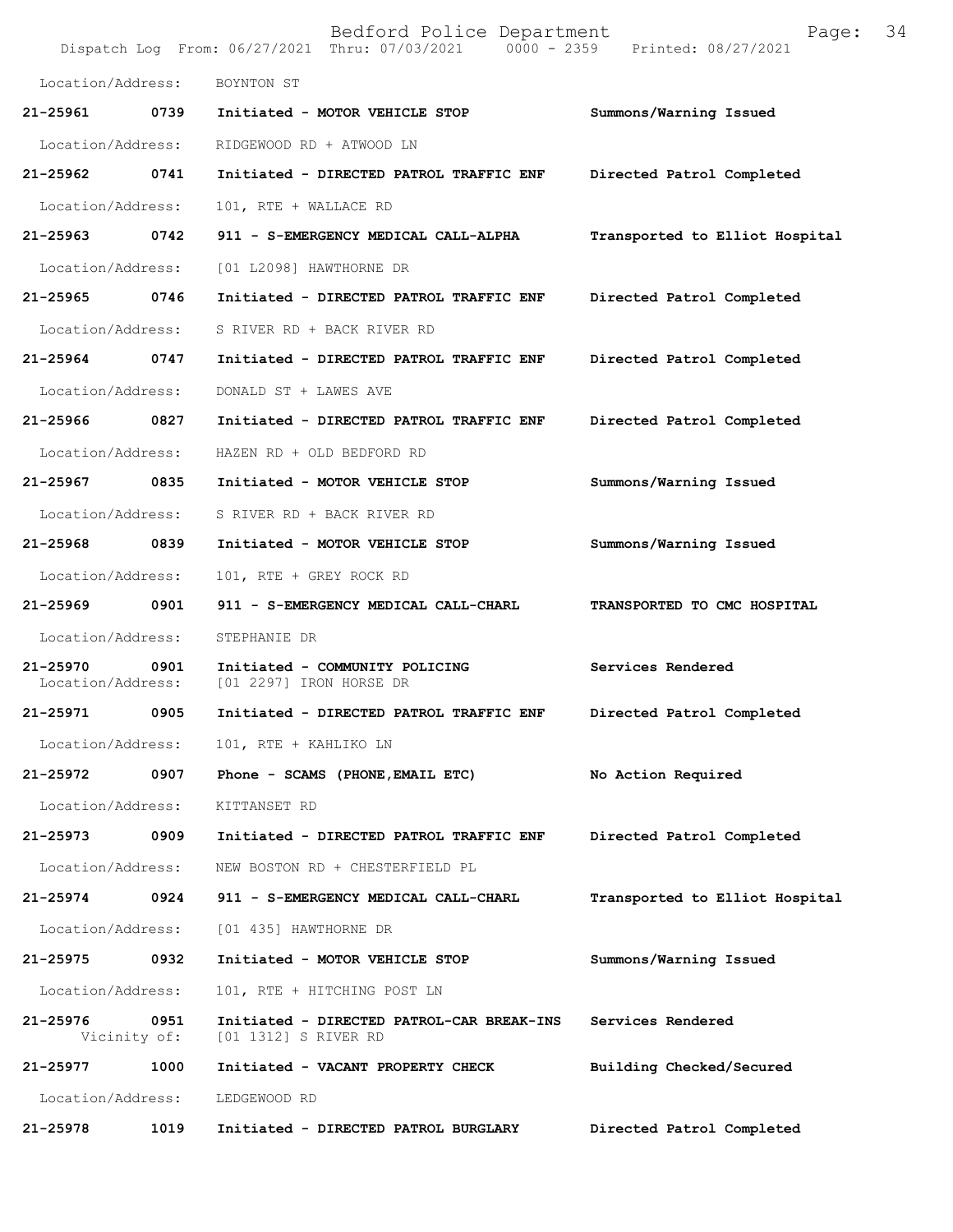|                               |                      | Bedford Police Department<br>Dispatch Log From: 06/27/2021 Thru: 07/03/2021 0000 - 2359 Printed: 08/27/2021 | Page:                          | 34 |
|-------------------------------|----------------------|-------------------------------------------------------------------------------------------------------------|--------------------------------|----|
| Location/Address:             |                      | BOYNTON ST                                                                                                  |                                |    |
| 21-25961                      | 0739                 | Initiated - MOTOR VEHICLE STOP                                                                              | Summons/Warning Issued         |    |
| Location/Address:             |                      | RIDGEWOOD RD + ATWOOD LN                                                                                    |                                |    |
| 21-25962 0741                 |                      | Initiated - DIRECTED PATROL TRAFFIC ENF                                                                     | Directed Patrol Completed      |    |
| Location/Address:             |                      | 101, RTE + WALLACE RD                                                                                       |                                |    |
| 21-25963 0742                 |                      | 911 - S-EMERGENCY MEDICAL CALL-ALPHA                                                                        | Transported to Elliot Hospital |    |
| Location/Address:             |                      | [01 L2098] HAWTHORNE DR                                                                                     |                                |    |
| 21-25965                      | 0746                 | Initiated - DIRECTED PATROL TRAFFIC ENF                                                                     | Directed Patrol Completed      |    |
| Location/Address:             |                      | S RIVER RD + BACK RIVER RD                                                                                  |                                |    |
| 21-25964 0747                 |                      | Initiated - DIRECTED PATROL TRAFFIC ENF                                                                     | Directed Patrol Completed      |    |
| Location/Address:             |                      | DONALD ST + LAWES AVE                                                                                       |                                |    |
| 21-25966 0827                 |                      | Initiated - DIRECTED PATROL TRAFFIC ENF                                                                     | Directed Patrol Completed      |    |
| Location/Address:             |                      | HAZEN RD + OLD BEDFORD RD                                                                                   |                                |    |
| 21-25967                      | 0835                 | Initiated - MOTOR VEHICLE STOP                                                                              | Summons/Warning Issued         |    |
| Location/Address:             |                      | S RIVER RD + BACK RIVER RD                                                                                  |                                |    |
| 21-25968 0839                 |                      | Initiated - MOTOR VEHICLE STOP                                                                              | Summons/Warning Issued         |    |
| Location/Address:             |                      | 101, RTE + GREY ROCK RD                                                                                     |                                |    |
| 21-25969 0901                 |                      | 911 - S-EMERGENCY MEDICAL CALL-CHARL                                                                        | TRANSPORTED TO CMC HOSPITAL    |    |
| Location/Address:             |                      | STEPHANIE DR                                                                                                |                                |    |
| 21-25970<br>Location/Address: | 0901                 | Initiated - COMMUNITY POLICING<br>[01 2297] IRON HORSE DR                                                   | Services Rendered              |    |
| 21-25971 0905                 |                      | Initiated - DIRECTED PATROL TRAFFIC ENF                                                                     | Directed Patrol Completed      |    |
| Location/Address:             |                      | 101, RTE + KAHLIKO LN                                                                                       |                                |    |
| 21-25972                      | 0907                 | Phone - SCAMS (PHONE, EMAIL ETC)                                                                            | No Action Required             |    |
| Location/Address:             |                      | KITTANSET RD                                                                                                |                                |    |
| 21-25973                      | 0909                 | Initiated - DIRECTED PATROL TRAFFIC ENF                                                                     | Directed Patrol Completed      |    |
| Location/Address:             |                      | NEW BOSTON RD + CHESTERFIELD PL                                                                             |                                |    |
| 21-25974 0924                 |                      | 911 - S-EMERGENCY MEDICAL CALL-CHARL                                                                        | Transported to Elliot Hospital |    |
| Location/Address:             |                      | [01 435] HAWTHORNE DR                                                                                       |                                |    |
| 21-25975                      | 0932                 | Initiated - MOTOR VEHICLE STOP                                                                              | Summons/Warning Issued         |    |
| Location/Address:             |                      | 101, RTE + HITCHING POST LN                                                                                 |                                |    |
| 21-25976                      | 0951<br>Vicinity of: | Initiated - DIRECTED PATROL-CAR BREAK-INS<br>[01 1312] S RIVER RD                                           | Services Rendered              |    |
| 21-25977                      | 1000                 | Initiated - VACANT PROPERTY CHECK                                                                           | Building Checked/Secured       |    |
| Location/Address:             |                      | LEDGEWOOD RD                                                                                                |                                |    |
| 21-25978                      | 1019                 | Initiated - DIRECTED PATROL BURGLARY                                                                        | Directed Patrol Completed      |    |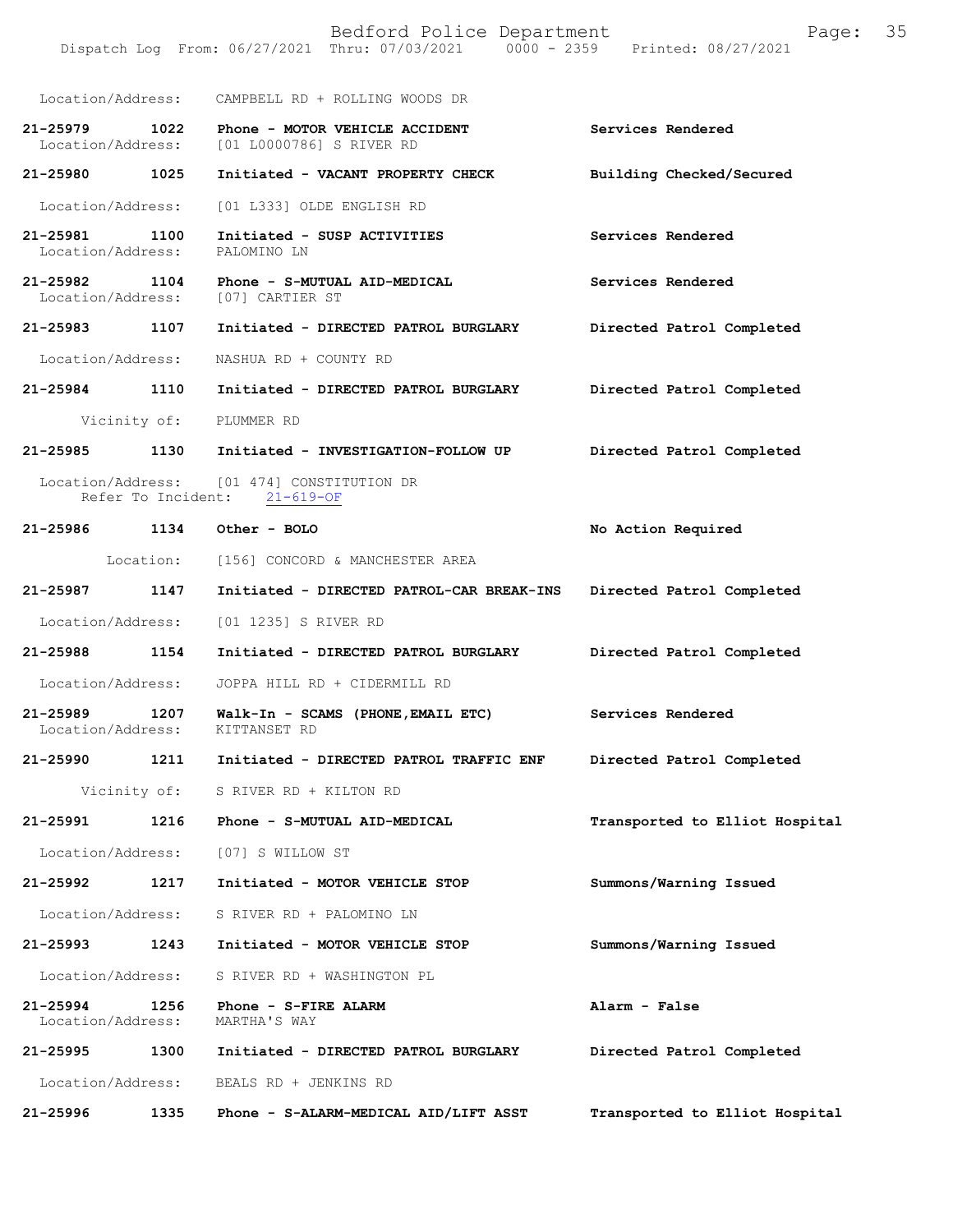Bedford Police Department Page: 35 Dispatch Log From: 06/27/2021 Thru: 07/03/2021 Location/Address: CAMPBELL RD + ROLLING WOODS DR **21-25979 1022 Phone - MOTOR VEHICLE ACCIDENT Services Rendered**  Location/Address: [01 L0000786] S RIVER RD **21-25980 1025 Initiated - VACANT PROPERTY CHECK Building Checked/Secured**  Location/Address: [01 L333] OLDE ENGLISH RD **21-25981 1100 Initiated - SUSP ACTIVITIES Services Rendered**  Location/Address: PALOMINO LN **21-25982 1104 Phone - S-MUTUAL AID-MEDICAL Services Rendered**  Location/Address: [07] CARTIER ST **21-25983 1107 Initiated - DIRECTED PATROL BURGLARY Directed Patrol Completed**  Location/Address: NASHUA RD + COUNTY RD **21-25984 1110 Initiated - DIRECTED PATROL BURGLARY Directed Patrol Completed**  Vicinity of: PLUMMER RD **21-25985 1130 Initiated - INVESTIGATION-FOLLOW UP Directed Patrol Completed**  Location/Address: [01 474] CONSTITUTION DR Refer To Incident: 21-619-OF **21-25986 1134 Other - BOLO No Action Required**  Location: [156] CONCORD & MANCHESTER AREA **21-25987 1147 Initiated - DIRECTED PATROL-CAR BREAK-INS Directed Patrol Completed**  Location/Address: [01 1235] S RIVER RD **21-25988 1154 Initiated - DIRECTED PATROL BURGLARY Directed Patrol Completed**  Location/Address: JOPPA HILL RD + CIDERMILL RD **21-25989 1207 Walk-In - SCAMS (PHONE,EMAIL ETC) Services Rendered**  Location/Address: KITTANSET RD **21-25990 1211 Initiated - DIRECTED PATROL TRAFFIC ENF Directed Patrol Completed**  Vicinity of: S RIVER RD + KILTON RD **21-25991 1216 Phone - S-MUTUAL AID-MEDICAL Transported to Elliot Hospital** Location/Address: [07] S WILLOW ST **21-25992 1217 Initiated - MOTOR VEHICLE STOP Summons/Warning Issued**  Location/Address: S RIVER RD + PALOMINO LN **21-25993 1243 Initiated - MOTOR VEHICLE STOP Summons/Warning Issued**  Location/Address: S RIVER RD + WASHINGTON PL **21-25994 1256 Phone - S-FIRE ALARM Alarm - False**  Location/Address: **21-25995 1300 Initiated - DIRECTED PATROL BURGLARY Directed Patrol Completed**  Location/Address: BEALS RD + JENKINS RD **21-25996 1335 Phone - S-ALARM-MEDICAL AID/LIFT ASST Transported to Elliot Hospital**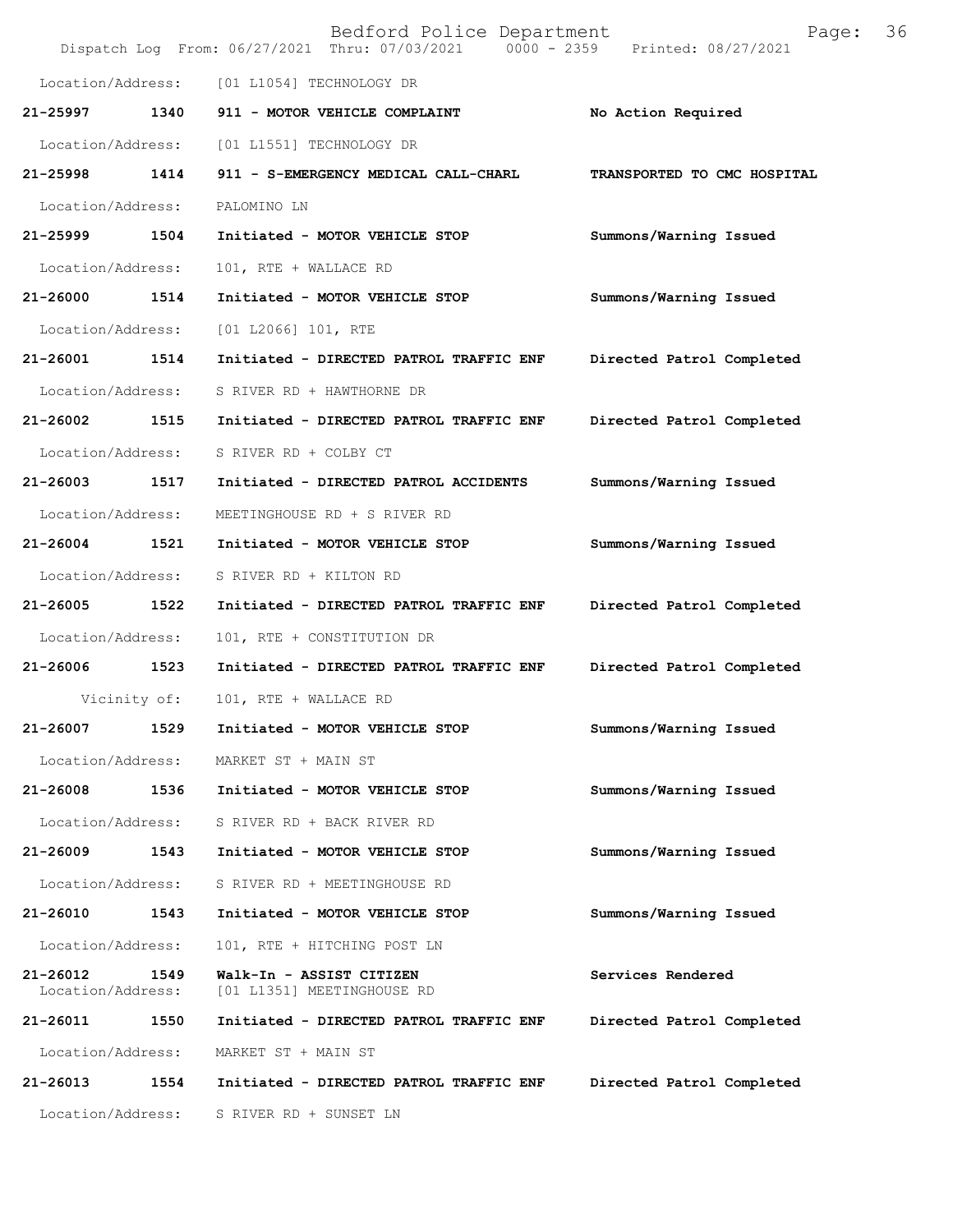|                               |              | Bedford Police Department<br>Dispatch Log From: 06/27/2021 Thru: 07/03/2021 0000 - 2359 Printed: 08/27/2021 | Page:                       | 36 |
|-------------------------------|--------------|-------------------------------------------------------------------------------------------------------------|-----------------------------|----|
| Location/Address:             |              | [01 L1054] TECHNOLOGY DR                                                                                    |                             |    |
| 21-25997                      | 1340         | 911 - MOTOR VEHICLE COMPLAINT                                                                               | No Action Required          |    |
| Location/Address:             |              | [01 L1551] TECHNOLOGY DR                                                                                    |                             |    |
| 21-25998                      | 1414         | 911 - S-EMERGENCY MEDICAL CALL-CHARL                                                                        | TRANSPORTED TO CMC HOSPITAL |    |
| Location/Address:             |              | PALOMINO LN                                                                                                 |                             |    |
| 21-25999                      | 1504         | Initiated - MOTOR VEHICLE STOP                                                                              | Summons/Warning Issued      |    |
| Location/Address:             |              | 101, RTE + WALLACE RD                                                                                       |                             |    |
| 21-26000                      | 1514         | Initiated - MOTOR VEHICLE STOP                                                                              | Summons/Warning Issued      |    |
| Location/Address:             |              | $[01 L2066] 101$ , RTE                                                                                      |                             |    |
| 21-26001                      | 1514         | Initiated - DIRECTED PATROL TRAFFIC ENF                                                                     | Directed Patrol Completed   |    |
| Location/Address:             |              | S RIVER RD + HAWTHORNE DR                                                                                   |                             |    |
| 21-26002                      | 1515         | Initiated - DIRECTED PATROL TRAFFIC ENF                                                                     | Directed Patrol Completed   |    |
| Location/Address:             |              | S RIVER RD + COLBY CT                                                                                       |                             |    |
| 21-26003                      | 1517         | Initiated - DIRECTED PATROL ACCIDENTS                                                                       | Summons/Warning Issued      |    |
| Location/Address:             |              | MEETINGHOUSE RD + S RIVER RD                                                                                |                             |    |
| 21-26004                      | 1521         | Initiated - MOTOR VEHICLE STOP                                                                              | Summons/Warning Issued      |    |
| Location/Address:             |              | S RIVER RD + KILTON RD                                                                                      |                             |    |
| 21-26005                      | 1522         | Initiated - DIRECTED PATROL TRAFFIC ENF                                                                     | Directed Patrol Completed   |    |
| Location/Address:             |              | 101, RTE + CONSTITUTION DR                                                                                  |                             |    |
| 21-26006                      | 1523         | Initiated - DIRECTED PATROL TRAFFIC ENF                                                                     | Directed Patrol Completed   |    |
|                               | Vicinity of: | 101, RTE + WALLACE RD                                                                                       |                             |    |
| 21-26007                      | 1529         | Initiated - MOTOR VEHICLE STOP                                                                              | Summons/Warning Issued      |    |
| Location/Address:             |              | MARKET ST + MAIN ST                                                                                         |                             |    |
| 21-26008                      | 1536         | Initiated - MOTOR VEHICLE STOP                                                                              | Summons/Warning Issued      |    |
| Location/Address:             |              | S RIVER RD + BACK RIVER RD                                                                                  |                             |    |
| 21-26009                      | 1543         | Initiated - MOTOR VEHICLE STOP                                                                              | Summons/Warning Issued      |    |
| Location/Address:             |              | S RIVER RD + MEETINGHOUSE RD                                                                                |                             |    |
| 21-26010                      | 1543         | Initiated - MOTOR VEHICLE STOP                                                                              | Summons/Warning Issued      |    |
| Location/Address:             |              | 101, RTE + HITCHING POST LN                                                                                 |                             |    |
| 21-26012<br>Location/Address: | 1549         | Walk-In - ASSIST CITIZEN<br>[01 L1351] MEETINGHOUSE RD                                                      | Services Rendered           |    |
| 21-26011                      | 1550         | Initiated - DIRECTED PATROL TRAFFIC ENF                                                                     | Directed Patrol Completed   |    |
| Location/Address:             |              | MARKET ST + MAIN ST                                                                                         |                             |    |
| 21-26013                      | 1554         | Initiated - DIRECTED PATROL TRAFFIC ENF                                                                     | Directed Patrol Completed   |    |
| Location/Address:             |              | S RIVER RD + SUNSET LN                                                                                      |                             |    |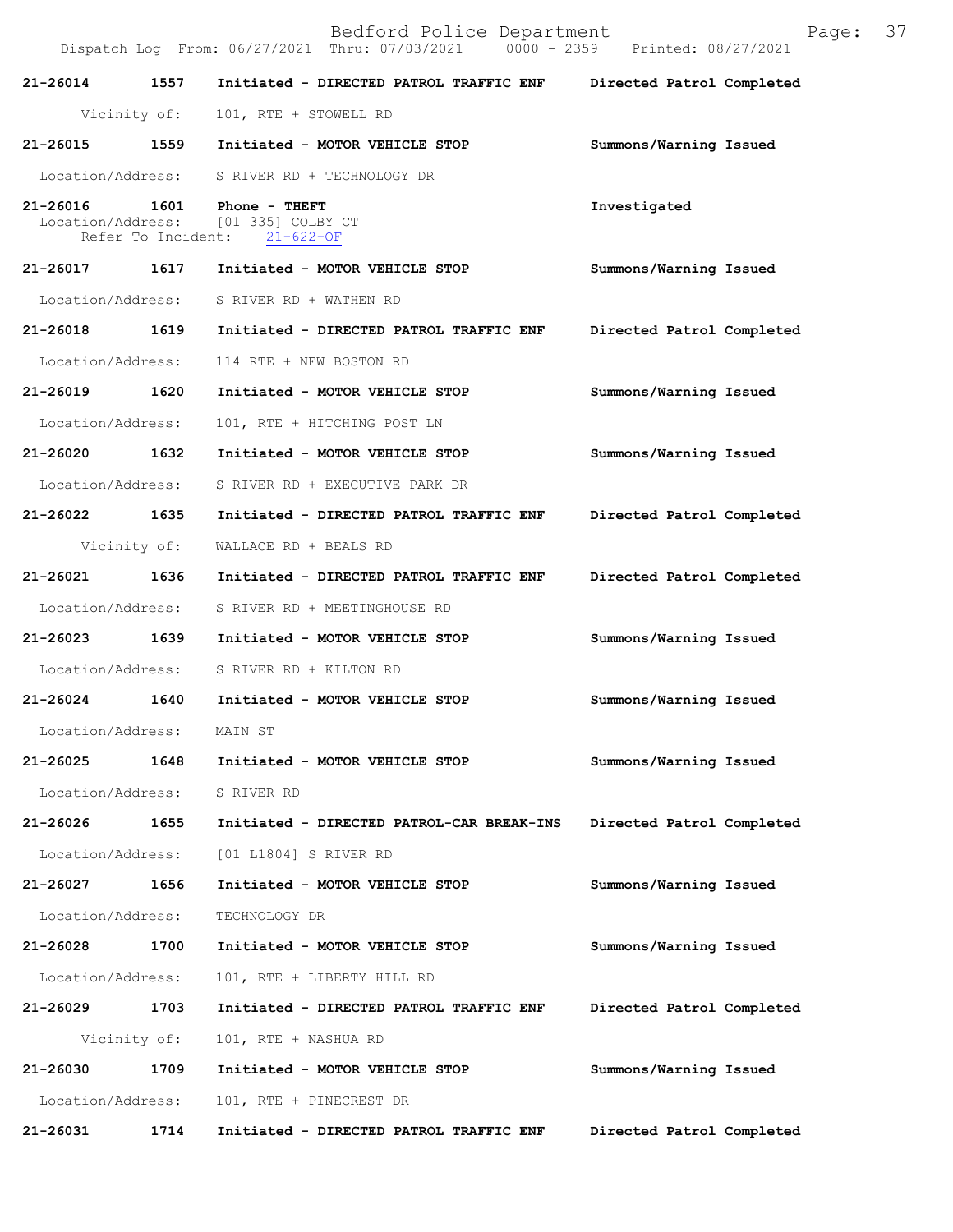| 21-26014 1557             |      | Initiated - DIRECTED PATROL TRAFFIC ENF                                              | Directed Patrol Completed |  |
|---------------------------|------|--------------------------------------------------------------------------------------|---------------------------|--|
| Vicinity of:              |      | 101, RTE + STOWELL RD                                                                |                           |  |
| 21-26015 1559             |      | Initiated - MOTOR VEHICLE STOP                                                       | Summons/Warning Issued    |  |
|                           |      | Location/Address: S RIVER RD + TECHNOLOGY DR                                         |                           |  |
| 21-26016                  | 1601 | Phone - THEFT<br>Location/Address: [01 335] COLBY CT<br>Refer To Incident: 21-622-OF | Investigated              |  |
| 21-26017 1617             |      | Initiated - MOTOR VEHICLE STOP                                                       | Summons/Warning Issued    |  |
| Location/Address:         |      | S RIVER RD + WATHEN RD                                                               |                           |  |
| 21-26018 1619             |      | Initiated - DIRECTED PATROL TRAFFIC ENF                                              | Directed Patrol Completed |  |
| Location/Address:         |      | 114 RTE + NEW BOSTON RD                                                              |                           |  |
| 21-26019 1620             |      | Initiated - MOTOR VEHICLE STOP                                                       | Summons/Warning Issued    |  |
| Location/Address:         |      | 101, RTE + HITCHING POST LN                                                          |                           |  |
| 21-26020 1632             |      | Initiated - MOTOR VEHICLE STOP                                                       | Summons/Warning Issued    |  |
| Location/Address:         |      | S RIVER RD + EXECUTIVE PARK DR                                                       |                           |  |
| 21-26022 1635             |      | Initiated - DIRECTED PATROL TRAFFIC ENF                                              | Directed Patrol Completed |  |
| Vicinity of:              |      | WALLACE RD + BEALS RD                                                                |                           |  |
| 21-26021 1636             |      | Initiated - DIRECTED PATROL TRAFFIC ENF                                              | Directed Patrol Completed |  |
| Location/Address:         |      | S RIVER RD + MEETINGHOUSE RD                                                         |                           |  |
| 21-26023 1639             |      | Initiated - MOTOR VEHICLE STOP                                                       | Summons/Warning Issued    |  |
| Location/Address:         |      | S RIVER RD + KILTON RD                                                               |                           |  |
| 21-26024 1640             |      | Initiated - MOTOR VEHICLE STOP                                                       | Summons/Warning Issued    |  |
| Location/Address: MAIN ST |      |                                                                                      |                           |  |
|                           |      | 21-26025 1648 Initiated - MOTOR VEHICLE STOP                                         | Summons/Warning Issued    |  |
| Location/Address:         |      | S RIVER RD                                                                           |                           |  |
| 21-26026                  | 1655 | Initiated - DIRECTED PATROL-CAR BREAK-INS                                            | Directed Patrol Completed |  |
| Location/Address:         |      | [01 L1804] S RIVER RD                                                                |                           |  |
| 21-26027                  | 1656 | Initiated - MOTOR VEHICLE STOP                                                       | Summons/Warning Issued    |  |
| Location/Address:         |      | TECHNOLOGY DR                                                                        |                           |  |
| 21-26028                  | 1700 | Initiated - MOTOR VEHICLE STOP                                                       | Summons/Warning Issued    |  |
| Location/Address:         |      | 101, RTE + LIBERTY HILL RD                                                           |                           |  |
| 21-26029                  | 1703 | Initiated - DIRECTED PATROL TRAFFIC ENF                                              | Directed Patrol Completed |  |
| Vicinity of:              |      | 101, RTE + NASHUA RD                                                                 |                           |  |
| 21-26030                  | 1709 | Initiated - MOTOR VEHICLE STOP                                                       | Summons/Warning Issued    |  |
| Location/Address:         |      | 101, RTE + PINECREST DR                                                              |                           |  |
| 21-26031                  | 1714 | Initiated - DIRECTED PATROL TRAFFIC ENF                                              | Directed Patrol Completed |  |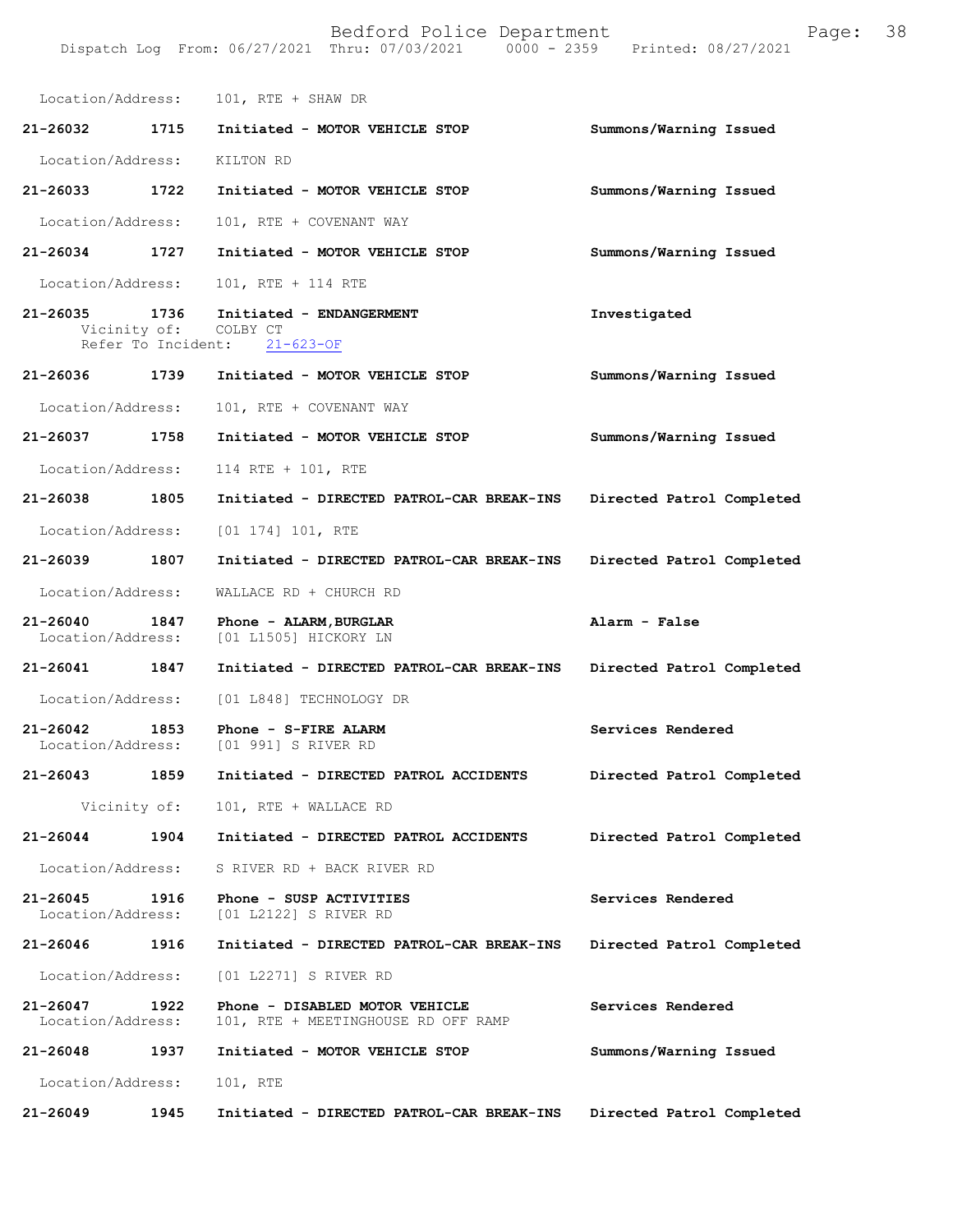|                                    |      | Location/Address: 101, RTE + SHAW DR                                              |                           |
|------------------------------------|------|-----------------------------------------------------------------------------------|---------------------------|
| 21-26032                           | 1715 | Initiated - MOTOR VEHICLE STOP                                                    | Summons/Warning Issued    |
| Location/Address: KILTON RD        |      |                                                                                   |                           |
| $21 - 26033$                       | 1722 | Initiated - MOTOR VEHICLE STOP                                                    | Summons/Warning Issued    |
| Location/Address:                  |      | 101, RTE + COVENANT WAY                                                           |                           |
| 21-26034 1727                      |      | Initiated - MOTOR VEHICLE STOP                                                    | Summons/Warning Issued    |
| Location/Address:                  |      | 101, RTE + 114 RTE                                                                |                           |
| 21-26035                           | 1736 | Initiated - ENDANGERMENT<br>Vicinity of: COLBY CT<br>Refer To Incident: 21-623-OF | Investigated              |
| 21-26036                           | 1739 | Initiated - MOTOR VEHICLE STOP                                                    | Summons/Warning Issued    |
| Location/Address:                  |      | 101, RTE + COVENANT WAY                                                           |                           |
| 21-26037 1758                      |      | Initiated - MOTOR VEHICLE STOP                                                    | Summons/Warning Issued    |
| Location/Address:                  |      | 114 RTE + 101, RTE                                                                |                           |
| 21-26038 1805                      |      | Initiated - DIRECTED PATROL-CAR BREAK-INS                                         | Directed Patrol Completed |
| Location/Address:                  |      | $[01 174] 101$ , RTE                                                              |                           |
| 21-26039                           | 1807 | Initiated - DIRECTED PATROL-CAR BREAK-INS                                         | Directed Patrol Completed |
| Location/Address:                  |      | WALLACE RD + CHURCH RD                                                            |                           |
| 21-26040 1847<br>Location/Address: |      | Phone - ALARM, BURGLAR<br>[01 L1505] HICKORY LN                                   | Alarm - False             |
| 21-26041 1847                      |      | Initiated - DIRECTED PATROL-CAR BREAK-INS                                         | Directed Patrol Completed |
| Location/Address:                  |      | [01 L848] TECHNOLOGY DR                                                           |                           |
| 21-26042                           | 1853 | Phone - S-FIRE ALARM<br>Location/Address: [01 991] S RIVER RD                     | Services Rendered         |
| 21-26043 1859                      |      | Initiated - DIRECTED PATROL ACCIDENTS Directed Patrol Completed                   |                           |
|                                    |      | Vicinity of: 101, RTE + WALLACE RD                                                |                           |
| 21-26044 1904                      |      | Initiated - DIRECTED PATROL ACCIDENTS                                             | Directed Patrol Completed |
| Location/Address:                  |      | S RIVER RD + BACK RIVER RD                                                        |                           |
| 21-26045 1916                      |      | Phone - SUSP ACTIVITIES<br>Location/Address: [01 L2122] S RIVER RD                | Services Rendered         |
| 21-26046                           | 1916 | Initiated - DIRECTED PATROL-CAR BREAK-INS                                         | Directed Patrol Completed |
| Location/Address:                  |      | [01 L2271] S RIVER RD                                                             |                           |
| 21-26047 1922<br>Location/Address: |      | Phone - DISABLED MOTOR VEHICLE<br>101, RTE + MEETINGHOUSE RD OFF RAMP             | Services Rendered         |
| 21-26048 1937                      |      | Initiated - MOTOR VEHICLE STOP                                                    | Summons/Warning Issued    |
| Location/Address:                  |      | 101, RTE                                                                          |                           |
| 21-26049                           | 1945 | Initiated - DIRECTED PATROL-CAR BREAK-INS                                         | Directed Patrol Completed |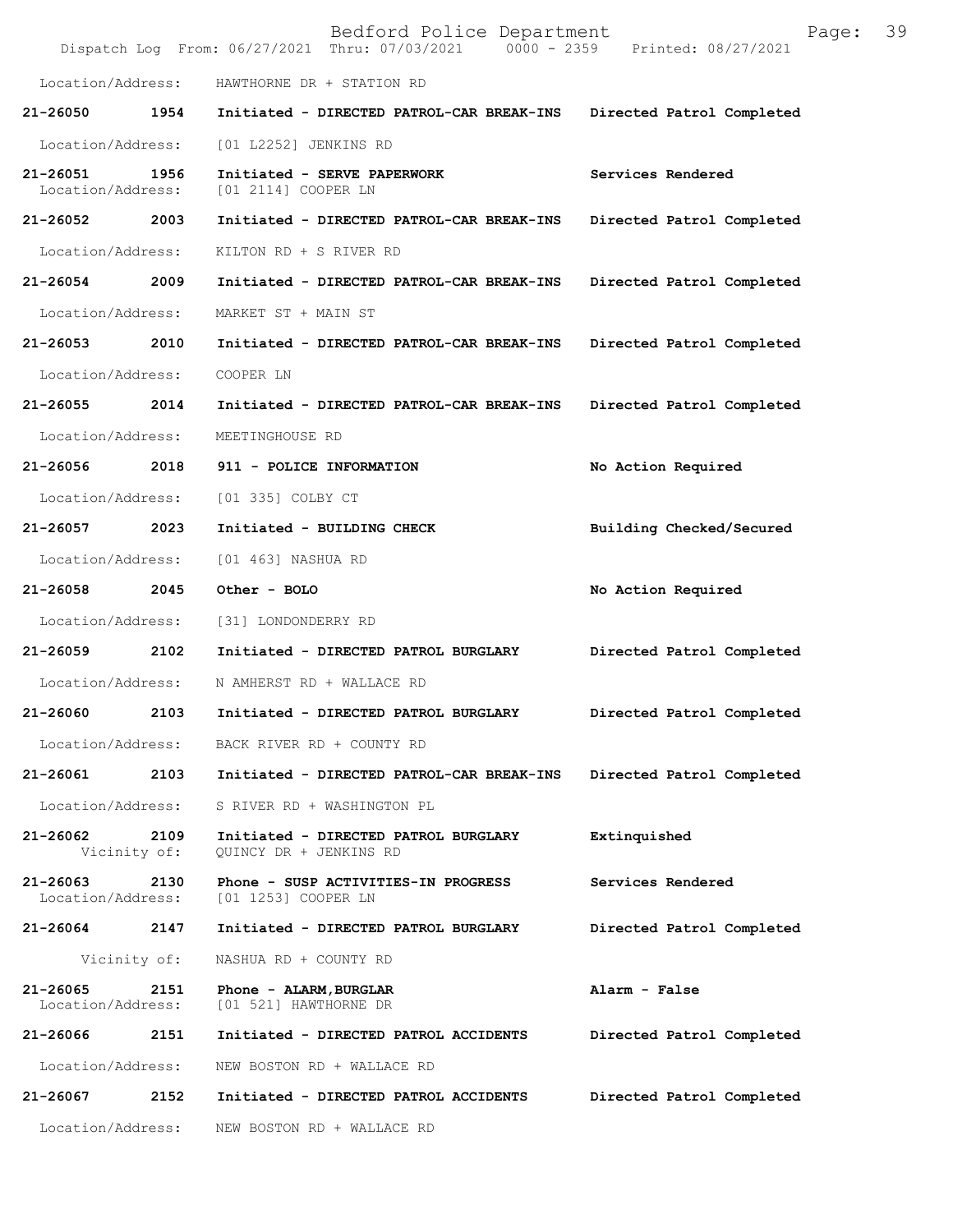|                               |      | Bedford Police Department<br>Dispatch Log From: 06/27/2021 Thru: 07/03/2021 0000 - 2359 Printed: 08/27/2021 | Page:                     | 39 |
|-------------------------------|------|-------------------------------------------------------------------------------------------------------------|---------------------------|----|
| Location/Address:             |      | HAWTHORNE DR + STATION RD                                                                                   |                           |    |
| 21-26050                      | 1954 | Initiated - DIRECTED PATROL-CAR BREAK-INS                                                                   | Directed Patrol Completed |    |
| Location/Address:             |      | [01 L2252] JENKINS RD                                                                                       |                           |    |
| 21-26051<br>Location/Address: | 1956 | Initiated - SERVE PAPERWORK<br>[01 2114] COOPER LN                                                          | Services Rendered         |    |
| 21-26052 2003                 |      | Initiated - DIRECTED PATROL-CAR BREAK-INS                                                                   | Directed Patrol Completed |    |
| Location/Address:             |      | KILTON RD + S RIVER RD                                                                                      |                           |    |
| 21-26054                      | 2009 | Initiated - DIRECTED PATROL-CAR BREAK-INS                                                                   | Directed Patrol Completed |    |
| Location/Address:             |      | MARKET ST + MAIN ST                                                                                         |                           |    |
| 21-26053                      | 2010 | Initiated - DIRECTED PATROL-CAR BREAK-INS                                                                   | Directed Patrol Completed |    |
| Location/Address:             |      | COOPER LN                                                                                                   |                           |    |
| 21-26055                      | 2014 | Initiated - DIRECTED PATROL-CAR BREAK-INS                                                                   | Directed Patrol Completed |    |
| Location/Address:             |      | MEETINGHOUSE RD                                                                                             |                           |    |
| 21-26056                      | 2018 | 911 - POLICE INFORMATION                                                                                    | No Action Required        |    |
| Location/Address:             |      | [01 335] COLBY CT                                                                                           |                           |    |
| 21-26057                      | 2023 | Initiated - BUILDING CHECK                                                                                  | Building Checked/Secured  |    |
| Location/Address:             |      | [01 463] NASHUA RD                                                                                          |                           |    |
| 21-26058                      | 2045 | Other - BOLO                                                                                                | No Action Required        |    |
| Location/Address:             |      | [31] LONDONDERRY RD                                                                                         |                           |    |
| 21-26059                      | 2102 | Initiated - DIRECTED PATROL BURGLARY                                                                        | Directed Patrol Completed |    |
| Location/Address:             |      | N AMHERST RD + WALLACE RD                                                                                   |                           |    |
| 21-26060                      | 2103 | Initiated - DIRECTED PATROL BURGLARY                                                                        | Directed Patrol Completed |    |
| Location/Address:             |      | BACK RIVER RD + COUNTY RD                                                                                   |                           |    |
| 21-26061                      | 2103 | Initiated - DIRECTED PATROL-CAR BREAK-INS                                                                   | Directed Patrol Completed |    |
| Location/Address:             |      | S RIVER RD + WASHINGTON PL                                                                                  |                           |    |
| 21-26062<br>Vicinity of:      | 2109 | Initiated - DIRECTED PATROL BURGLARY<br>QUINCY DR + JENKINS RD                                              | Extinquished              |    |
| 21-26063<br>Location/Address: | 2130 | Phone - SUSP ACTIVITIES-IN PROGRESS<br>[01 1253] COOPER LN                                                  | Services Rendered         |    |
| 21-26064                      | 2147 | Initiated - DIRECTED PATROL BURGLARY                                                                        | Directed Patrol Completed |    |
| Vicinity of:                  |      | NASHUA RD + COUNTY RD                                                                                       |                           |    |
| 21-26065<br>Location/Address: | 2151 | Phone - ALARM, BURGLAR<br>[01 521] HAWTHORNE DR                                                             | Alarm - False             |    |
| 21-26066                      | 2151 | Initiated - DIRECTED PATROL ACCIDENTS                                                                       | Directed Patrol Completed |    |
| Location/Address:             |      | NEW BOSTON RD + WALLACE RD                                                                                  |                           |    |
| 21-26067                      | 2152 | Initiated - DIRECTED PATROL ACCIDENTS                                                                       | Directed Patrol Completed |    |
| Location/Address:             |      | NEW BOSTON RD + WALLACE RD                                                                                  |                           |    |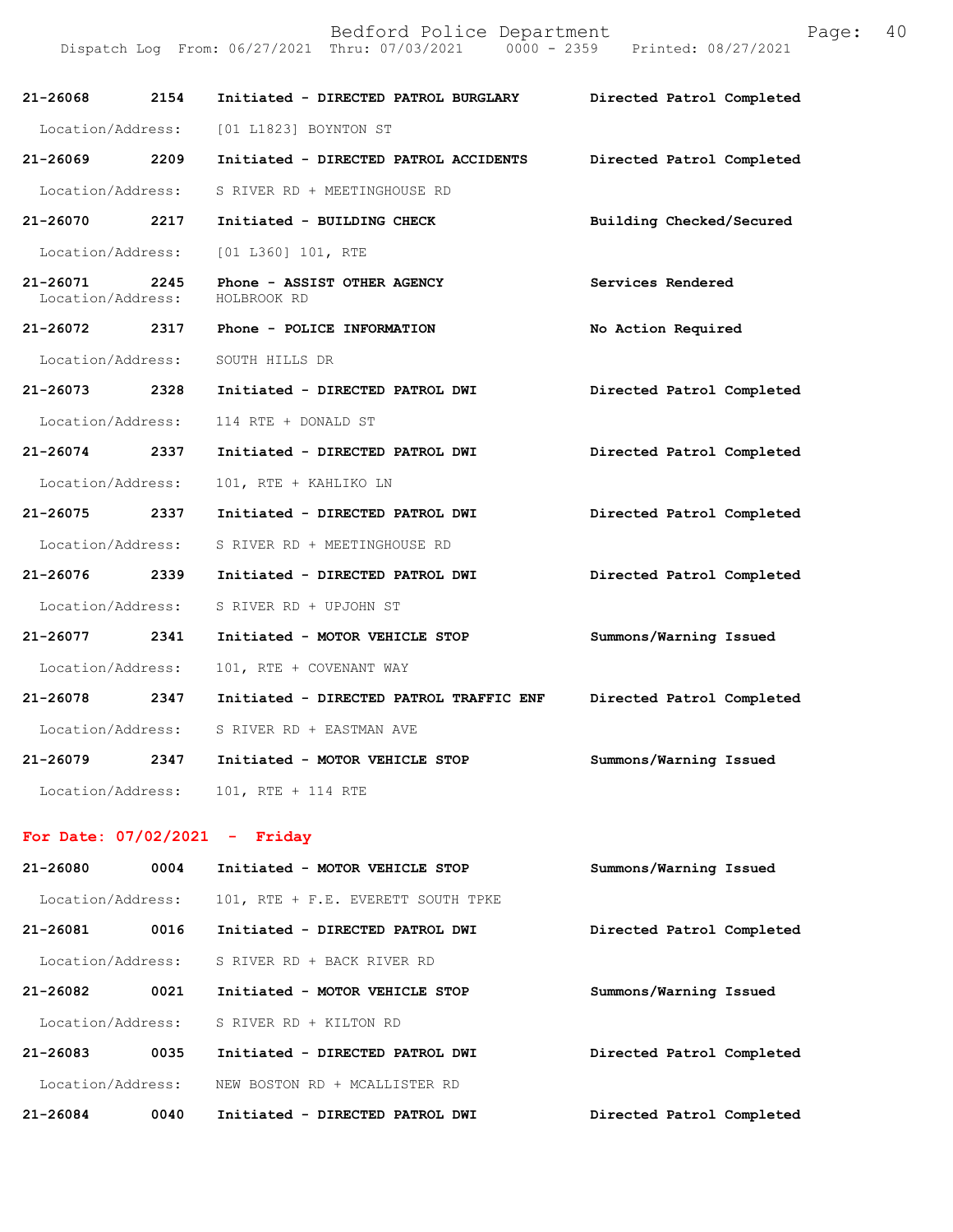Dispatch Log From: 06/27/2021 Thru: 07/03/2021 0000 - 2359 Printed: 08/27/2021

| 21-26068 2154                      | Initiated - DIRECTED PATROL BURGLARY       | Directed Patrol Completed |
|------------------------------------|--------------------------------------------|---------------------------|
|                                    | Location/Address: [01 L1823] BOYNTON ST    |                           |
| 21-26069 2209                      | Initiated - DIRECTED PATROL ACCIDENTS      | Directed Patrol Completed |
| Location/Address:                  | S RIVER RD + MEETINGHOUSE RD               |                           |
| 21-26070 2217                      | Initiated - BUILDING CHECK                 | Building Checked/Secured  |
| Location/Address:                  | [01 L360] 101, RTE                         |                           |
| 21-26071 2245<br>Location/Address: | Phone - ASSIST OTHER AGENCY<br>HOLBROOK RD | Services Rendered         |
| 21-26072 2317                      | Phone - POLICE INFORMATION                 | No Action Required        |
| Location/Address:                  | SOUTH HILLS DR                             |                           |
| 21-26073 2328                      | Initiated - DIRECTED PATROL DWI            | Directed Patrol Completed |
| Location/Address:                  | 114 RTE + DONALD ST                        |                           |
| 21-26074 2337                      | Initiated - DIRECTED PATROL DWI            | Directed Patrol Completed |
| Location/Address:                  | 101, RTE + KAHLIKO LN                      |                           |
| 21-26075 2337                      | Initiated - DIRECTED PATROL DWI            | Directed Patrol Completed |
| Location/Address:                  | S RIVER RD + MEETINGHOUSE RD               |                           |
| 21-26076 2339                      | Initiated - DIRECTED PATROL DWI            | Directed Patrol Completed |
| Location/Address:                  | S RIVER RD + UPJOHN ST                     |                           |
| 21-26077 2341                      | Initiated - MOTOR VEHICLE STOP             | Summons/Warning Issued    |
| Location/Address:                  | 101, RTE + COVENANT WAY                    |                           |
| 21-26078 2347                      | Initiated - DIRECTED PATROL TRAFFIC ENF    | Directed Patrol Completed |
| Location/Address:                  | S RIVER RD + EASTMAN AVE                   |                           |
| 21-26079 2347                      | Initiated - MOTOR VEHICLE STOP             | Summons/Warning Issued    |
| Location/Address:                  | 101, RTE + 114 RTE                         |                           |

## **For Date: 07/02/2021 - Friday**

| 21-26080          | 0004 | Initiated - MOTOR VEHICLE STOP     | Summons/Warning Issued    |
|-------------------|------|------------------------------------|---------------------------|
| Location/Address: |      | 101, RTE + F.E. EVERETT SOUTH TPKE |                           |
| 21-26081          | 0016 | Initiated - DIRECTED PATROL DWI    | Directed Patrol Completed |
| Location/Address: |      | S RIVER RD + BACK RIVER RD         |                           |
| $21 - 26082$      | 0021 | Initiated - MOTOR VEHICLE STOP     | Summons/Warning Issued    |
| Location/Address: |      | S RIVER RD + KILTON RD             |                           |
| $21 - 26083$      | 0035 | Initiated - DIRECTED PATROL DWI    | Directed Patrol Completed |
| Location/Address: |      | NEW BOSTON RD + MCALLISTER RD      |                           |
| 21-26084          | 0040 | Initiated - DIRECTED PATROL DWI    | Directed Patrol Completed |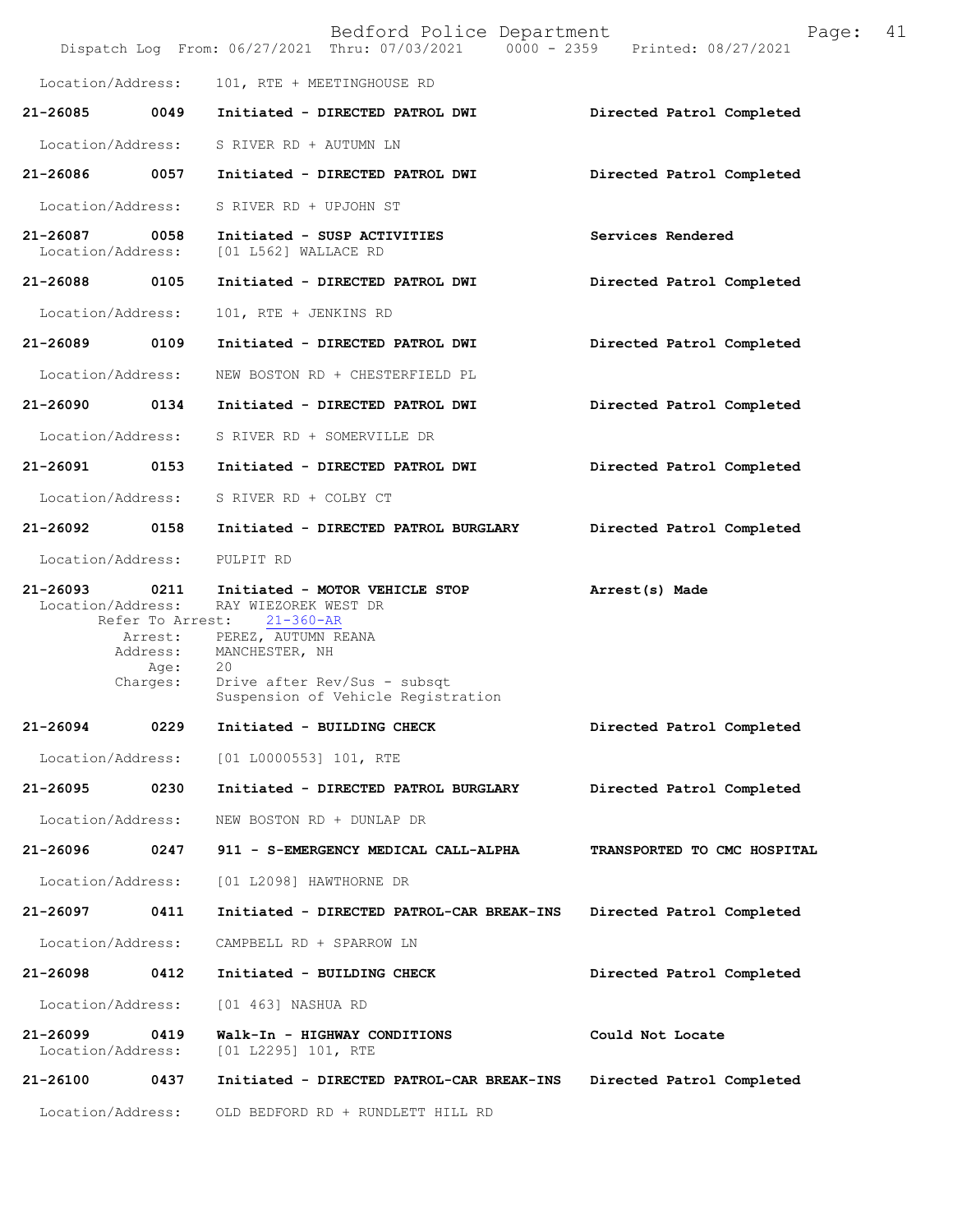|                                   |                                                                                          | Bedford Police Department<br>Dispatch Log From: 06/27/2021 Thru: 07/03/2021 0000 - 2359 Printed: 08/27/2021                                                                                    | 41<br>Page:                 |
|-----------------------------------|------------------------------------------------------------------------------------------|------------------------------------------------------------------------------------------------------------------------------------------------------------------------------------------------|-----------------------------|
| Location/Address:                 |                                                                                          | 101, RTE + MEETINGHOUSE RD                                                                                                                                                                     |                             |
| 21-26085                          | 0049                                                                                     | Initiated - DIRECTED PATROL DWI                                                                                                                                                                | Directed Patrol Completed   |
| Location/Address:                 |                                                                                          | S RIVER RD + AUTUMN LN                                                                                                                                                                         |                             |
| 21-26086                          | 0057                                                                                     | Initiated - DIRECTED PATROL DWI                                                                                                                                                                | Directed Patrol Completed   |
| Location/Address:                 |                                                                                          | S RIVER RD + UPJOHN ST                                                                                                                                                                         |                             |
| 21-26087<br>Location/Address:     | 0058                                                                                     | Initiated - SUSP ACTIVITIES<br>[01 L562] WALLACE RD                                                                                                                                            | Services Rendered           |
| 21-26088                          | 0105                                                                                     | Initiated - DIRECTED PATROL DWI                                                                                                                                                                | Directed Patrol Completed   |
| Location/Address:                 |                                                                                          | 101, RTE + JENKINS RD                                                                                                                                                                          |                             |
| 21-26089                          | 0109                                                                                     | Initiated - DIRECTED PATROL DWI                                                                                                                                                                | Directed Patrol Completed   |
|                                   | Location/Address:                                                                        | NEW BOSTON RD + CHESTERFIELD PL                                                                                                                                                                |                             |
| 21-26090                          | 0134                                                                                     | Initiated - DIRECTED PATROL DWI                                                                                                                                                                | Directed Patrol Completed   |
|                                   | Location/Address:                                                                        | S RIVER RD + SOMERVILLE DR                                                                                                                                                                     |                             |
| 21-26091                          | 0153                                                                                     | Initiated - DIRECTED PATROL DWI                                                                                                                                                                | Directed Patrol Completed   |
|                                   | Location/Address:                                                                        | S RIVER RD + COLBY CT                                                                                                                                                                          |                             |
| 21-26092                          | 0158                                                                                     | Initiated - DIRECTED PATROL BURGLARY                                                                                                                                                           | Directed Patrol Completed   |
| Location/Address:                 |                                                                                          | PULPIT RD                                                                                                                                                                                      |                             |
| $21 - 26093$                      | 0211<br>Location/Address:<br>Refer To Arrest:<br>Arrest:<br>Address:<br>Age:<br>Charges: | Initiated - MOTOR VEHICLE STOP<br>RAY WIEZOREK WEST DR<br>$21 - 360 - AR$<br>PEREZ, AUTUMN REANA<br>MANCHESTER, NH<br>20<br>Drive after Rev/Sus - subsqt<br>Suspension of Vehicle Registration | Arrest(s) Made              |
| 21-26094                          | 0229                                                                                     | Initiated - BUILDING CHECK                                                                                                                                                                     | Directed Patrol Completed   |
| Location/Address:                 |                                                                                          | $[01 L0000553] 101$ , RTE                                                                                                                                                                      |                             |
| 21-26095                          | 0230                                                                                     | Initiated - DIRECTED PATROL BURGLARY                                                                                                                                                           | Directed Patrol Completed   |
| Location/Address:                 |                                                                                          | NEW BOSTON RD + DUNLAP DR                                                                                                                                                                      |                             |
| 21-26096                          | 0247                                                                                     | 911 - S-EMERGENCY MEDICAL CALL-ALPHA                                                                                                                                                           | TRANSPORTED TO CMC HOSPITAL |
| Location/Address:                 |                                                                                          | [01 L2098] HAWTHORNE DR                                                                                                                                                                        |                             |
| 21-26097                          | 0411                                                                                     | Initiated - DIRECTED PATROL-CAR BREAK-INS                                                                                                                                                      | Directed Patrol Completed   |
| Location/Address:                 |                                                                                          | CAMPBELL RD + SPARROW LN                                                                                                                                                                       |                             |
| 21-26098                          | 0412                                                                                     | Initiated - BUILDING CHECK                                                                                                                                                                     | Directed Patrol Completed   |
| Location/Address:                 |                                                                                          | [01 463] NASHUA RD                                                                                                                                                                             |                             |
| $21 - 26099$<br>Location/Address: | 0419                                                                                     | Walk-In - HIGHWAY CONDITIONS<br>[01 L2295] 101, RTE                                                                                                                                            | Could Not Locate            |
| 21-26100                          | 0437                                                                                     | Initiated - DIRECTED PATROL-CAR BREAK-INS                                                                                                                                                      | Directed Patrol Completed   |
|                                   | Location/Address:                                                                        | OLD BEDFORD RD + RUNDLETT HILL RD                                                                                                                                                              |                             |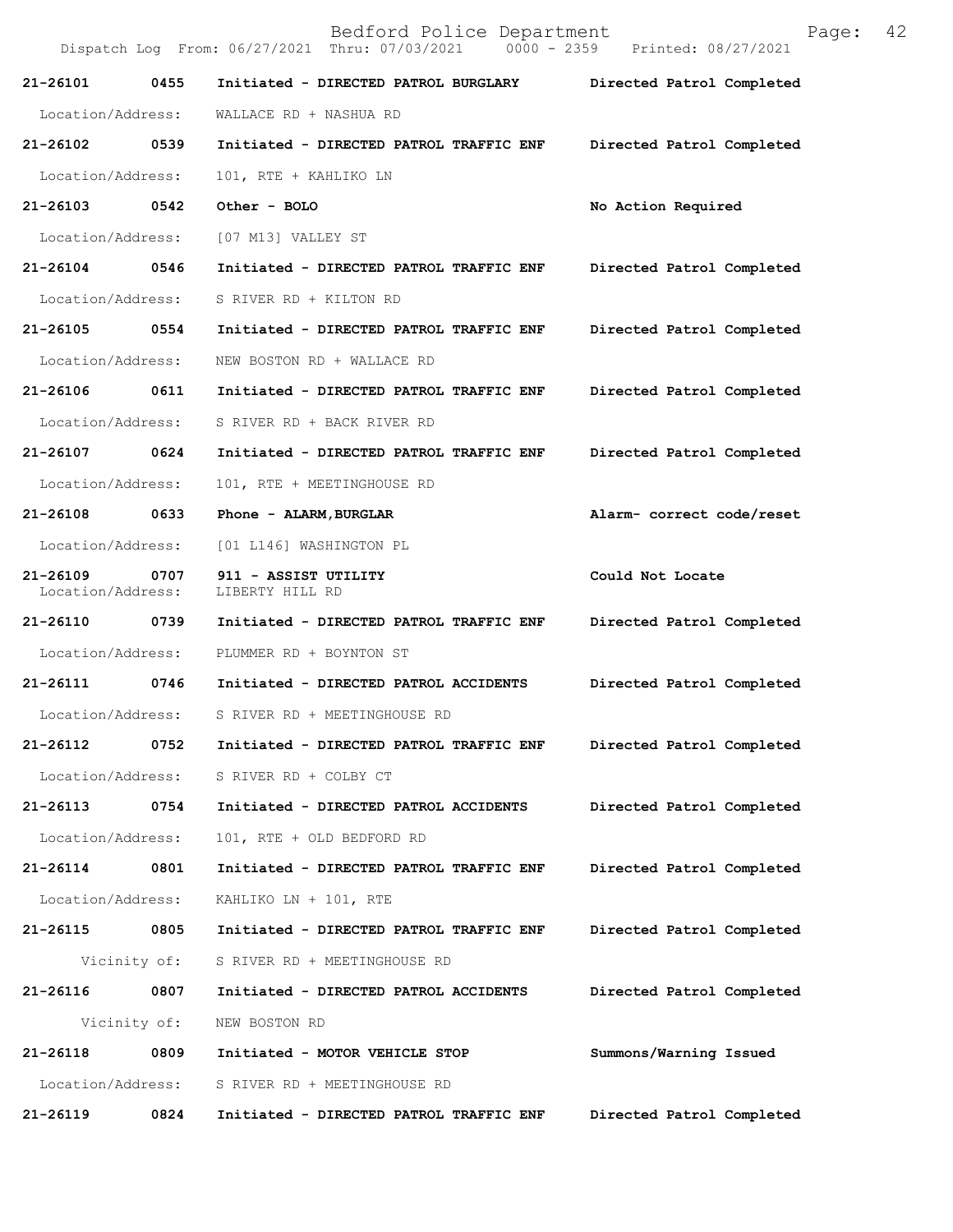Bedford Police Department Page: 42 Dispatch Log From: 06/27/2021 Thru: 07/03/2021 **21-26101 0455 Initiated - DIRECTED PATROL BURGLARY Directed Patrol Completed**  Location/Address: WALLACE RD + NASHUA RD **21-26102 0539 Initiated - DIRECTED PATROL TRAFFIC ENF Directed Patrol Completed**  Location/Address: 101, RTE + KAHLIKO LN **21-26103 0542 Other - BOLO No Action Required**  Location/Address: [07 M13] VALLEY ST **21-26104 0546 Initiated - DIRECTED PATROL TRAFFIC ENF Directed Patrol Completed**  Location/Address: S RIVER RD + KILTON RD **21-26105 0554 Initiated - DIRECTED PATROL TRAFFIC ENF Directed Patrol Completed**  Location/Address: NEW BOSTON RD + WALLACE RD **21-26106 0611 Initiated - DIRECTED PATROL TRAFFIC ENF Directed Patrol Completed**  Location/Address: S RIVER RD + BACK RIVER RD **21-26107 0624 Initiated - DIRECTED PATROL TRAFFIC ENF Directed Patrol Completed**  Location/Address: 101, RTE + MEETINGHOUSE RD **21-26108 0633 Phone - ALARM,BURGLAR Alarm- correct code/reset**  Location/Address: [01 L146] WASHINGTON PL 21-26109 0707 911 - ASSIST UTILITY **Could Not Locate** Location/Address: LIBERTY HILL RD Location/Address: **21-26110 0739 Initiated - DIRECTED PATROL TRAFFIC ENF Directed Patrol Completed**  Location/Address: PLUMMER RD + BOYNTON ST **21-26111 0746 Initiated - DIRECTED PATROL ACCIDENTS Directed Patrol Completed**  Location/Address: S RIVER RD + MEETINGHOUSE RD **21-26112 0752 Initiated - DIRECTED PATROL TRAFFIC ENF Directed Patrol Completed**  Location/Address: S RIVER RD + COLBY CT **21-26113 0754 Initiated - DIRECTED PATROL ACCIDENTS Directed Patrol Completed**  Location/Address: 101, RTE + OLD BEDFORD RD **21-26114 0801 Initiated - DIRECTED PATROL TRAFFIC ENF Directed Patrol Completed**  Location/Address: KAHLIKO LN + 101, RTE **21-26115 0805 Initiated - DIRECTED PATROL TRAFFIC ENF Directed Patrol Completed**  Vicinity of: S RIVER RD + MEETINGHOUSE RD **21-26116 0807 Initiated - DIRECTED PATROL ACCIDENTS Directed Patrol Completed**  Vicinity of: NEW BOSTON RD **21-26118 0809 Initiated - MOTOR VEHICLE STOP Summons/Warning Issued**  Location/Address: S RIVER RD + MEETINGHOUSE RD **21-26119 0824 Initiated - DIRECTED PATROL TRAFFIC ENF Directed Patrol Completed**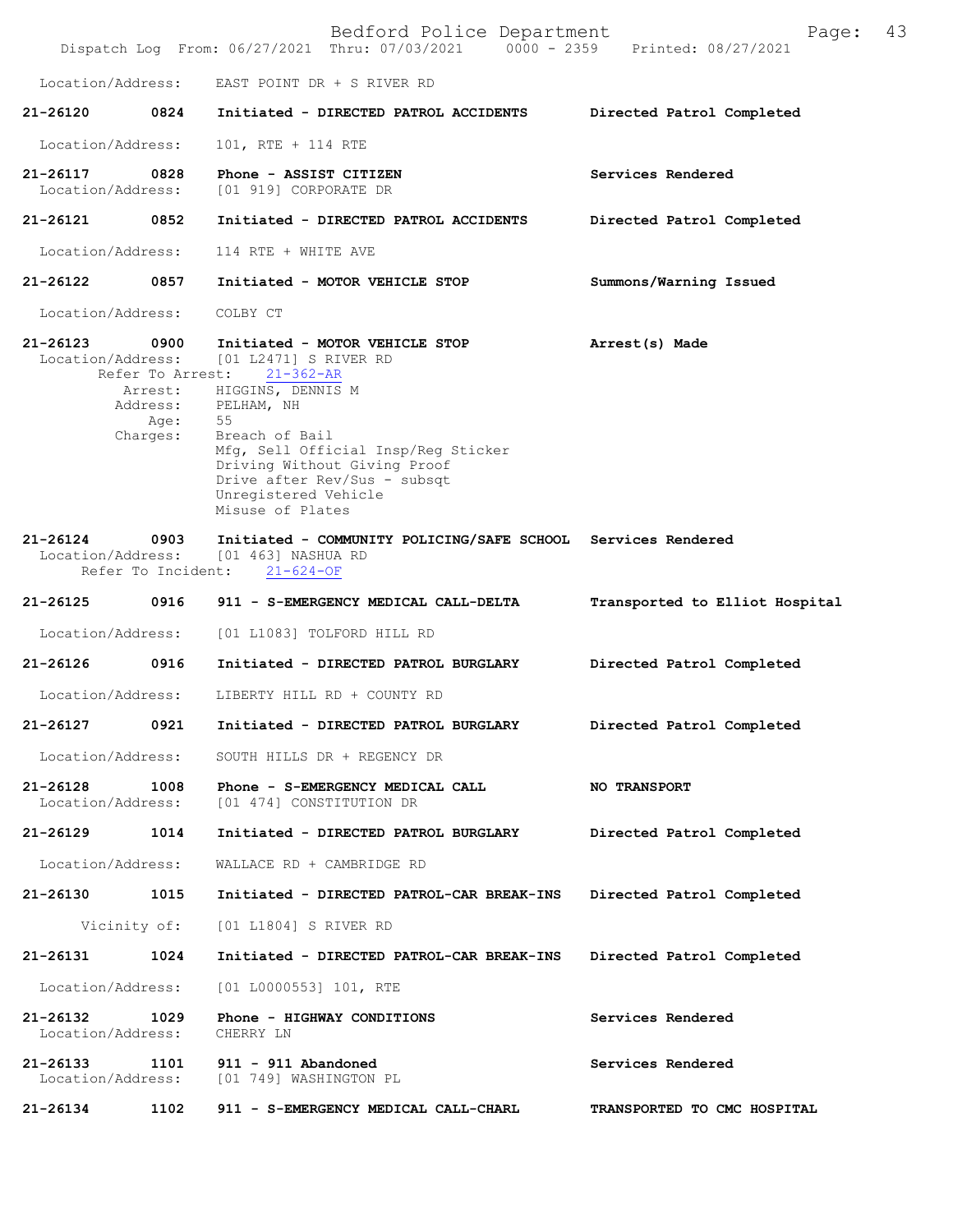|                               |                                                                     | Bedford Police Department<br>Dispatch Log From: 06/27/2021 Thru: 07/03/2021 0000 - 2359 Printed: 08/27/2021                                                                                                                                                                              | Page:                          | 43 |
|-------------------------------|---------------------------------------------------------------------|------------------------------------------------------------------------------------------------------------------------------------------------------------------------------------------------------------------------------------------------------------------------------------------|--------------------------------|----|
| Location/Address:             |                                                                     | EAST POINT DR + S RIVER RD                                                                                                                                                                                                                                                               |                                |    |
| 21-26120                      | 0824                                                                | Initiated - DIRECTED PATROL ACCIDENTS                                                                                                                                                                                                                                                    | Directed Patrol Completed      |    |
| Location/Address:             |                                                                     | 101, RTE + 114 RTE                                                                                                                                                                                                                                                                       |                                |    |
| 21-26117<br>Location/Address: | 0828                                                                | Phone - ASSIST CITIZEN<br>[01 919] CORPORATE DR                                                                                                                                                                                                                                          | Services Rendered              |    |
| 21-26121                      | 0852                                                                | Initiated - DIRECTED PATROL ACCIDENTS                                                                                                                                                                                                                                                    | Directed Patrol Completed      |    |
| Location/Address:             |                                                                     | 114 RTE + WHITE AVE                                                                                                                                                                                                                                                                      |                                |    |
| 21-26122                      | 0857                                                                | Initiated - MOTOR VEHICLE STOP                                                                                                                                                                                                                                                           | Summons/Warning Issued         |    |
| Location/Address:             |                                                                     | COLBY CT                                                                                                                                                                                                                                                                                 |                                |    |
| 21-26123<br>Location/Address: | 0900<br>Refer To Arrest:<br>Arrest:<br>Address:<br>Age:<br>Charges: | Initiated - MOTOR VEHICLE STOP<br>[01 L2471] S RIVER RD<br>$21 - 362 - AR$<br>HIGGINS, DENNIS M<br>PELHAM, NH<br>55<br>Breach of Bail<br>Mfg, Sell Official Insp/Reg Sticker<br>Driving Without Giving Proof<br>Drive after Rev/Sus - subsqt<br>Unregistered Vehicle<br>Misuse of Plates | Arrest(s) Made                 |    |
| 21-26124<br>Location/Address: | 0903<br>Refer To Incident:                                          | Initiated - COMMUNITY POLICING/SAFE SCHOOL Services Rendered<br>[01 463] NASHUA RD<br>$21 - 624 - OF$                                                                                                                                                                                    |                                |    |
| 21-26125                      | 0916                                                                | 911 - S-EMERGENCY MEDICAL CALL-DELTA                                                                                                                                                                                                                                                     | Transported to Elliot Hospital |    |
| Location/Address:             |                                                                     | [01 L1083] TOLFORD HILL RD                                                                                                                                                                                                                                                               |                                |    |
| 21-26126                      | 0916                                                                | Initiated - DIRECTED PATROL BURGLARY                                                                                                                                                                                                                                                     | Directed Patrol Completed      |    |
| Location/Address:             |                                                                     | LIBERTY HILL RD + COUNTY RD                                                                                                                                                                                                                                                              |                                |    |
| 21-26127                      | 0921                                                                | Initiated - DIRECTED PATROL BURGLARY                                                                                                                                                                                                                                                     | Directed Patrol Completed      |    |
| Location/Address:             |                                                                     | SOUTH HILLS DR + REGENCY DR                                                                                                                                                                                                                                                              |                                |    |
| 21-26128<br>Location/Address: | 1008                                                                | Phone - S-EMERGENCY MEDICAL CALL<br>[01 474] CONSTITUTION DR                                                                                                                                                                                                                             | <b>NO TRANSPORT</b>            |    |
| 21-26129                      | 1014                                                                | Initiated - DIRECTED PATROL BURGLARY                                                                                                                                                                                                                                                     | Directed Patrol Completed      |    |
| Location/Address:             |                                                                     | WALLACE RD + CAMBRIDGE RD                                                                                                                                                                                                                                                                |                                |    |
| 21-26130                      | 1015                                                                | Initiated - DIRECTED PATROL-CAR BREAK-INS                                                                                                                                                                                                                                                | Directed Patrol Completed      |    |
|                               | Vicinity of:                                                        | [01 L1804] S RIVER RD                                                                                                                                                                                                                                                                    |                                |    |
| 21-26131                      | 1024                                                                | Initiated - DIRECTED PATROL-CAR BREAK-INS                                                                                                                                                                                                                                                | Directed Patrol Completed      |    |
| Location/Address:             |                                                                     | [01 L0000553] 101, RTE                                                                                                                                                                                                                                                                   |                                |    |
| 21-26132<br>Location/Address: | 1029                                                                | Phone - HIGHWAY CONDITIONS<br>CHERRY LN                                                                                                                                                                                                                                                  | Services Rendered              |    |
| 21-26133<br>Location/Address: | 1101                                                                | 911 - 911 Abandoned<br>[01 749] WASHINGTON PL                                                                                                                                                                                                                                            | Services Rendered              |    |
| 21-26134                      | 1102                                                                | 911 - S-EMERGENCY MEDICAL CALL-CHARL                                                                                                                                                                                                                                                     | TRANSPORTED TO CMC HOSPITAL    |    |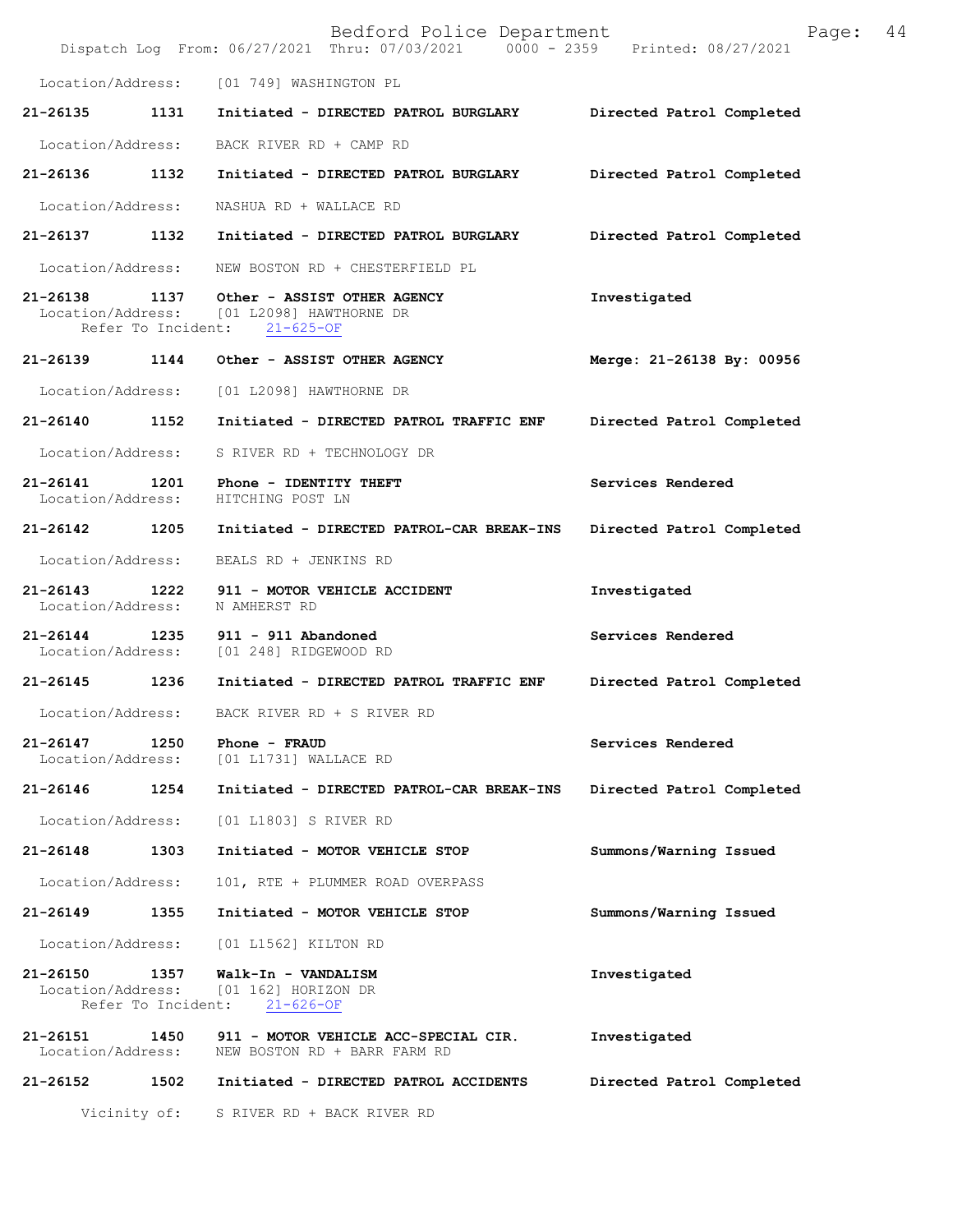|                                                     |      | Bedford Police Department<br>Dispatch Log From: 06/27/2021 Thru: 07/03/2021 0000 - 2359 Printed: 08/27/2021 | Page:                     | 44 |
|-----------------------------------------------------|------|-------------------------------------------------------------------------------------------------------------|---------------------------|----|
|                                                     |      | Location/Address: [01 749] WASHINGTON PL                                                                    |                           |    |
| 21-26135 1131                                       |      | Initiated - DIRECTED PATROL BURGLARY                                                                        | Directed Patrol Completed |    |
| Location/Address:                                   |      | BACK RIVER RD + CAMP RD                                                                                     |                           |    |
| 21-26136 1132                                       |      | Initiated - DIRECTED PATROL BURGLARY                                                                        | Directed Patrol Completed |    |
| Location/Address:                                   |      | NASHUA RD + WALLACE RD                                                                                      |                           |    |
| 21-26137 1132                                       |      | Initiated - DIRECTED PATROL BURGLARY                                                                        | Directed Patrol Completed |    |
| Location/Address:                                   |      | NEW BOSTON RD + CHESTERFIELD PL                                                                             |                           |    |
| 21-26138 1137                                       |      | Other - ASSIST OTHER AGENCY<br>Location/Address: [01 L2098] HAWTHORNE DR<br>Refer To Incident: 21-625-OF    | Investigated              |    |
| 21-26139 1144                                       |      | Other - ASSIST OTHER AGENCY                                                                                 | Merge: 21-26138 By: 00956 |    |
| Location/Address:                                   |      | [01 L2098] HAWTHORNE DR                                                                                     |                           |    |
| 21-26140 1152                                       |      | Initiated - DIRECTED PATROL TRAFFIC ENF                                                                     | Directed Patrol Completed |    |
| Location/Address:                                   |      | S RIVER RD + TECHNOLOGY DR                                                                                  |                           |    |
| 21-26141 1201<br>Location/Address:                  |      | Phone - IDENTITY THEFT<br>HITCHING POST LN                                                                  | Services Rendered         |    |
| 21-26142 1205                                       |      | Initiated - DIRECTED PATROL-CAR BREAK-INS                                                                   | Directed Patrol Completed |    |
| Location/Address:                                   |      | BEALS RD + JENKINS RD                                                                                       |                           |    |
| 21-26143 1222<br>Location/Address: N AMHERST RD     |      | 911 - MOTOR VEHICLE ACCIDENT                                                                                | Investigated              |    |
| Location/Address:                                   |      | 21-26144 1235 911 - 911 Abandoned<br>[01 248] RIDGEWOOD RD                                                  | Services Rendered         |    |
| 21-26145 1236                                       |      | Initiated - DIRECTED PATROL TRAFFIC ENF                                                                     | Directed Patrol Completed |    |
|                                                     |      | Location/Address: BACK RIVER RD + S RIVER RD                                                                |                           |    |
| 21-26147<br>Location/Address:                       | 1250 | Phone - FRAUD<br>[01 L1731] WALLACE RD                                                                      | Services Rendered         |    |
| 21-26146                                            | 1254 | Initiated - DIRECTED PATROL-CAR BREAK-INS                                                                   | Directed Patrol Completed |    |
| Location/Address:                                   |      | [01 L1803] S RIVER RD                                                                                       |                           |    |
| 21-26148                                            | 1303 | Initiated - MOTOR VEHICLE STOP                                                                              | Summons/Warning Issued    |    |
| Location/Address:                                   |      | 101, RTE + PLUMMER ROAD OVERPASS                                                                            |                           |    |
| 21-26149                                            | 1355 | Initiated - MOTOR VEHICLE STOP                                                                              | Summons/Warning Issued    |    |
| Location/Address:                                   |      | [01 L1562] KILTON RD                                                                                        |                           |    |
| 21-26150<br>Location/Address:<br>Refer To Incident: | 1357 | Walk-In - VANDALISM<br>[01 162] HORIZON DR<br>$21 - 626 - OF$                                               | Investigated              |    |
| 21-26151<br>Location/Address:                       | 1450 | 911 - MOTOR VEHICLE ACC-SPECIAL CIR.<br>NEW BOSTON RD + BARR FARM RD                                        | Investigated              |    |
| 21-26152                                            | 1502 | Initiated - DIRECTED PATROL ACCIDENTS                                                                       | Directed Patrol Completed |    |
| Vicinity of:                                        |      | S RIVER RD + BACK RIVER RD                                                                                  |                           |    |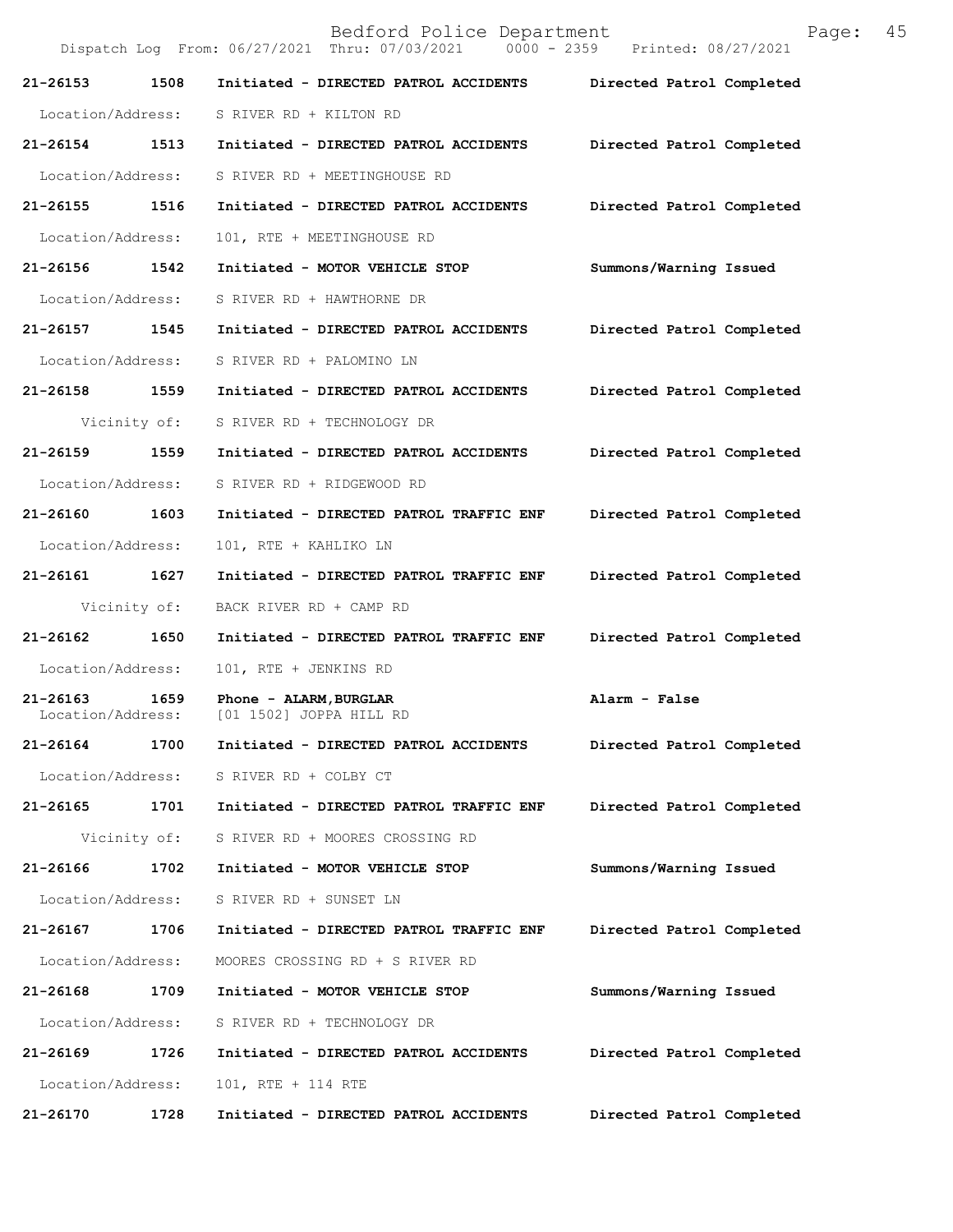Bedford Police Department Page: 45 Dispatch Log From: 06/27/2021 Thru: 07/03/2021 **21-26153 1508 Initiated - DIRECTED PATROL ACCIDENTS Directed Patrol Completed**  Location/Address: S RIVER RD + KILTON RD **21-26154 1513 Initiated - DIRECTED PATROL ACCIDENTS Directed Patrol Completed**  Location/Address: S RIVER RD + MEETINGHOUSE RD **21-26155 1516 Initiated - DIRECTED PATROL ACCIDENTS Directed Patrol Completed**  Location/Address: 101, RTE + MEETINGHOUSE RD **21-26156 1542 Initiated - MOTOR VEHICLE STOP Summons/Warning Issued**  Location/Address: S RIVER RD + HAWTHORNE DR **21-26157 1545 Initiated - DIRECTED PATROL ACCIDENTS Directed Patrol Completed**  Location/Address: S RIVER RD + PALOMINO LN **21-26158 1559 Initiated - DIRECTED PATROL ACCIDENTS Directed Patrol Completed**  Vicinity of: S RIVER RD + TECHNOLOGY DR **21-26159 1559 Initiated - DIRECTED PATROL ACCIDENTS Directed Patrol Completed**  Location/Address: S RIVER RD + RIDGEWOOD RD **21-26160 1603 Initiated - DIRECTED PATROL TRAFFIC ENF Directed Patrol Completed**  Location/Address: 101, RTE + KAHLIKO LN **21-26161 1627 Initiated - DIRECTED PATROL TRAFFIC ENF Directed Patrol Completed**  Vicinity of: BACK RIVER RD + CAMP RD **21-26162 1650 Initiated - DIRECTED PATROL TRAFFIC ENF Directed Patrol Completed**  Location/Address: 101, RTE + JENKINS RD **21-26163** 1659 Phone - ALARM, BURGLAR **Alarm - False Alarm - False Location/Address:** [01 1502] JOPPA HILL RD [01 1502] JOPPA HILL RD **21-26164 1700 Initiated - DIRECTED PATROL ACCIDENTS Directed Patrol Completed**  Location/Address: S RIVER RD + COLBY CT **21-26165 1701 Initiated - DIRECTED PATROL TRAFFIC ENF Directed Patrol Completed**  Vicinity of: S RIVER RD + MOORES CROSSING RD **21-26166 1702 Initiated - MOTOR VEHICLE STOP Summons/Warning Issued**  Location/Address: S RIVER RD + SUNSET LN **21-26167 1706 Initiated - DIRECTED PATROL TRAFFIC ENF Directed Patrol Completed**  Location/Address: MOORES CROSSING RD + S RIVER RD **21-26168 1709 Initiated - MOTOR VEHICLE STOP Summons/Warning Issued**  Location/Address: S RIVER RD + TECHNOLOGY DR **21-26169 1726 Initiated - DIRECTED PATROL ACCIDENTS Directed Patrol Completed**  Location/Address: 101, RTE + 114 RTE **21-26170 1728 Initiated - DIRECTED PATROL ACCIDENTS Directed Patrol Completed**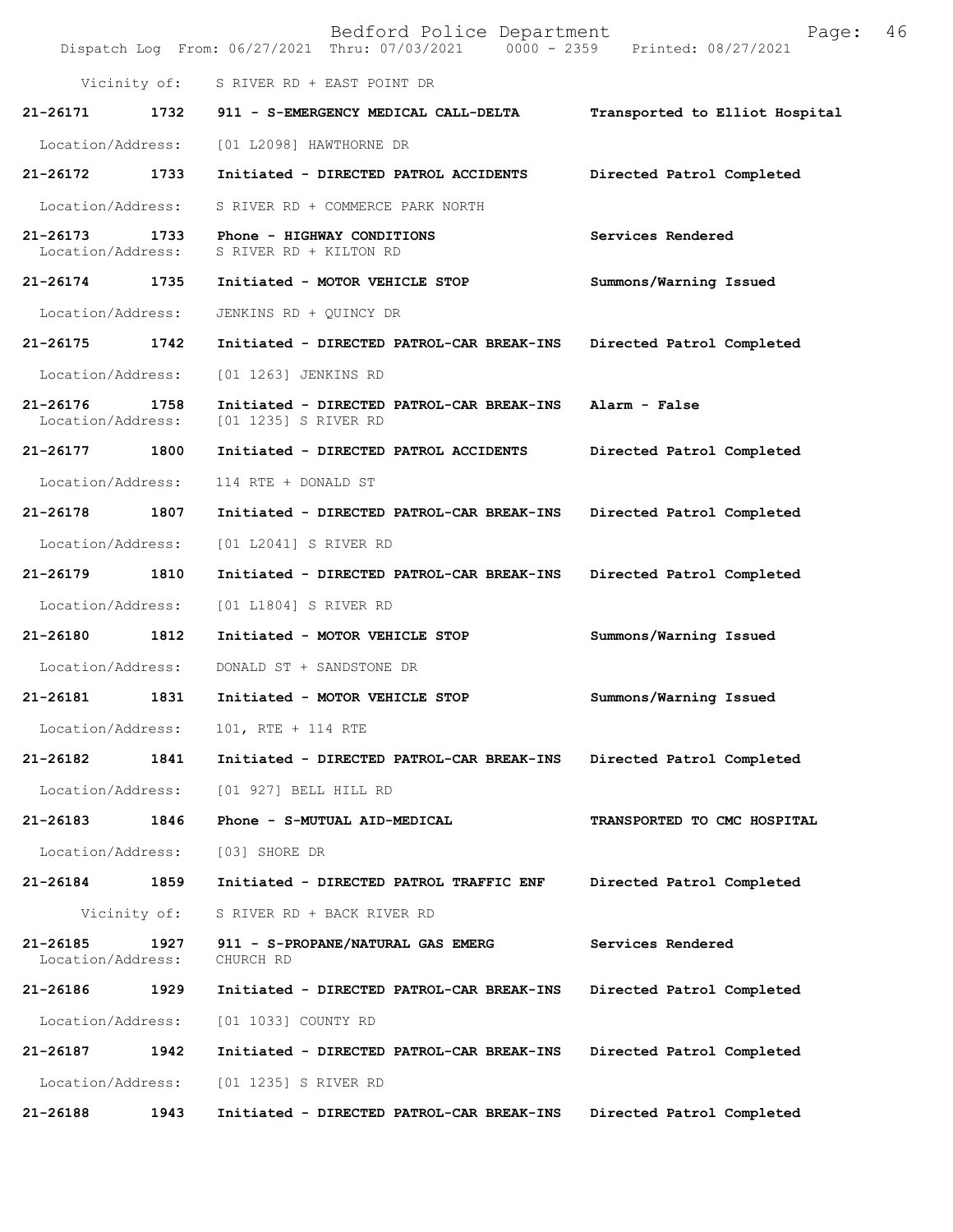|                                   |      | Bedford Police Department<br>Dispatch Log From: 06/27/2021 Thru: 07/03/2021 0000 - 2359 Printed: 08/27/2021 | 46<br>Page:                    |
|-----------------------------------|------|-------------------------------------------------------------------------------------------------------------|--------------------------------|
|                                   |      | Vicinity of: S RIVER RD + EAST POINT DR                                                                     |                                |
| 21-26171                          | 1732 | 911 - S-EMERGENCY MEDICAL CALL-DELTA                                                                        | Transported to Elliot Hospital |
| Location/Address:                 |      | [01 L2098] HAWTHORNE DR                                                                                     |                                |
| 21-26172                          | 1733 | Initiated - DIRECTED PATROL ACCIDENTS                                                                       | Directed Patrol Completed      |
| Location/Address:                 |      | S RIVER RD + COMMERCE PARK NORTH                                                                            |                                |
| 21-26173<br>Location/Address:     | 1733 | Phone - HIGHWAY CONDITIONS<br>S RIVER RD + KILTON RD                                                        | Services Rendered              |
| 21-26174 1735                     |      | Initiated - MOTOR VEHICLE STOP                                                                              | Summons/Warning Issued         |
| Location/Address:                 |      | JENKINS RD + QUINCY DR                                                                                      |                                |
| 21-26175                          | 1742 | Initiated - DIRECTED PATROL-CAR BREAK-INS                                                                   | Directed Patrol Completed      |
| Location/Address:                 |      | [01 1263] JENKINS RD                                                                                        |                                |
| 21-26176<br>Location/Address:     | 1758 | Initiated - DIRECTED PATROL-CAR BREAK-INS<br>[01 1235] S RIVER RD                                           | Alarm - False                  |
| 21-26177                          | 1800 | Initiated - DIRECTED PATROL ACCIDENTS                                                                       | Directed Patrol Completed      |
| Location/Address:                 |      | 114 RTE + DONALD ST                                                                                         |                                |
| 21-26178                          | 1807 | Initiated - DIRECTED PATROL-CAR BREAK-INS                                                                   | Directed Patrol Completed      |
| Location/Address:                 |      | [01 L2041] S RIVER RD                                                                                       |                                |
| 21-26179                          | 1810 | Initiated - DIRECTED PATROL-CAR BREAK-INS                                                                   | Directed Patrol Completed      |
| Location/Address:                 |      | [01 L1804] S RIVER RD                                                                                       |                                |
| 21-26180                          | 1812 | Initiated - MOTOR VEHICLE STOP                                                                              | Summons/Warning Issued         |
| Location/Address:                 |      | DONALD ST + SANDSTONE DR                                                                                    |                                |
| 21-26181                          | 1831 | Initiated - MOTOR VEHICLE STOP                                                                              | Summons/Warning Issued         |
| Location/Address:                 |      | 101, RTE + 114 RTE                                                                                          |                                |
| 21-26182                          | 1841 | Initiated - DIRECTED PATROL-CAR BREAK-INS                                                                   | Directed Patrol Completed      |
| Location/Address:                 |      | [01 927] BELL HILL RD                                                                                       |                                |
| 21-26183                          | 1846 | Phone - S-MUTUAL AID-MEDICAL                                                                                | TRANSPORTED TO CMC HOSPITAL    |
| Location/Address:                 |      | [03] SHORE DR                                                                                               |                                |
| 21-26184                          | 1859 | Initiated - DIRECTED PATROL TRAFFIC ENF                                                                     | Directed Patrol Completed      |
| Vicinity of:                      |      | S RIVER RD + BACK RIVER RD                                                                                  |                                |
| $21 - 26185$<br>Location/Address: | 1927 | 911 - S-PROPANE/NATURAL GAS EMERG<br>CHURCH RD                                                              | Services Rendered              |
| 21-26186                          | 1929 | Initiated - DIRECTED PATROL-CAR BREAK-INS                                                                   | Directed Patrol Completed      |
| Location/Address:                 |      | [01 1033] COUNTY RD                                                                                         |                                |
| 21-26187                          | 1942 | Initiated - DIRECTED PATROL-CAR BREAK-INS                                                                   | Directed Patrol Completed      |
| Location/Address:                 |      | [01 1235] S RIVER RD                                                                                        |                                |
| 21-26188                          | 1943 | Initiated - DIRECTED PATROL-CAR BREAK-INS                                                                   | Directed Patrol Completed      |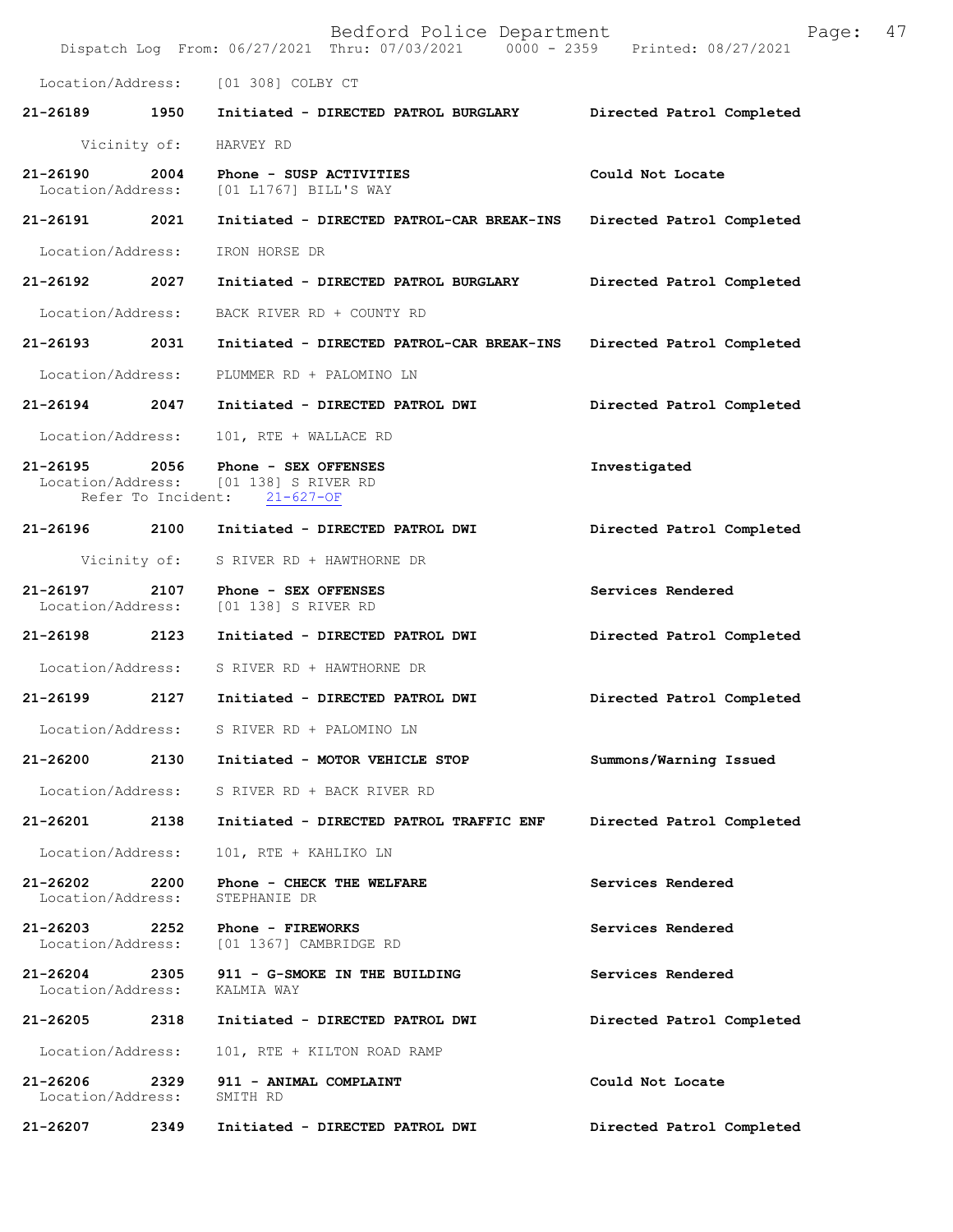|                                    |      | Bedford Police Department<br>Dispatch Log From: 06/27/2021 Thru: 07/03/2021 0000 - 2359 Printed: 08/27/2021 | 47<br>Page:               |  |
|------------------------------------|------|-------------------------------------------------------------------------------------------------------------|---------------------------|--|
|                                    |      | Location/Address: [01 308] COLBY CT                                                                         |                           |  |
|                                    |      | 21-26189 1950 Initiated - DIRECTED PATROL BURGLARY                                                          | Directed Patrol Completed |  |
| Vicinity of:                       |      | HARVEY RD                                                                                                   |                           |  |
| 21-26190<br>Location/Address:      | 2004 | Phone - SUSP ACTIVITIES<br>[01 L1767] BILL'S WAY                                                            | Could Not Locate          |  |
| 21-26191 2021                      |      | Initiated - DIRECTED PATROL-CAR BREAK-INS                                                                   | Directed Patrol Completed |  |
| Location/Address:                  |      | IRON HORSE DR                                                                                               |                           |  |
| 21-26192                           | 2027 | Initiated - DIRECTED PATROL BURGLARY                                                                        | Directed Patrol Completed |  |
| Location/Address:                  |      | BACK RIVER RD + COUNTY RD                                                                                   |                           |  |
| 21-26193 2031                      |      | Initiated - DIRECTED PATROL-CAR BREAK-INS                                                                   | Directed Patrol Completed |  |
| Location/Address:                  |      | PLUMMER RD + PALOMINO LN                                                                                    |                           |  |
| 21-26194 2047                      |      | Initiated - DIRECTED PATROL DWI                                                                             | Directed Patrol Completed |  |
| Location/Address:                  |      | 101, RTE + WALLACE RD                                                                                       |                           |  |
| 21-26195                           | 2056 | Phone - SEX OFFENSES<br>Location/Address: [01 138] S RIVER RD<br>Refer To Incident: 21-627-OF               | Investigated              |  |
|                                    |      | 21-26196 2100 Initiated - DIRECTED PATROL DWI                                                               | Directed Patrol Completed |  |
|                                    |      | Vicinity of: S RIVER RD + HAWTHORNE DR                                                                      |                           |  |
| 21-26197 2107<br>Location/Address: |      | Phone - SEX OFFENSES<br>[01 138] S RIVER RD                                                                 | Services Rendered         |  |
| 21-26198 2123                      |      | Initiated - DIRECTED PATROL DWI                                                                             | Directed Patrol Completed |  |
|                                    |      | Location/Address: S RIVER RD + HAWTHORNE DR                                                                 |                           |  |
| 21-26199                           | 2127 | Initiated - DIRECTED PATROL DWI                                                                             | Directed Patrol Completed |  |
| Location/Address:                  |      | S RIVER RD + PALOMINO LN                                                                                    |                           |  |
| 21-26200                           | 2130 | Initiated - MOTOR VEHICLE STOP                                                                              | Summons/Warning Issued    |  |
| Location/Address:                  |      | S RIVER RD + BACK RIVER RD                                                                                  |                           |  |
| 21-26201                           | 2138 | Initiated - DIRECTED PATROL TRAFFIC ENF                                                                     | Directed Patrol Completed |  |
| Location/Address:                  |      | 101, RTE + KAHLIKO LN                                                                                       |                           |  |
| 21-26202<br>Location/Address:      | 2200 | Phone - CHECK THE WELFARE<br>STEPHANIE DR                                                                   | Services Rendered         |  |
| 21-26203<br>Location/Address:      | 2252 | Phone - FIREWORKS<br>[01 1367] CAMBRIDGE RD                                                                 | Services Rendered         |  |
| 21-26204<br>Location/Address:      | 2305 | 911 - G-SMOKE IN THE BUILDING<br>KALMIA WAY                                                                 | Services Rendered         |  |
| 21-26205                           | 2318 | Initiated - DIRECTED PATROL DWI                                                                             | Directed Patrol Completed |  |
| Location/Address:                  |      | 101, RTE + KILTON ROAD RAMP                                                                                 |                           |  |
| 21-26206<br>Location/Address:      | 2329 | 911 - ANIMAL COMPLAINT<br>SMITH RD                                                                          | Could Not Locate          |  |
| 21-26207                           | 2349 | Initiated - DIRECTED PATROL DWI                                                                             | Directed Patrol Completed |  |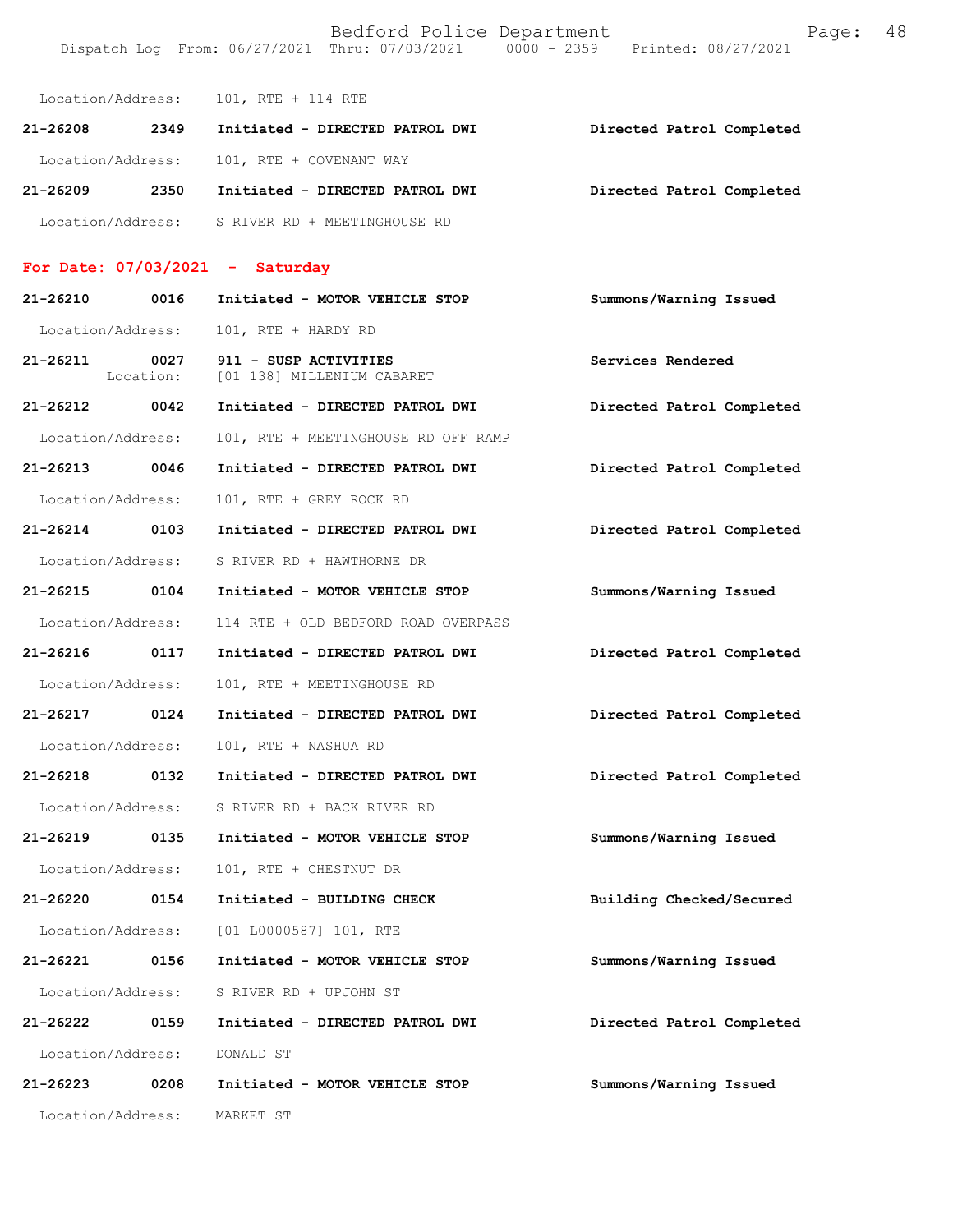|                   |      | Location/Address: 101, RTE + 114 RTE      |                           |  |
|-------------------|------|-------------------------------------------|---------------------------|--|
| 21-26208          | 2349 | Initiated - DIRECTED PATROL DWI           | Directed Patrol Completed |  |
|                   |      | Location/Address: 101, RTE + COVENANT WAY |                           |  |
| $21 - 26209$      | 2350 | Initiated - DIRECTED PATROL DWI           | Directed Patrol Completed |  |
| Location/Address: |      | S RIVER RD + MEETINGHOUSE RD              |                           |  |

## **For Date: 07/03/2021 - Saturday**

| 21-26210          | 0016              | Initiated - MOTOR VEHICLE STOP                      | Summons/Warning Issued    |
|-------------------|-------------------|-----------------------------------------------------|---------------------------|
| Location/Address: |                   | 101, RTE + HARDY RD                                 |                           |
| 21-26211          | 0027<br>Location: | 911 - SUSP ACTIVITIES<br>[01 138] MILLENIUM CABARET | Services Rendered         |
| 21-26212 0042     |                   | Initiated - DIRECTED PATROL DWI                     | Directed Patrol Completed |
| Location/Address: |                   | 101, RTE + MEETINGHOUSE RD OFF RAMP                 |                           |
| 21-26213 0046     |                   | Initiated - DIRECTED PATROL DWI                     | Directed Patrol Completed |
| Location/Address: |                   | 101, RTE + GREY ROCK RD                             |                           |
| 21-26214 0103     |                   | Initiated - DIRECTED PATROL DWI                     | Directed Patrol Completed |
| Location/Address: |                   | S RIVER RD + HAWTHORNE DR                           |                           |
| 21-26215 0104     |                   | Initiated - MOTOR VEHICLE STOP                      | Summons/Warning Issued    |
| Location/Address: |                   | 114 RTE + OLD BEDFORD ROAD OVERPASS                 |                           |
| 21-26216 0117     |                   | Initiated - DIRECTED PATROL DWI                     | Directed Patrol Completed |
| Location/Address: |                   | 101, RTE + MEETINGHOUSE RD                          |                           |
| 21-26217 0124     |                   | Initiated - DIRECTED PATROL DWI                     | Directed Patrol Completed |
| Location/Address: |                   | 101, RTE + NASHUA RD                                |                           |
| 21-26218 0132     |                   | Initiated - DIRECTED PATROL DWI                     | Directed Patrol Completed |
| Location/Address: |                   | S RIVER RD + BACK RIVER RD                          |                           |
| 21-26219 0135     |                   | Initiated - MOTOR VEHICLE STOP                      | Summons/Warning Issued    |
| Location/Address: |                   | 101, RTE + CHESTNUT DR                              |                           |
| 21-26220 0154     |                   | Initiated - BUILDING CHECK                          | Building Checked/Secured  |
|                   |                   | Location/Address: [01 L0000587] 101, RTE            |                           |
| 21-26221          | 0156              | Initiated - MOTOR VEHICLE STOP                      | Summons/Warning Issued    |
| Location/Address: |                   | S RIVER RD + UPJOHN ST                              |                           |
| 21-26222          | 0159              | Initiated - DIRECTED PATROL DWI                     | Directed Patrol Completed |
| Location/Address: |                   | DONALD ST                                           |                           |
| 21-26223          | 0208              | Initiated - MOTOR VEHICLE STOP                      | Summons/Warning Issued    |
| Location/Address: |                   | MARKET ST                                           |                           |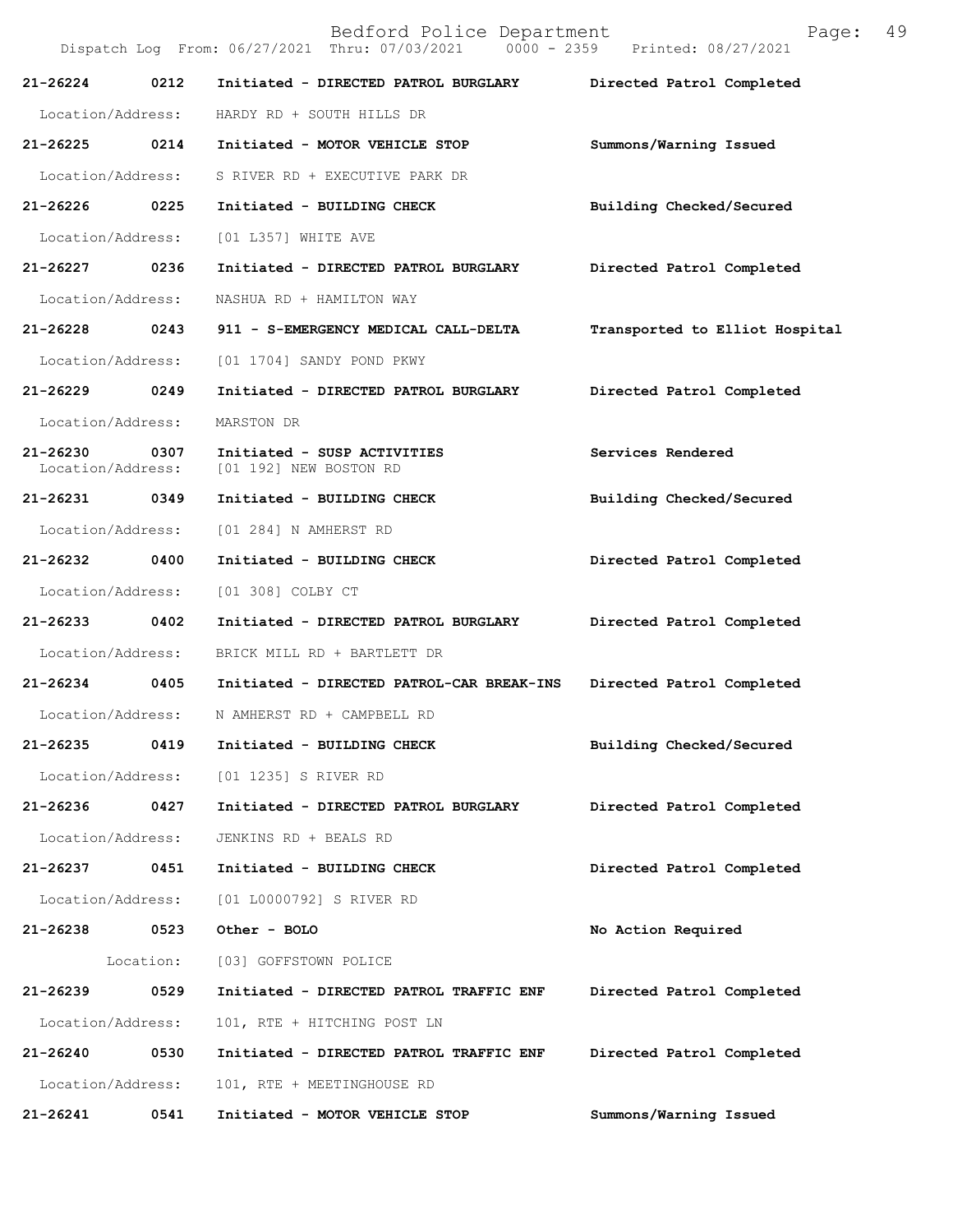|                               |           | Bedford Police Department<br>Dispatch Log From: 06/27/2021 Thru: 07/03/2021 0000 - 2359 Printed: 08/27/2021 | Page:                          | 49 |
|-------------------------------|-----------|-------------------------------------------------------------------------------------------------------------|--------------------------------|----|
| 21-26224                      | 0212      | Initiated - DIRECTED PATROL BURGLARY                                                                        | Directed Patrol Completed      |    |
| Location/Address:             |           | HARDY RD + SOUTH HILLS DR                                                                                   |                                |    |
| 21-26225 0214                 |           | Initiated - MOTOR VEHICLE STOP                                                                              | Summons/Warning Issued         |    |
| Location/Address:             |           | S RIVER RD + EXECUTIVE PARK DR                                                                              |                                |    |
| 21-26226                      | 0225      | Initiated - BUILDING CHECK                                                                                  | Building Checked/Secured       |    |
| Location/Address:             |           | [01 L357] WHITE AVE                                                                                         |                                |    |
| 21-26227                      | 0236      | Initiated - DIRECTED PATROL BURGLARY                                                                        | Directed Patrol Completed      |    |
| Location/Address:             |           | NASHUA RD + HAMILTON WAY                                                                                    |                                |    |
| 21-26228 0243                 |           | 911 - S-EMERGENCY MEDICAL CALL-DELTA                                                                        | Transported to Elliot Hospital |    |
| Location/Address:             |           | [01 1704] SANDY POND PKWY                                                                                   |                                |    |
| 21-26229                      | 0249      | Initiated - DIRECTED PATROL BURGLARY                                                                        | Directed Patrol Completed      |    |
| Location/Address:             |           | MARSTON DR                                                                                                  |                                |    |
| 21-26230<br>Location/Address: | 0307      | Initiated - SUSP ACTIVITIES<br>[01 192] NEW BOSTON RD                                                       | Services Rendered              |    |
| 21-26231 0349                 |           | Initiated - BUILDING CHECK                                                                                  | Building Checked/Secured       |    |
| Location/Address:             |           | [01 284] N AMHERST RD                                                                                       |                                |    |
| 21-26232                      | 0400      | Initiated - BUILDING CHECK                                                                                  | Directed Patrol Completed      |    |
| Location/Address:             |           | [01 308] COLBY CT                                                                                           |                                |    |
| 21-26233                      | 0402      | Initiated - DIRECTED PATROL BURGLARY                                                                        | Directed Patrol Completed      |    |
| Location/Address:             |           | BRICK MILL RD + BARTLETT DR                                                                                 |                                |    |
| 21-26234 0405                 |           | Initiated - DIRECTED PATROL-CAR BREAK-INS                                                                   | Directed Patrol Completed      |    |
| Location/Address:             |           | N AMHERST RD + CAMPBELL RD                                                                                  |                                |    |
| 21-26235                      | 0419      | Initiated - BUILDING CHECK                                                                                  | Building Checked/Secured       |    |
| Location/Address:             |           | [01 1235] S RIVER RD                                                                                        |                                |    |
| 21-26236                      | 0427      | Initiated - DIRECTED PATROL BURGLARY                                                                        | Directed Patrol Completed      |    |
| Location/Address:             |           | JENKINS RD + BEALS RD                                                                                       |                                |    |
| 21-26237                      | 0451      | Initiated - BUILDING CHECK                                                                                  | Directed Patrol Completed      |    |
| Location/Address:             |           | [01 L0000792] S RIVER RD                                                                                    |                                |    |
| 21-26238                      | 0523      | Other - BOLO                                                                                                | No Action Required             |    |
|                               | Location: | [03] GOFFSTOWN POLICE                                                                                       |                                |    |
| 21-26239                      | 0529      | Initiated - DIRECTED PATROL TRAFFIC ENF                                                                     | Directed Patrol Completed      |    |
| Location/Address:             |           | 101, RTE + HITCHING POST LN                                                                                 |                                |    |
| 21-26240                      | 0530      | Initiated - DIRECTED PATROL TRAFFIC ENF                                                                     | Directed Patrol Completed      |    |
| Location/Address:             |           | 101, RTE + MEETINGHOUSE RD                                                                                  |                                |    |
| 21-26241                      | 0541      | Initiated - MOTOR VEHICLE STOP                                                                              | Summons/Warning Issued         |    |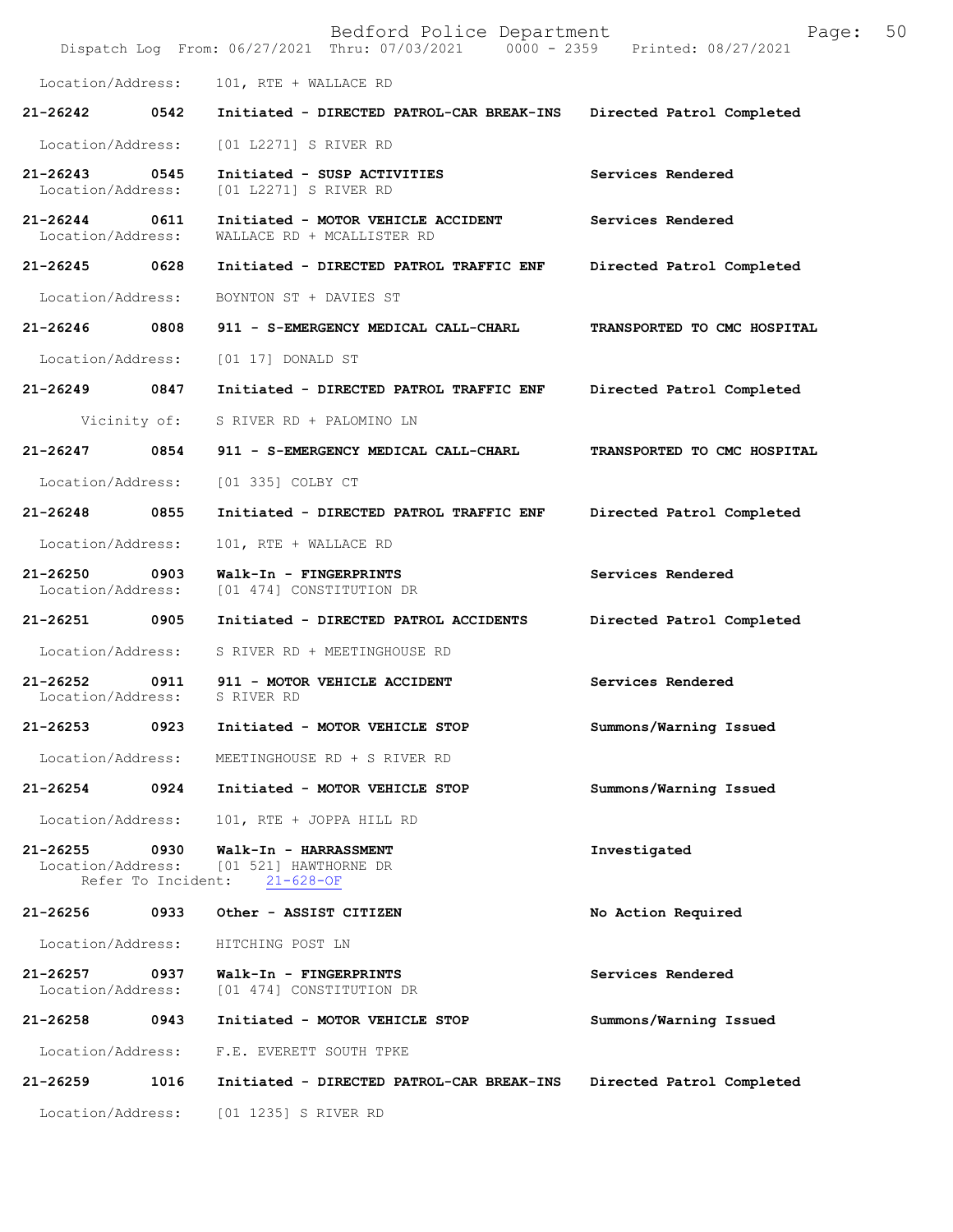|                                   |                            | Bedford Police Department<br>Dispatch Log From: 06/27/2021 Thru: 07/03/2021 0000 - 2359 Printed: 08/27/2021 | Page:                       | 50 |
|-----------------------------------|----------------------------|-------------------------------------------------------------------------------------------------------------|-----------------------------|----|
| Location/Address:                 |                            | 101, RTE + WALLACE RD                                                                                       |                             |    |
| 21-26242                          | 0542                       | Initiated - DIRECTED PATROL-CAR BREAK-INS                                                                   | Directed Patrol Completed   |    |
| Location/Address:                 |                            | [01 L2271] S RIVER RD                                                                                       |                             |    |
| 21-26243<br>Location/Address:     | 0545                       | Initiated - SUSP ACTIVITIES<br>[01 L2271] S RIVER RD                                                        | Services Rendered           |    |
| $21 - 26244$<br>Location/Address: | 0611                       | Initiated - MOTOR VEHICLE ACCIDENT<br>WALLACE RD + MCALLISTER RD                                            | Services Rendered           |    |
| 21-26245                          | 0628                       | Initiated - DIRECTED PATROL TRAFFIC ENF                                                                     | Directed Patrol Completed   |    |
| Location/Address:                 |                            | BOYNTON ST + DAVIES ST                                                                                      |                             |    |
| 21-26246                          | 0808                       | 911 - S-EMERGENCY MEDICAL CALL-CHARL                                                                        | TRANSPORTED TO CMC HOSPITAL |    |
| Location/Address:                 |                            | $[01 17]$ DONALD ST                                                                                         |                             |    |
| 21-26249                          | 0847                       | Initiated - DIRECTED PATROL TRAFFIC ENF                                                                     | Directed Patrol Completed   |    |
|                                   | Vicinity of:               | S RIVER RD + PALOMINO LN                                                                                    |                             |    |
| 21-26247                          | 0854                       | 911 - S-EMERGENCY MEDICAL CALL-CHARL                                                                        | TRANSPORTED TO CMC HOSPITAL |    |
| Location/Address:                 |                            | [01 335] COLBY CT                                                                                           |                             |    |
| 21-26248                          | 0855                       | Initiated - DIRECTED PATROL TRAFFIC ENF                                                                     | Directed Patrol Completed   |    |
| Location/Address:                 |                            | 101, RTE + WALLACE RD                                                                                       |                             |    |
| 21-26250<br>Location/Address:     | 0903                       | Walk-In - FINGERPRINTS<br>[01 474] CONSTITUTION DR                                                          | Services Rendered           |    |
| 21-26251                          | 0905                       | Initiated - DIRECTED PATROL ACCIDENTS                                                                       | Directed Patrol Completed   |    |
| Location/Address:                 |                            | S RIVER RD + MEETINGHOUSE RD                                                                                |                             |    |
| $21 - 26252$<br>Location/Address: | 0911                       | 911 - MOTOR VEHICLE ACCIDENT<br>S RIVER RD                                                                  | Services Rendered           |    |
| 21-26253                          | 0923                       | Initiated - MOTOR VEHICLE STOP                                                                              | Summons/Warning Issued      |    |
| Location/Address:                 |                            | MEETINGHOUSE RD + S RIVER RD                                                                                |                             |    |
| 21-26254                          | 0924                       | Initiated - MOTOR VEHICLE STOP                                                                              | Summons/Warning Issued      |    |
| Location/Address:                 |                            | 101, RTE + JOPPA HILL RD                                                                                    |                             |    |
| $21 - 26255$<br>Location/Address: | 0930<br>Refer To Incident: | Walk-In - HARRASSMENT<br>[01 521] HAWTHORNE DR<br>$21 - 628 - OF$                                           | Investigated                |    |
| 21-26256                          | 0933                       | Other - ASSIST CITIZEN                                                                                      | No Action Required          |    |
| Location/Address:                 |                            | HITCHING POST LN                                                                                            |                             |    |
| $21 - 26257$<br>Location/Address: | 0937                       | Walk-In - FINGERPRINTS<br>[01 474] CONSTITUTION DR                                                          | Services Rendered           |    |
| 21-26258                          | 0943                       | Initiated - MOTOR VEHICLE STOP                                                                              | Summons/Warning Issued      |    |
| Location/Address:                 |                            | F.E. EVERETT SOUTH TPKE                                                                                     |                             |    |
| $21 - 26259$                      | 1016                       | Initiated - DIRECTED PATROL-CAR BREAK-INS                                                                   | Directed Patrol Completed   |    |
| Location/Address:                 |                            | [01 1235] S RIVER RD                                                                                        |                             |    |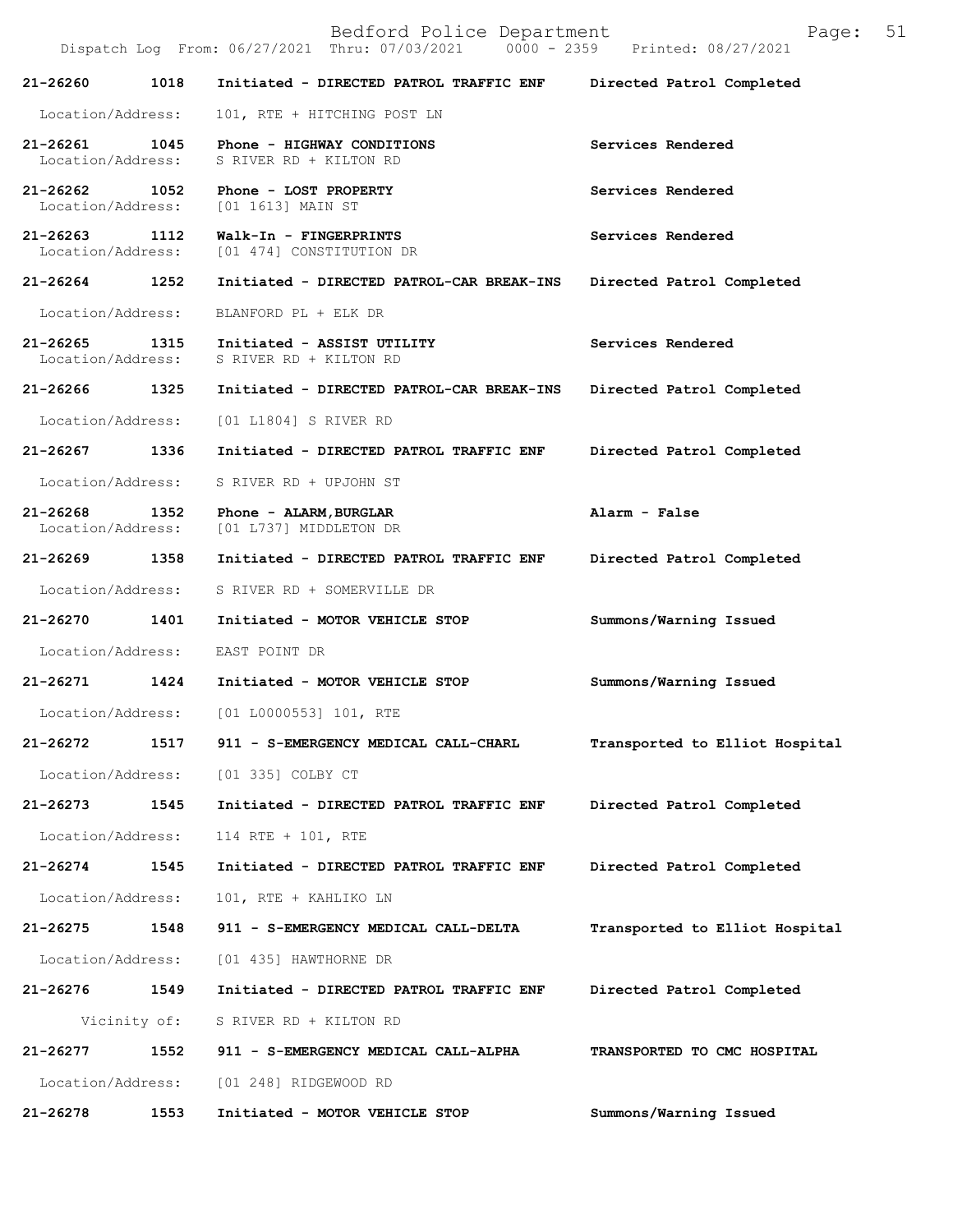Bedford Police Department Page: 51 Dispatch Log From: 06/27/2021 Thru: 07/03/2021 **21-26260 1018 Initiated - DIRECTED PATROL TRAFFIC ENF Directed Patrol Completed**  Location/Address: 101, RTE + HITCHING POST LN **21-26261 1045 Phone - HIGHWAY CONDITIONS Services Rendered**  Location/Address: S RIVER RD + KILTON RD **21-26262 1052 Phone - LOST PROPERTY Services Rendered**  Location/Address: [01 1613] MAIN ST **21-26263 1112 Walk-In - FINGERPRINTS Services Rendered**  Location/Address: [01 474] CONSTITUTION DR **21-26264 1252 Initiated - DIRECTED PATROL-CAR BREAK-INS Directed Patrol Completed**  Location/Address: BLANFORD PL + ELK DR **21-26265 1315 Initiated - ASSIST UTILITY Services Rendered**  Location/Address: S RIVER RD + KILTON RD **21-26266 1325 Initiated - DIRECTED PATROL-CAR BREAK-INS Directed Patrol Completed**  Location/Address: [01 L1804] S RIVER RD **21-26267 1336 Initiated - DIRECTED PATROL TRAFFIC ENF Directed Patrol Completed**  Location/Address: S RIVER RD + UPJOHN ST **21-26268 1352 Phone - ALARM,BURGLAR Alarm - False**  Location/Address: [01 L737] MIDDLETON DR **21-26269 1358 Initiated - DIRECTED PATROL TRAFFIC ENF Directed Patrol Completed**  Location/Address: S RIVER RD + SOMERVILLE DR **21-26270 1401 Initiated - MOTOR VEHICLE STOP Summons/Warning Issued**  Location/Address: EAST POINT DR **21-26271 1424 Initiated - MOTOR VEHICLE STOP Summons/Warning Issued**  Location/Address: [01 L0000553] 101, RTE **21-26272 1517 911 - S-EMERGENCY MEDICAL CALL-CHARL Transported to Elliot Hospital** Location/Address: [01 335] COLBY CT **21-26273 1545 Initiated - DIRECTED PATROL TRAFFIC ENF Directed Patrol Completed**  Location/Address: 114 RTE + 101, RTE **21-26274 1545 Initiated - DIRECTED PATROL TRAFFIC ENF Directed Patrol Completed**  Location/Address: 101, RTE + KAHLIKO LN **21-26275 1548 911 - S-EMERGENCY MEDICAL CALL-DELTA Transported to Elliot Hospital** Location/Address: [01 435] HAWTHORNE DR **21-26276 1549 Initiated - DIRECTED PATROL TRAFFIC ENF Directed Patrol Completed**  Vicinity of: S RIVER RD + KILTON RD **21-26277 1552 911 - S-EMERGENCY MEDICAL CALL-ALPHA TRANSPORTED TO CMC HOSPITAL**  Location/Address: [01 248] RIDGEWOOD RD

**21-26278 1553 Initiated - MOTOR VEHICLE STOP Summons/Warning Issued**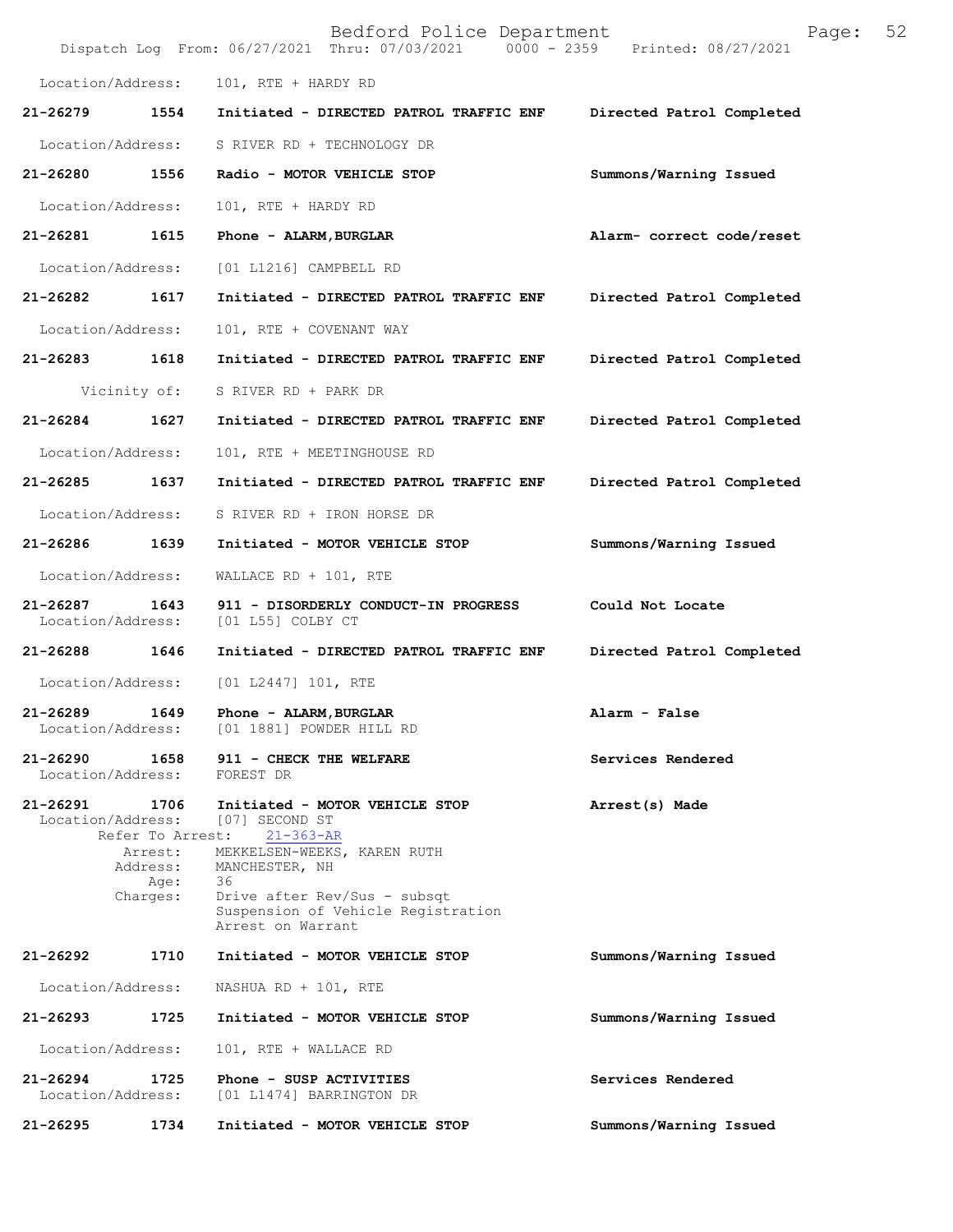|                                   |                             | Bedford Police Department<br>Dispatch Log From: 06/27/2021 Thru: 07/03/2021 0000 - 2359 Printed: 08/27/2021 | 52<br>Page:               |
|-----------------------------------|-----------------------------|-------------------------------------------------------------------------------------------------------------|---------------------------|
| Location/Address:                 |                             | 101, RTE + HARDY RD                                                                                         |                           |
| 21-26279                          | 1554                        | Initiated - DIRECTED PATROL TRAFFIC ENF                                                                     | Directed Patrol Completed |
| Location/Address:                 |                             | S RIVER RD + TECHNOLOGY DR                                                                                  |                           |
| 21-26280                          | 1556                        | Radio - MOTOR VEHICLE STOP                                                                                  | Summons/Warning Issued    |
| Location/Address:                 |                             | 101, RTE + HARDY RD                                                                                         |                           |
| $21 - 26281$                      | 1615                        | Phone - ALARM, BURGLAR                                                                                      | Alarm- correct code/reset |
| Location/Address:                 |                             | [01 L1216] CAMPBELL RD                                                                                      |                           |
| 21-26282                          | 1617                        | Initiated - DIRECTED PATROL TRAFFIC ENF                                                                     | Directed Patrol Completed |
| Location/Address:                 |                             | 101, RTE + COVENANT WAY                                                                                     |                           |
| 21-26283                          | 1618                        | Initiated - DIRECTED PATROL TRAFFIC ENF                                                                     | Directed Patrol Completed |
|                                   | Vicinity of:                | S RIVER RD + PARK DR                                                                                        |                           |
| 21-26284                          | 1627                        | Initiated - DIRECTED PATROL TRAFFIC ENF                                                                     | Directed Patrol Completed |
| Location/Address:                 |                             | 101, RTE + MEETINGHOUSE RD                                                                                  |                           |
| 21-26285                          | 1637                        | Initiated - DIRECTED PATROL TRAFFIC ENF                                                                     | Directed Patrol Completed |
| Location/Address:                 |                             | S RIVER RD + IRON HORSE DR                                                                                  |                           |
| 21-26286                          | 1639                        | Initiated - MOTOR VEHICLE STOP                                                                              | Summons/Warning Issued    |
| Location/Address:                 |                             | WALLACE RD + $101$ , RTE                                                                                    |                           |
| 21-26287<br>Location/Address:     | 1643                        | 911 - DISORDERLY CONDUCT-IN PROGRESS<br>[01 L55] COLBY CT                                                   | Could Not Locate          |
| 21-26288                          | 1646                        | Initiated - DIRECTED PATROL TRAFFIC ENF                                                                     | Directed Patrol Completed |
| Location/Address:                 |                             | [01 L2447] 101, RTE                                                                                         |                           |
| 21-26289<br>Location/Address:     | 1649                        | Phone - ALARM, BURGLAR<br>[01 1881] POWDER HILL RD                                                          | Alarm - False             |
| $21 - 26290$<br>Location/Address: | 1658                        | 911 - CHECK THE WELFARE<br>FOREST DR                                                                        | Services Rendered         |
| 21-26291<br>Location/Address:     | 1706<br>Refer To Arrest:    | Initiated - MOTOR VEHICLE STOP<br>[07] SECOND ST<br>$21 - 363 - AR$                                         | Arrest(s) Made            |
|                                   | Arrest:<br>Address:<br>Age: | MEKKELSEN-WEEKS, KAREN RUTH<br>MANCHESTER, NH<br>36                                                         |                           |
|                                   | Charges:                    | Drive after Rev/Sus - subsqt<br>Suspension of Vehicle Registration<br>Arrest on Warrant                     |                           |
| 21-26292                          | 1710                        | Initiated - MOTOR VEHICLE STOP                                                                              | Summons/Warning Issued    |
| Location/Address:                 |                             | NASHUA RD + 101, RTE                                                                                        |                           |
| 21-26293                          | 1725                        | Initiated - MOTOR VEHICLE STOP                                                                              | Summons/Warning Issued    |
| Location/Address:                 |                             | 101, RTE + WALLACE RD                                                                                       |                           |
| 21-26294<br>Location/Address:     | 1725                        | Phone - SUSP ACTIVITIES<br>[01 L1474] BARRINGTON DR                                                         | Services Rendered         |
| 21-26295                          | 1734                        | Initiated - MOTOR VEHICLE STOP                                                                              | Summons/Warning Issued    |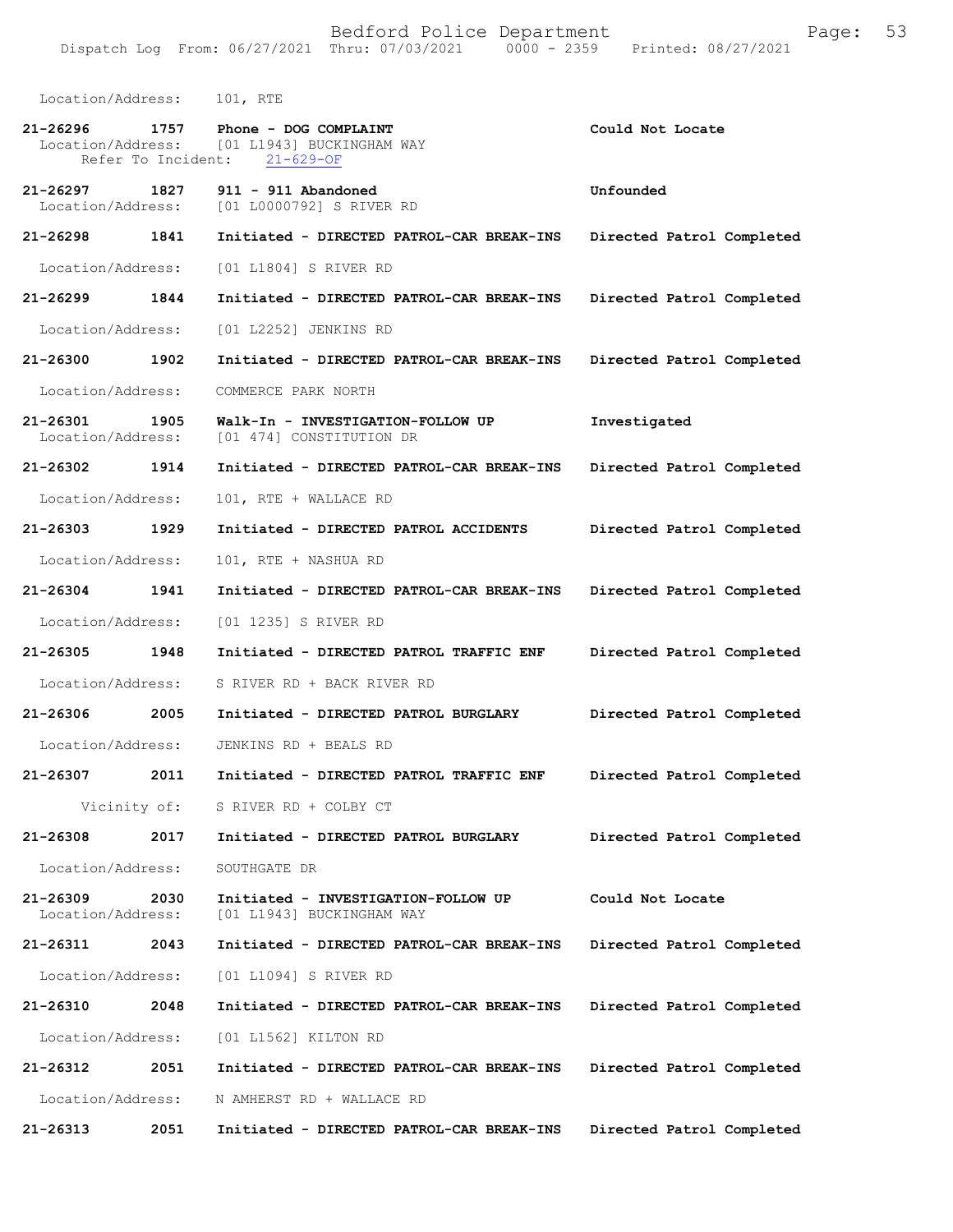| Location/Address:                 |      | 101, RTE                                                                                |                           |
|-----------------------------------|------|-----------------------------------------------------------------------------------------|---------------------------|
| 21-26296<br>Refer To Incident:    | 1757 | Phone - DOG COMPLAINT<br>Location/Address: [01 L1943] BUCKINGHAM WAY<br>$21 - 629 - OF$ | Could Not Locate          |
| 21-26297<br>Location/Address:     | 1827 | $911 - 911$ Abandoned<br>[01 L0000792] S RIVER RD                                       | Unfounded                 |
| 21-26298                          | 1841 | Initiated - DIRECTED PATROL-CAR BREAK-INS                                               | Directed Patrol Completed |
| Location/Address:                 |      | [01 L1804] S RIVER RD                                                                   |                           |
| 21-26299 1844                     |      | Initiated - DIRECTED PATROL-CAR BREAK-INS                                               | Directed Patrol Completed |
| Location/Address:                 |      | [01 L2252] JENKINS RD                                                                   |                           |
| 21-26300                          | 1902 | Initiated - DIRECTED PATROL-CAR BREAK-INS                                               | Directed Patrol Completed |
| Location/Address:                 |      | COMMERCE PARK NORTH                                                                     |                           |
| 21-26301<br>Location/Address:     | 1905 | Walk-In - INVESTIGATION-FOLLOW UP<br>[01 474] CONSTITUTION DR                           | Investigated              |
| 21-26302 1914                     |      | Initiated - DIRECTED PATROL-CAR BREAK-INS                                               | Directed Patrol Completed |
| Location/Address:                 |      | 101, RTE + WALLACE RD                                                                   |                           |
| 21-26303 1929                     |      | Initiated - DIRECTED PATROL ACCIDENTS                                                   | Directed Patrol Completed |
| Location/Address:                 |      | 101, RTE + NASHUA RD                                                                    |                           |
| 21-26304                          | 1941 | Initiated - DIRECTED PATROL-CAR BREAK-INS                                               | Directed Patrol Completed |
| Location/Address:                 |      | [01 1235] S RIVER RD                                                                    |                           |
| 21-26305 1948                     |      | Initiated - DIRECTED PATROL TRAFFIC ENF                                                 | Directed Patrol Completed |
| Location/Address:                 |      | S RIVER RD + BACK RIVER RD                                                              |                           |
| 21-26306                          | 2005 | Initiated - DIRECTED PATROL BURGLARY                                                    | Directed Patrol Completed |
| Location/Address:                 |      | JENKINS RD + BEALS RD                                                                   |                           |
| $21 - 26307$                      | 2011 | Initiated - DIRECTED PATROL TRAFFIC ENF                                                 | Directed Patrol Completed |
| Vicinity of:                      |      | S RIVER RD + COLBY CT                                                                   |                           |
| 21-26308                          | 2017 | Initiated - DIRECTED PATROL BURGLARY                                                    | Directed Patrol Completed |
| Location/Address:                 |      | SOUTHGATE DR                                                                            |                           |
| $21 - 26309$<br>Location/Address: | 2030 | Initiated - INVESTIGATION-FOLLOW UP<br>[01 L1943] BUCKINGHAM WAY                        | Could Not Locate          |
| 21-26311                          | 2043 | Initiated - DIRECTED PATROL-CAR BREAK-INS                                               | Directed Patrol Completed |
| Location/Address:                 |      | [01 L1094] S RIVER RD                                                                   |                           |
| 21-26310                          | 2048 | Initiated - DIRECTED PATROL-CAR BREAK-INS                                               | Directed Patrol Completed |
| Location/Address:                 |      | [01 L1562] KILTON RD                                                                    |                           |
| 21-26312                          | 2051 | Initiated - DIRECTED PATROL-CAR BREAK-INS                                               | Directed Patrol Completed |
| Location/Address:                 |      | N AMHERST RD + WALLACE RD                                                               |                           |
| 21-26313                          | 2051 | Initiated - DIRECTED PATROL-CAR BREAK-INS                                               | Directed Patrol Completed |